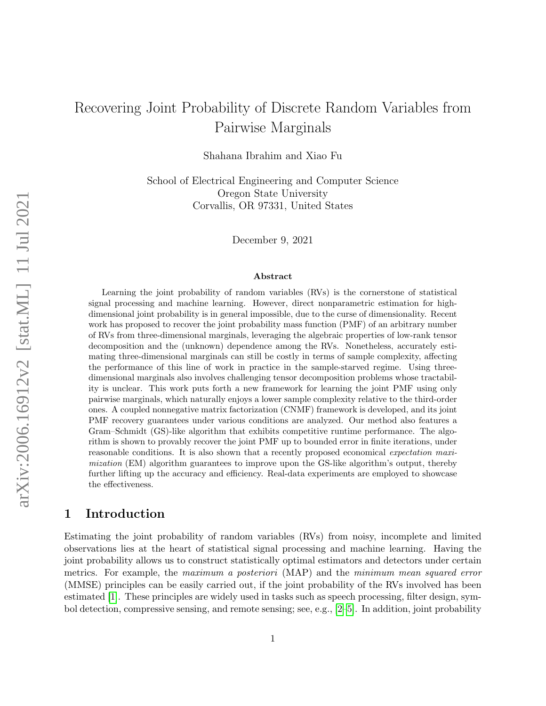# Recovering Joint Probability of Discrete Random Variables from Pairwise Marginals

Shahana Ibrahim and Xiao Fu

School of Electrical Engineering and Computer Science Oregon State University Corvallis, OR 97331, United States

December 9, 2021

#### Abstract

Learning the joint probability of random variables (RVs) is the cornerstone of statistical signal processing and machine learning. However, direct nonparametric estimation for highdimensional joint probability is in general impossible, due to the curse of dimensionality. Recent work has proposed to recover the joint probability mass function (PMF) of an arbitrary number of RVs from three-dimensional marginals, leveraging the algebraic properties of low-rank tensor decomposition and the (unknown) dependence among the RVs. Nonetheless, accurately estimating three-dimensional marginals can still be costly in terms of sample complexity, affecting the performance of this line of work in practice in the sample-starved regime. Using threedimensional marginals also involves challenging tensor decomposition problems whose tractability is unclear. This work puts forth a new framework for learning the joint PMF using only pairwise marginals, which naturally enjoys a lower sample complexity relative to the third-order ones. A coupled nonnegative matrix factorization (CNMF) framework is developed, and its joint PMF recovery guarantees under various conditions are analyzed. Our method also features a Gram–Schmidt (GS)-like algorithm that exhibits competitive runtime performance. The algorithm is shown to provably recover the joint PMF up to bounded error in finite iterations, under reasonable conditions. It is also shown that a recently proposed economical expectation maximization (EM) algorithm guarantees to improve upon the GS-like algorithm's output, thereby further lifting up the accuracy and efficiency. Real-data experiments are employed to showcase the effectiveness.

# 1 Introduction

Estimating the joint probability of random variables (RVs) from noisy, incomplete and limited observations lies at the heart of statistical signal processing and machine learning. Having the joint probability allows us to construct statistically optimal estimators and detectors under certain metrics. For example, the maximum a posteriori (MAP) and the minimum mean squared error (MMSE) principles can be easily carried out, if the joint probability of the RVs involved has been estimated [\[1\]](#page-20-0). These principles are widely used in tasks such as speech processing, filter design, symbol detection, compressive sensing, and remote sensing; see, e.g., [\[2–](#page-20-1)[5\]](#page-20-2). In addition, joint probability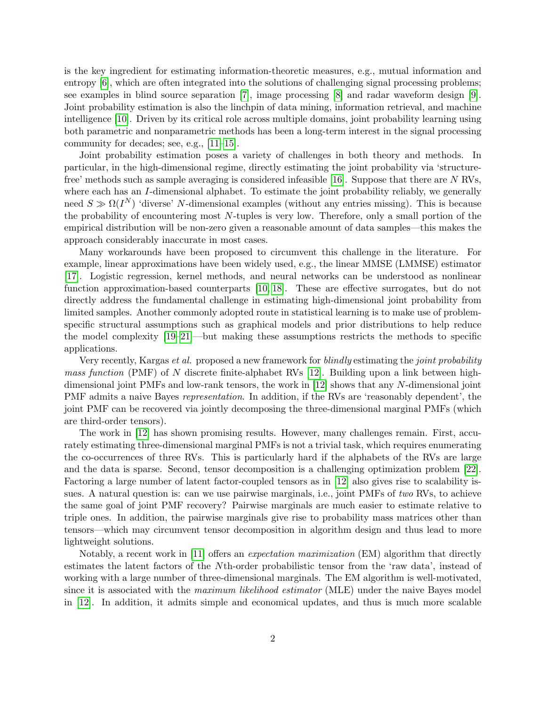is the key ingredient for estimating information-theoretic measures, e.g., mutual information and entropy [\[6\]](#page-20-3), which are often integrated into the solutions of challenging signal processing problems; see examples in blind source separation [\[7\]](#page-20-4), image processing [\[8\]](#page-20-5) and radar waveform design [\[9\]](#page-20-6). Joint probability estimation is also the linchpin of data mining, information retrieval, and machine intelligence [\[10\]](#page-20-7). Driven by its critical role across multiple domains, joint probability learning using both parametric and nonparametric methods has been a long-term interest in the signal processing community for decades; see, e.g., [\[11–](#page-20-8)[15\]](#page-21-0).

Joint probability estimation poses a variety of challenges in both theory and methods. In particular, in the high-dimensional regime, directly estimating the joint probability via 'structurefree' methods such as sample averaging is considered infeasible [\[16\]](#page-21-1). Suppose that there are N RVs, where each has an I-dimensional alphabet. To estimate the joint probability reliably, we generally need  $S \gg \Omega(I^N)$  'diverse' N-dimensional examples (without any entries missing). This is because the probability of encountering most N-tuples is very low. Therefore, only a small portion of the empirical distribution will be non-zero given a reasonable amount of data samples—this makes the approach considerably inaccurate in most cases.

Many workarounds have been proposed to circumvent this challenge in the literature. For example, linear approximations have been widely used, e.g., the linear MMSE (LMMSE) estimator [\[17\]](#page-21-2). Logistic regression, kernel methods, and neural networks can be understood as nonlinear function approximation-based counterparts [\[10,](#page-20-7) [18\]](#page-21-3). These are effective surrogates, but do not directly address the fundamental challenge in estimating high-dimensional joint probability from limited samples. Another commonly adopted route in statistical learning is to make use of problemspecific structural assumptions such as graphical models and prior distributions to help reduce the model complexity [\[19](#page-21-4)[–21\]](#page-21-5)—but making these assumptions restricts the methods to specific applications.

Very recently, Kargas *et al.* proposed a new framework for *blindly* estimating the *joint probability* mass function (PMF) of N discrete finite-alphabet RVs  $[12]$ . Building upon a link between highdimensional joint PMFs and low-rank tensors, the work in [\[12\]](#page-20-9) shows that any N-dimensional joint PMF admits a naive Bayes *representation*. In addition, if the RVs are 'reasonably dependent', the joint PMF can be recovered via jointly decomposing the three-dimensional marginal PMFs (which are third-order tensors).

The work in [\[12\]](#page-20-9) has shown promising results. However, many challenges remain. First, accurately estimating three-dimensional marginal PMFs is not a trivial task, which requires enumerating the co-occurrences of three RVs. This is particularly hard if the alphabets of the RVs are large and the data is sparse. Second, tensor decomposition is a challenging optimization problem [\[22\]](#page-21-6). Factoring a large number of latent factor-coupled tensors as in [\[12\]](#page-20-9) also gives rise to scalability issues. A natural question is: can we use pairwise marginals, i.e., joint PMFs of two RVs, to achieve the same goal of joint PMF recovery? Pairwise marginals are much easier to estimate relative to triple ones. In addition, the pairwise marginals give rise to probability mass matrices other than tensors—which may circumvent tensor decomposition in algorithm design and thus lead to more lightweight solutions.

Notably, a recent work in [\[11\]](#page-20-8) offers an expectation maximization (EM) algorithm that directly estimates the latent factors of the Nth-order probabilistic tensor from the 'raw data', instead of working with a large number of three-dimensional marginals. The EM algorithm is well-motivated, since it is associated with the *maximum likelihood estimator* (MLE) under the naive Bayes model in [\[12\]](#page-20-9). In addition, it admits simple and economical updates, and thus is much more scalable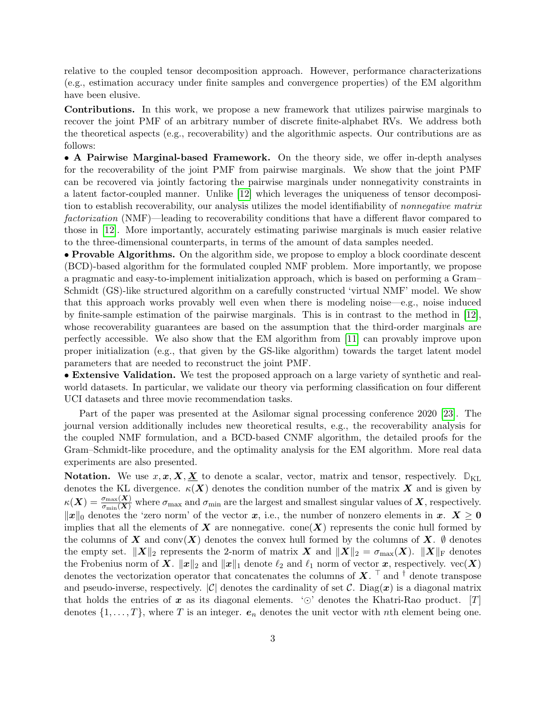relative to the coupled tensor decomposition approach. However, performance characterizations (e.g., estimation accuracy under finite samples and convergence properties) of the EM algorithm have been elusive.

Contributions. In this work, we propose a new framework that utilizes pairwise marginals to recover the joint PMF of an arbitrary number of discrete finite-alphabet RVs. We address both the theoretical aspects (e.g., recoverability) and the algorithmic aspects. Our contributions are as follows:

• A Pairwise Marginal-based Framework. On the theory side, we offer in-depth analyses for the recoverability of the joint PMF from pairwise marginals. We show that the joint PMF can be recovered via jointly factoring the pairwise marginals under nonnegativity constraints in a latent factor-coupled manner. Unlike [\[12\]](#page-20-9) which leverages the uniqueness of tensor decomposition to establish recoverability, our analysis utilizes the model identifiability of nonnegative matrix factorization (NMF)—leading to recoverability conditions that have a different flavor compared to those in [\[12\]](#page-20-9). More importantly, accurately estimating pariwise marginals is much easier relative to the three-dimensional counterparts, in terms of the amount of data samples needed.

• Provable Algorithms. On the algorithm side, we propose to employ a block coordinate descent (BCD)-based algorithm for the formulated coupled NMF problem. More importantly, we propose a pragmatic and easy-to-implement initialization approach, which is based on performing a Gram– Schmidt (GS)-like structured algorithm on a carefully constructed 'virtual NMF' model. We show that this approach works provably well even when there is modeling noise—e.g., noise induced by finite-sample estimation of the pairwise marginals. This is in contrast to the method in [\[12\]](#page-20-9), whose recoverability guarantees are based on the assumption that the third-order marginals are perfectly accessible. We also show that the EM algorithm from [\[11\]](#page-20-8) can provably improve upon proper initialization (e.g., that given by the GS-like algorithm) towards the target latent model parameters that are needed to reconstruct the joint PMF.

• Extensive Validation. We test the proposed approach on a large variety of synthetic and realworld datasets. In particular, we validate our theory via performing classification on four different UCI datasets and three movie recommendation tasks.

Part of the paper was presented at the Asilomar signal processing conference 2020 [\[23\]](#page-21-7). The journal version additionally includes new theoretical results, e.g., the recoverability analysis for the coupled NMF formulation, and a BCD-based CNMF algorithm, the detailed proofs for the Gram–Schmidt-like procedure, and the optimality analysis for the EM algorithm. More real data experiments are also presented.

**Notation.** We use  $x, x, X, X$  to denote a scalar, vector, matrix and tensor, respectively.  $\mathbb{D}_{KL}$ denotes the KL divergence.  $\kappa(X)$  denotes the condition number of the matrix X and is given by  $\kappa(X) = \frac{\sigma_{\max}(X)}{\sigma_{\min}(X)}$  where  $\sigma_{\max}$  and  $\sigma_{\min}$  are the largest and smallest singular values of  $X$ , respectively.  $||x||_0$  denotes the 'zero norm' of the vector x, i.e., the number of nonzero elements in x.  $X \geq 0$ implies that all the elements of  $X$  are nonnegative. cone  $(X)$  represents the conic hull formed by the columns of X and conv(X) denotes the convex hull formed by the columns of X.  $\emptyset$  denotes the empty set.  $||X||_2$  represents the 2-norm of matrix X and  $||X||_2 = \sigma_{\max}(X)$ .  $||X||_F$  denotes the Frobenius norm of X.  $||x||_2$  and  $||x||_1$  denote  $\ell_2$  and  $\ell_1$  norm of vector x, respectively. vec(X) denotes the vectorization operator that concatenates the columns of  $X$ . <sup> $\top$ </sup> and <sup>†</sup> denote transpose and pseudo-inverse, respectively.  $|\mathcal{C}|$  denotes the cardinality of set C. Diag(x) is a diagonal matrix that holds the entries of x as its diagonal elements.  $\circledcirc$  denotes the Khatri-Rao product. [T] denotes  $\{1, \ldots, T\}$ , where T is an integer.  $e_n$  denotes the unit vector with nth element being one.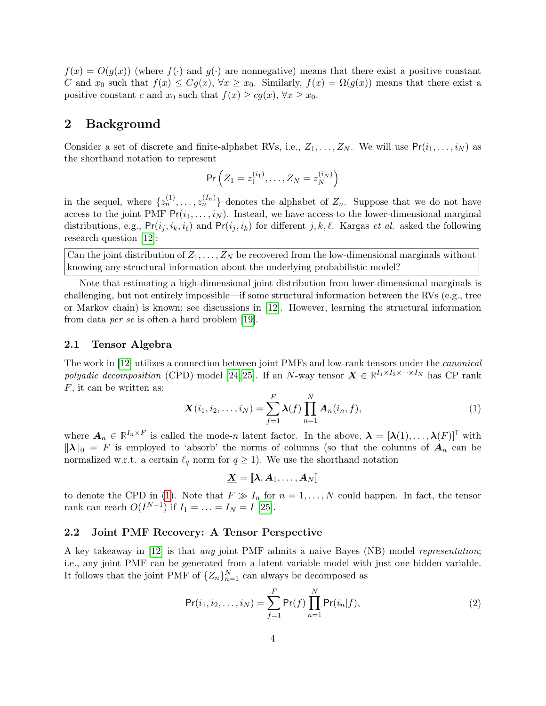$f(x) = O(g(x))$  (where  $f(\cdot)$  and  $g(\cdot)$  are nonnegative) means that there exist a positive constant C and  $x_0$  such that  $f(x) \leq Cg(x)$ ,  $\forall x \geq x_0$ . Similarly,  $f(x) = \Omega(g(x))$  means that there exist a positive constant c and  $x_0$  such that  $f(x) \ge cg(x)$ ,  $\forall x \ge x_0$ .

# 2 Background

Consider a set of discrete and finite-alphabet RVs, i.e.,  $Z_1, \ldots, Z_N$ . We will use  $Pr(i_1, \ldots, i_N)$  as the shorthand notation to represent

$$
\Pr\left(Z_1=z_1^{(i_1)},\ldots,Z_N=z_N^{(i_N)}\right)
$$

in the sequel, where  $\{z_n^{(1)}, \ldots, z_n^{(I_n)}\}$  denotes the alphabet of  $Z_n$ . Suppose that we do not have access to the joint PMF  $Pr(i_1, \ldots, i_N)$ . Instead, we have access to the lower-dimensional marginal distributions, e.g.,  $Pr(i_j, i_k, i_\ell)$  and  $Pr(i_j, i_k)$  for different j, k,  $\ell$ . Kargas et al. asked the following research question [\[12\]](#page-20-9):

Can the joint distribution of  $Z_1, \ldots, Z_N$  be recovered from the low-dimensional marginals without knowing any structural information about the underlying probabilistic model?

Note that estimating a high-dimensional joint distribution from lower-dimensional marginals is challenging, but not entirely impossible—if some structural information between the RVs (e.g., tree or Markov chain) is known; see discussions in [\[12\]](#page-20-9). However, learning the structural information from data per se is often a hard problem [\[19\]](#page-21-4).

#### 2.1 Tensor Algebra

The work in [\[12\]](#page-20-9) utilizes a connection between joint PMFs and low-rank tensors under the canonical polyadic decomposition (CPD) model [\[24,](#page-21-8) [25\]](#page-21-9). If an N-way tensor  $\underline{\mathbf{X}} \in \mathbb{R}^{I_1 \times I_2 \times \cdots \times I_N}$  has CP rank F, it can be written as:

<span id="page-3-0"></span>
$$
\underline{\mathbf{X}}(i_1, i_2, \dots, i_N) = \sum_{f=1}^F \lambda(f) \prod_{n=1}^N \mathbf{A}_n(i_n, f), \tag{1}
$$

where  $\mathbf{A}_n \in \mathbb{R}^{I_n \times F}$  is called the mode-n latent factor. In the above,  $\boldsymbol{\lambda} = [\boldsymbol{\lambda}(1), \dots, \boldsymbol{\lambda}(F)]^{\top}$  with  $\|\lambda\|_0 = F$  is employed to 'absorb' the norms of columns (so that the columns of  $A_n$  can be normalized w.r.t. a certain  $\ell_q$  norm for  $q \geq 1$ ). We use the shorthand notation

$$
\underline{\boldsymbol{X}}=\llbracket \boldsymbol{\lambda}, \boldsymbol{A}_1, \ldots, \boldsymbol{A}_N \rrbracket
$$

to denote the CPD in [\(1\)](#page-3-0). Note that  $F \gg I_n$  for  $n = 1, \ldots, N$  could happen. In fact, the tensor rank can reach  $O(I^{N-1})$  if  $I_1 = \ldots = I_N = I$  [\[25\]](#page-21-9).

#### 2.2 Joint PMF Recovery: A Tensor Perspective

A key takeaway in [\[12\]](#page-20-9) is that any joint PMF admits a naive Bayes (NB) model representation; i.e., any joint PMF can be generated from a latent variable model with just one hidden variable. It follows that the joint PMF of  $\{Z_n\}_{n=1}^N$  can always be decomposed as

<span id="page-3-1"></span>
$$
\Pr(i_1, i_2, \dots, i_N) = \sum_{f=1}^{F} \Pr(f) \prod_{n=1}^{N} \Pr(i_n | f), \tag{2}
$$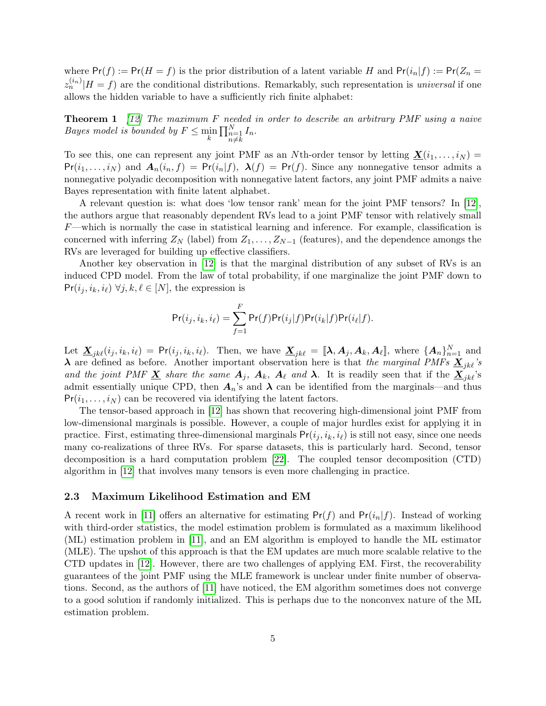where  $Pr(f) := Pr(H = f)$  is the prior distribution of a latent variable H and  $Pr(i_n|f) := Pr(Z_n = f)$  $z_n^{(i_n)}|H = f$  are the conditional distributions. Remarkably, such representation is *universal* if one allows the hidden variable to have a sufficiently rich finite alphabet:

**Theorem 1** [\[12\]](#page-20-9) The maximum F needed in order to describe an arbitrary PMF using a naive Bayes model is bounded by  $F \n\t\leq \min_{k} \prod_{\substack{n=1 \ n \neq k}}^N I_n$ .

To see this, one can represent any joint PMF as an Nth-order tensor by letting  $\underline{\mathbf{X}}(i_1,\ldots,i_N)$  =  $Pr(i_1, \ldots, i_N)$  and  $A_n(i_n, f) = Pr(i_n|f), \ \lambda(f) = Pr(f)$ . Since any nonnegative tensor admits a nonnegative polyadic decomposition with nonnegative latent factors, any joint PMF admits a naive Bayes representation with finite latent alphabet.

A relevant question is: what does 'low tensor rank' mean for the joint PMF tensors? In [\[12\]](#page-20-9), the authors argue that reasonably dependent RVs lead to a joint PMF tensor with relatively small  $F$ —which is normally the case in statistical learning and inference. For example, classification is concerned with inferring  $Z_N$  (label) from  $Z_1, \ldots, Z_{N-1}$  (features), and the dependence amongs the RVs are leveraged for building up effective classifiers.

Another key observation in [\[12\]](#page-20-9) is that the marginal distribution of any subset of RVs is an induced CPD model. From the law of total probability, if one marginalize the joint PMF down to  $Pr(i_j, i_k, i_\ell) \ \forall j, k, \ell \in [N]$ , the expression is

$$
\Pr(i_j, i_k, i_\ell) = \sum_{f=1}^F \Pr(f) \Pr(i_j|f) \Pr(i_k|f) \Pr(i_\ell|f).
$$

Let  $\underline{\mathbf{X}}_{jk\ell}(i_j, i_k, i_\ell) = \mathsf{Pr}(i_j, i_k, i_\ell)$ . Then, we have  $\underline{\mathbf{X}}_{jk\ell} = [\![\mathbf{\lambda}, \mathbf{A}_j, \mathbf{A}_k, \mathbf{A}_\ell]\!]$ , where  $\{\mathbf{A}_n\}_{n=1}^N$  and  $\lambda$  are defined as before. Another important observation here is that the marginal PMFs  $\underline{X}_{ik}$ 's and the joint PMF  $\underline{X}$  share the same  $A_j$ ,  $A_k$ ,  $A_\ell$  and  $\lambda$ . It is readily seen that if the  $\underline{X}_{jk\ell}$ 's admit essentially unique CPD, then  $A_n$ 's and  $\lambda$  can be identified from the marginals—and thus  $Pr(i_1, \ldots, i_N)$  can be recovered via identifying the latent factors.

The tensor-based approach in [\[12\]](#page-20-9) has shown that recovering high-dimensional joint PMF from low-dimensional marginals is possible. However, a couple of major hurdles exist for applying it in practice. First, estimating three-dimensional marginals  $Pr(i_j, i_k, i_\ell)$  is still not easy, since one needs many co-realizations of three RVs. For sparse datasets, this is particularly hard. Second, tensor decomposition is a hard computation problem [\[22\]](#page-21-6). The coupled tensor decomposition (CTD) algorithm in [\[12\]](#page-20-9) that involves many tensors is even more challenging in practice.

#### 2.3 Maximum Likelihood Estimation and EM

A recent work in [\[11\]](#page-20-8) offers an alternative for estimating  $Pr(f)$  and  $Pr(i_n|f)$ . Instead of working with third-order statistics, the model estimation problem is formulated as a maximum likelihood (ML) estimation problem in [\[11\]](#page-20-8), and an EM algorithm is employed to handle the ML estimator (MLE). The upshot of this approach is that the EM updates are much more scalable relative to the CTD updates in [\[12\]](#page-20-9). However, there are two challenges of applying EM. First, the recoverability guarantees of the joint PMF using the MLE framework is unclear under finite number of observations. Second, as the authors of [\[11\]](#page-20-8) have noticed, the EM algorithm sometimes does not converge to a good solution if randomly initialized. This is perhaps due to the nonconvex nature of the ML estimation problem.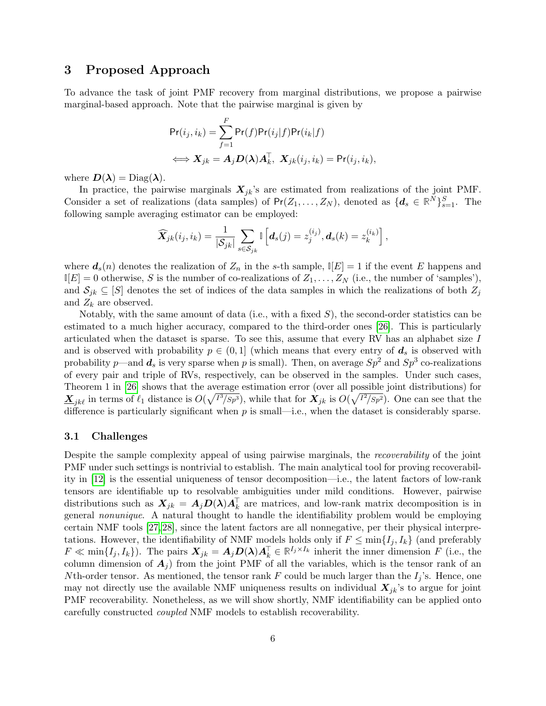# 3 Proposed Approach

To advance the task of joint PMF recovery from marginal distributions, we propose a pairwise marginal-based approach. Note that the pairwise marginal is given by

$$
Pr(i_j, i_k) = \sum_{f=1}^{F} Pr(f)Pr(i_j|f)Pr(i_k|f)
$$
  

$$
\iff X_{jk} = A_j D(\lambda) A_k^{\top}, X_{jk}(i_j, i_k) = Pr(i_j, i_k),
$$

where  $D(\lambda) = \text{Diag}(\lambda)$ .

In practice, the pairwise marginals  $X_{jk}$ 's are estimated from realizations of the joint PMF. Consider a set of realizations (data samples) of  $Pr(Z_1, ..., Z_N)$ , denoted as  $\{d_s \in \mathbb{R}^N\}_{s=1}^S$ . The following sample averaging estimator can be employed:

$$
\widehat{\boldsymbol{X}}_{jk}(i_j,i_k)=\frac{1}{|\mathcal{S}_{jk}|}\sum_{s\in\mathcal{S}_{jk}}\mathbb{I}\left[\boldsymbol{d}_s(j)=z_j^{(i_j)},\boldsymbol{d}_s(k)=z_k^{(i_k)}\right],
$$

where  $d_s(n)$  denotes the realization of  $Z_n$  in the s-th sample,  $\mathbb{I}[E] = 1$  if the event E happens and  $\mathbb{I}[E] = 0$  otherwise, S is the number of co-realizations of  $Z_1, \ldots, Z_N$  (i.e., the number of 'samples'), and  $S_{ik} \subseteq [S]$  denotes the set of indices of the data samples in which the realizations of both  $Z_i$ and  $Z_k$  are observed.

Notably, with the same amount of data (i.e., with a fixed  $S$ ), the second-order statistics can be estimated to a much higher accuracy, compared to the third-order ones [\[26\]](#page-21-10). This is particularly articulated when the dataset is sparse. To see this, assume that every RV has an alphabet size I and is observed with probability  $p \in (0,1]$  (which means that every entry of  $d_s$  is observed with probability p—and  $d_s$  is very sparse when p is small). Then, on average  $Sp^2$  and  $Sp^3$  co-realizations of every pair and triple of RVs, respectively, can be observed in the samples. Under such cases, Theorem 1 in [\[26\]](#page-21-10) shows that the average estimation error (over all possible joint distributions) for  $\underline{\mathbf{X}}_{jk\ell}$  in terms of  $\ell_1$  distance is  $O(\sqrt{I^3/Sp^3})$ , while that for  $\mathbf{X}_{jk}$  is  $O(\sqrt{I^2/Sp^2})$ . One can see that the difference is particularly significant when  $p$  is small—i.e., when the dataset is considerably sparse.

#### 3.1 Challenges

Despite the sample complexity appeal of using pairwise marginals, the recoverability of the joint PMF under such settings is nontrivial to establish. The main analytical tool for proving recoverability in [\[12\]](#page-20-9) is the essential uniqueness of tensor decomposition—i.e., the latent factors of low-rank tensors are identifiable up to resolvable ambiguities under mild conditions. However, pairwise distributions such as  $X_{jk} = A_j D(\lambda) A_k^{\top}$  are matrices, and low-rank matrix decomposition is in general nonunique. A natural thought to handle the identifiability problem would be employing certain NMF tools [\[27,](#page-21-11) [28\]](#page-21-12), since the latent factors are all nonnegative, per their physical interpretations. However, the identifiability of NMF models holds only if  $F \n\t\leq \min\{I_j, I_k\}$  (and preferably  $F \ll \min\{I_j, I_k\}$ ). The pairs  $\mathbf{X}_{jk} = A_j \mathbf{D}(\lambda) A_k^{\top} \in \mathbb{R}^{I_j \times I_k}$  inherit the inner dimension F (i.e., the column dimension of  $A_i$ ) from the joint PMF of all the variables, which is the tensor rank of an Nth-order tensor. As mentioned, the tensor rank F could be much larger than the  $I_j$ 's. Hence, one may not directly use the available NMF uniqueness results on individual  $X_{ik}$ 's to argue for joint PMF recoverability. Nonetheless, as we will show shortly, NMF identifiability can be applied onto carefully constructed coupled NMF models to establish recoverability.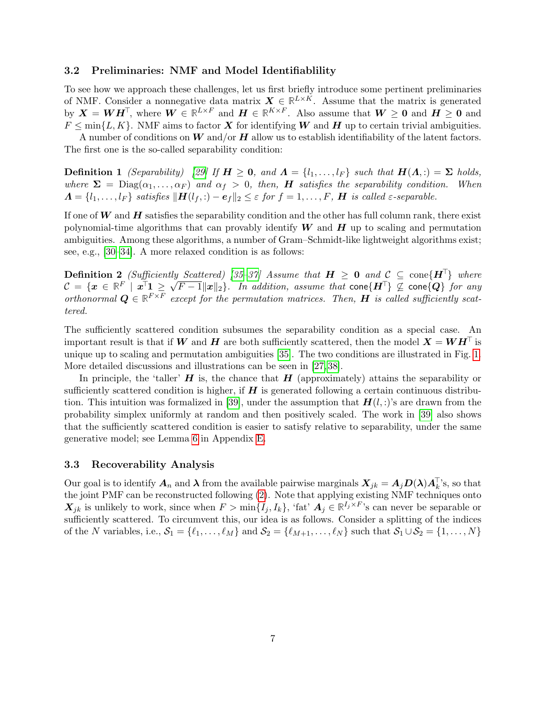#### 3.2 Preliminaries: NMF and Model Identifiablility

To see how we approach these challenges, let us first briefly introduce some pertinent preliminaries of NMF. Consider a nonnegative data matrix  $\mathbf{X} \in \mathbb{R}^{L \times K}$ . Assume that the matrix is generated by  $X = WH^{\top}$ , where  $W \in \mathbb{R}^{L \times F}$  and  $H \in \mathbb{R}^{K \times F}$ . Also assume that  $W \geq 0$  and  $H \geq 0$  and  $F \n\leq \min\{L, K\}.$  NMF aims to factor X for identifying W and H up to certain trivial ambiguities.

A number of conditions on W and/or H allow us to establish identifiability of the latent factors. The first one is the so-called separability condition:

**Definition 1** (Separability) [\[29\]](#page-21-13) If  $H \ge 0$ , and  $\Lambda = \{l_1, \ldots, l_F\}$  such that  $H(\Lambda, \cdot) = \Sigma$  holds, where  $\Sigma = \text{Diag}(\alpha_1, \dots, \alpha_F)$  and  $\alpha_f > 0$ , then, **H** satisfies the separability condition. When  $\Lambda = \{l_1, \ldots, l_F\}$  satisfies  $\|\mathbf{H}(l_f, \cdot) - \mathbf{e}_f\|_2 \leq \varepsilon$  for  $f = 1, \ldots, F$ ,  $\mathbf{H}$  is called  $\varepsilon$ -separable.

If one of  $W$  and  $H$  satisfies the separability condition and the other has full column rank, there exist polynomial-time algorithms that can provably identify  $W$  and  $H$  up to scaling and permutation ambiguities. Among these algorithms, a number of Gram–Schmidt-like lightweight algorithms exist; see, e.g., [\[30–](#page-21-14)[34\]](#page-22-0). A more relaxed condition is as follows:

**Definition 2** (Sufficiently Scattered) [\[35](#page-22-1)[–37\]](#page-22-2) Assume that  $H \ge 0$  and  $C \subseteq \text{cone}\lbrace H^{\top} \rbrace$  where **Definition 2** (Sufficiently Scatterea) [35–34] Assume that  $H \ge 0$  and  $C \subseteq \text{cone}\{H\}$  where<br> $C = \{x \in \mathbb{R}^F \mid x^\top 1 \ge \sqrt{F-1} \|x\|_2\}$ . In addition, assume that  $\text{cone}\{H^\top\} \nsubseteq \text{cone}\{Q\}$  for any orthonormal  $\mathbf{Q} \in \mathbb{R}^{F \times F}$  except for the permutation matrices. Then, **H** is called sufficiently scattered.

The sufficiently scattered condition subsumes the separability condition as a special case. An important result is that if W and H are both sufficiently scattered, then the model  $X = WH^{\top}$  is unique up to scaling and permutation ambiguities [\[35\]](#page-22-1). The two conditions are illustrated in Fig. [1.](#page-7-0) More detailed discussions and illustrations can be seen in [\[27,](#page-21-11) [38\]](#page-22-3).

In principle, the 'taller'  $H$  is, the chance that  $H$  (approximately) attains the separability or sufficiently scattered condition is higher, if  $H$  is generated following a certain continuous distribu-tion. This intuition was formalized in [\[39\]](#page-22-4), under the assumption that  $H(l,:)$ 's are drawn from the probability simplex uniformly at random and then positively scaled. The work in [\[39\]](#page-22-4) also shows that the sufficiently scattered condition is easier to satisfy relative to separability, under the same generative model; see Lemma [6](#page-37-0) in Appendix [E.](#page-37-1)

#### 3.3 Recoverability Analysis

Our goal is to identify  $A_n$  and  $\lambda$  from the available pairwise marginals  $X_{jk} = A_j D(\lambda) A_k^{\top}$ 's, so that the joint PMF can be reconstructed following [\(2\)](#page-3-1). Note that applying existing NMF techniques onto  $X_{jk}$  is unlikely to work, since when  $F > \min\{I_j, I_k\}$ , 'fat'  $A_j \in \mathbb{R}^{I_j \times F}$ 's can never be separable or sufficiently scattered. To circumvent this, our idea is as follows. Consider a splitting of the indices of the N variables, i.e.,  $S_1 = \{\ell_1, \ldots, \ell_M\}$  and  $S_2 = \{\ell_{M+1}, \ldots, \ell_N\}$  such that  $S_1 \cup S_2 = \{1, \ldots, N\}$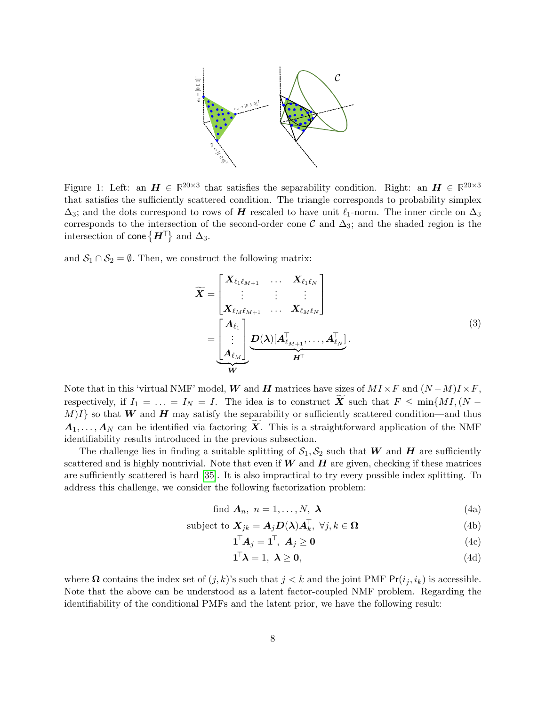

<span id="page-7-0"></span>Figure 1: Left: an  $H \in \mathbb{R}^{20\times3}$  that satisfies the separability condition. Right: an  $H \in \mathbb{R}^{20\times3}$ that satisfies the sufficiently scattered condition. The triangle corresponds to probability simplex  $\Delta_3$ ; and the dots correspond to rows of H rescaled to have unit  $\ell_1$ -norm. The inner circle on  $\Delta_3$ corresponds to the intersection of the second-order cone C and  $\Delta_3$ ; and the shaded region is the intersection of  $\mathsf{cone}\,\{\boldsymbol{H}^{\top}\}$  and  $\Delta_3.$ 

and  $S_1 \cap S_2 = \emptyset$ . Then, we construct the following matrix:

<span id="page-7-3"></span>
$$
\widetilde{\boldsymbol{X}} = \begin{bmatrix}\n\boldsymbol{X}_{\ell_1 \ell_{M+1}} & \cdots & \boldsymbol{X}_{\ell_1 \ell_N} \\
\vdots & \vdots & \vdots \\
\boldsymbol{X}_{\ell_M \ell_{M+1}} & \cdots & \boldsymbol{X}_{\ell_M \ell_N}\n\end{bmatrix}
$$
\n
$$
= \underbrace{\begin{bmatrix}\n\boldsymbol{A}_{\ell_1} \\
\vdots \\
\boldsymbol{A}_{\ell_M}\n\end{bmatrix}}_{\boldsymbol{W}} \underbrace{\boldsymbol{D}(\boldsymbol{\lambda}) [\boldsymbol{A}_{\ell_{M+1}}^{\top}, \dots, \boldsymbol{A}_{\ell_N}^{\top}]}_{\boldsymbol{H}^{\top}}.
$$
\n(3)

Note that in this 'virtual NMF' model, W and H matrices have sizes of  $MI \times F$  and  $(N-M)I \times F$ , respectively, if  $I_1 = \ldots = I_N = I$ . The idea is to construct  $\widetilde{X}$  such that  $F \le \min\{MI, (N - I_N)\}$  $M$ ] so that W and H may satisfy the separability or sufficiently scattered condition—and thus  $A_1, \ldots, A_N$  can be identified via factoring  $\overline{X}$ . This is a straightforward application of the NMF identifiability results introduced in the previous subsection.

The challenge lies in finding a suitable splitting of  $S_1, S_2$  such that W and H are sufficiently scattered and is highly nontrivial. Note that even if  $W$  and  $H$  are given, checking if these matrices are sufficiently scattered is hard [\[35\]](#page-22-1). It is also impractical to try every possible index splitting. To address this challenge, we consider the following factorization problem:

find 
$$
\mathbf{A}_n
$$
,  $n = 1, ..., N$ ,  $\boldsymbol{\lambda}$  (4a)

subject to 
$$
\mathbf{X}_{jk} = \mathbf{A}_j \mathbf{D}(\boldsymbol{\lambda}) \mathbf{A}_k^{\top}, \ \forall j, k \in \Omega
$$
 (4b)

<span id="page-7-1"></span>
$$
\mathbf{1}^{\top} \mathbf{A}_j = \mathbf{1}^{\top}, \ \mathbf{A}_j \ge \mathbf{0} \tag{4c}
$$

<span id="page-7-2"></span>
$$
\mathbf{1}^{\top} \boldsymbol{\lambda} = 1, \ \boldsymbol{\lambda} \ge \mathbf{0}, \tag{4d}
$$

where  $\Omega$  contains the index set of  $(j, k)$ 's such that  $j < k$  and the joint PMF Pr $(i_j, i_k)$  is accessible. Note that the above can be understood as a latent factor-coupled NMF problem. Regarding the identifiability of the conditional PMFs and the latent prior, we have the following result: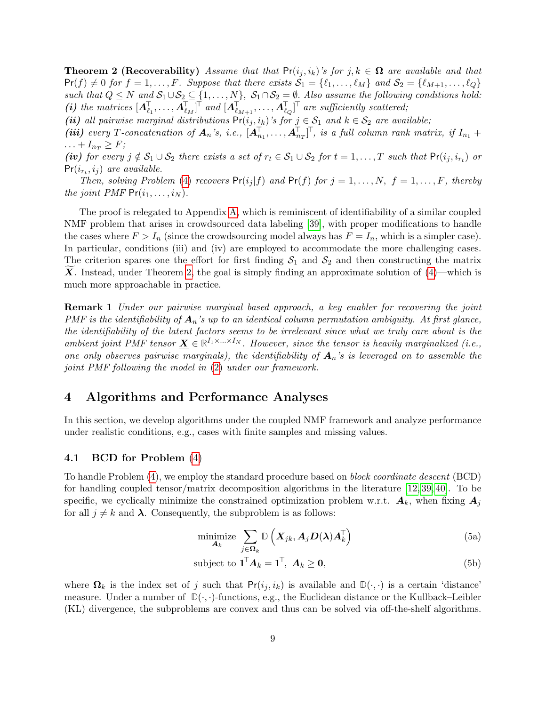**Theorem 2 (Recoverability)** Assume that that  $Pr(i_j, i_k)$ 's for j,  $k \in \Omega$  are available and that  $Pr(f) \neq 0$  for  $f = 1, \ldots, F$ . Suppose that there exists  $S_1 = \{\ell_1, \ldots, \ell_M\}$  and  $S_2 = \{\ell_{M+1}, \ldots, \ell_Q\}$ such that  $Q \leq N$  and  $S_1 \cup S_2 \subseteq \{1, \ldots, N\}$ ,  $S_1 \cap S_2 = \emptyset$ . Also assume the following conditions hold: (i) the matrices  $[A_{\ell_1}^{\top},..., A_{\ell_M}^{\top}]^{\top}$  and  $[A_{\ell_{M+1}}^{\top},..., A_{\ell_Q}^{\top}]^{\top}$  are sufficiently scattered;

(ii) all pairwise marginal distributions  $Pr(i_j, i_k)$ 's for  $j \in S_1$  and  $k \in S_2$  are available;

(iii) every T-concatenation of  $A_n$ 's, i.e.,  $[A_{n_1}^{\dagger},..., A_{n_T}^{\dagger}]^{\dagger}$ , is a full column rank matrix, if  $I_{n_1}$  +  $\ldots + I_{n_T} \geq F;$ 

(iv) for every  $j \notin S_1 \cup S_2$  there exists a set of  $r_t \in S_1 \cup S_2$  for  $t = 1, \ldots, T$  such that  $Pr(i_j, i_{r_t})$  or  $Pr(i_{r_t}, i_j)$  are available.

Then, solving Problem [\(4\)](#page-7-1) recovers  $Pr(i_j|f)$  and  $Pr(f)$  for  $j = 1, ..., N$ ,  $f = 1, ..., F$ , thereby the joint PMF  $Pr(i_1, \ldots, i_N)$ .

The proof is relegated to Appendix [A,](#page-23-0) which is reminiscent of identifiability of a similar coupled NMF problem that arises in crowdsourced data labeling [\[39\]](#page-22-4), with proper modifications to handle the cases where  $F > I_n$  (since the crowdsourcing model always has  $F = I_n$ , which is a simpler case). In particular, conditions (iii) and (iv) are employed to accommodate the more challenging cases. The criterion spares one the effort for first finding  $S_1$  and  $S_2$  and then constructing the matrix **X**. Instead, under Theorem [2,](#page-7-2) the goal is simply finding an approximate solution of  $(4)$ —which is much more approachable in practice.

Remark 1 Under our pairwise marginal based approach, a key enabler for recovering the joint PMF is the identifiability of  $A_n$ 's up to an identical column permutation ambiguity. At first glance, the identifiability of the latent factors seems to be irrelevant since what we truly care about is the ambient joint PMF tensor  $\underline{\mathbf{X}} \in \mathbb{R}^{I_1 \times \ldots \times I_N}$ . However, since the tensor is heavily marginalized (i.e., one only observes pairwise marginals), the identifiability of  $A_n$ 's is leveraged on to assemble the joint PMF following the model in [\(2\)](#page-3-1) under our framework.

# 4 Algorithms and Performance Analyses

In this section, we develop algorithms under the coupled NMF framework and analyze performance under realistic conditions, e.g., cases with finite samples and missing values.

#### 4.1 BCD for Problem [\(4\)](#page-7-1)

To handle Problem [\(4\)](#page-7-1), we employ the standard procedure based on block coordinate descent (BCD) for handling coupled tensor/matrix decomposition algorithms in the literature [\[12,](#page-20-9) [39,](#page-22-4) [40\]](#page-22-5). To be specific, we cyclically minimize the constrained optimization problem w.r.t.  $A_k$ , when fixing  $A_j$ for all  $j \neq k$  and  $\lambda$ . Consequently, the subproblem is as follows:

$$
\underset{\boldsymbol{A}_{k}}{\text{minimize}} \sum_{j \in \boldsymbol{\Omega}_{k}} \mathbb{D}\left(\boldsymbol{X}_{jk}, \boldsymbol{A}_{j} \boldsymbol{D}(\boldsymbol{\lambda}) \boldsymbol{A}_{k}^{\top}\right) \tag{5a}
$$

$$
subject to \mathbf{1}^{\mathsf{T}} \mathbf{A}_k = \mathbf{1}^{\mathsf{T}}, \ \mathbf{A}_k \ge \mathbf{0}, \tag{5b}
$$

where  $\Omega_k$  is the index set of j such that  $Pr(i_j, i_k)$  is available and  $\mathbb{D}(\cdot, \cdot)$  is a certain 'distance' measure. Under a number of  $\mathbb{D}(\cdot,\cdot)$ -functions, e.g., the Euclidean distance or the Kullback–Leibler (KL) divergence, the subproblems are convex and thus can be solved via off-the-shelf algorithms.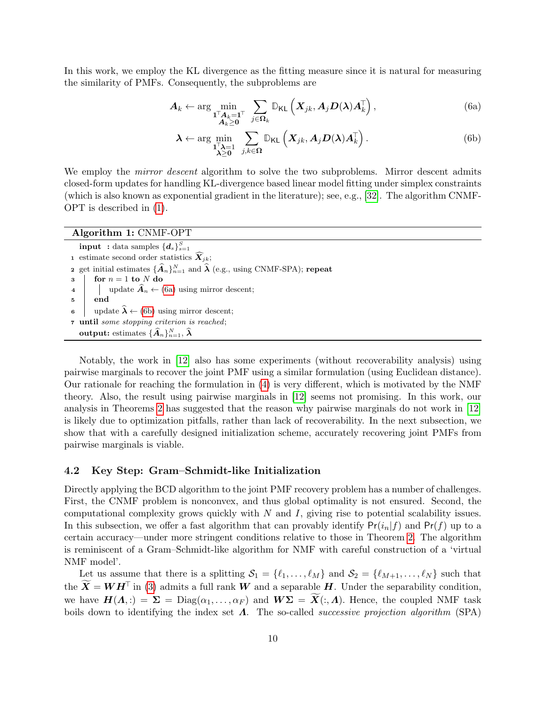In this work, we employ the KL divergence as the fitting measure since it is natural for measuring the similarity of PMFs. Consequently, the subproblems are

$$
\boldsymbol{A}_{k} \leftarrow \arg\min_{\substack{\mathbf{I}^{\top}\boldsymbol{A}_{k}=\mathbf{I}^{\top}\\ \boldsymbol{A}_{k}\geq\mathbf{0}}}\sum_{j\in\boldsymbol{\Omega}_{k}}\mathbb{D}_{\mathsf{KL}}\left(\boldsymbol{X}_{jk},\boldsymbol{A}_{j}\boldsymbol{D}(\boldsymbol{\lambda})\boldsymbol{A}_{k}^{\top}\right),\tag{6a}
$$

<span id="page-9-2"></span><span id="page-9-1"></span>
$$
\boldsymbol{\lambda} \leftarrow \arg \min_{\substack{\mathbf{1}^\top \boldsymbol{\lambda} = 1 \\ \boldsymbol{\lambda} \geq \mathbf{0}}} \sum_{j,k \in \mathbf{\Omega}} \mathbb{D}_{\mathsf{KL}}\left(\boldsymbol{X}_{jk}, \boldsymbol{A}_j \boldsymbol{D}(\boldsymbol{\lambda}) \boldsymbol{A}_k^\top\right). \tag{6b}
$$

We employ the *mirror descent* algorithm to solve the two subproblems. Mirror descent admits closed-form updates for handling KL-divergence based linear model fitting under simplex constraints (which is also known as exponential gradient in the literature); see, e.g., [\[32\]](#page-22-6). The algorithm CNMF-OPT is described in [\(1\)](#page-9-0).

| Algorithm 1: CNMF-OPT                                                                                             |
|-------------------------------------------------------------------------------------------------------------------|
| <b>input</b> : data samples $\{\boldsymbol{d}_s\}_{s=1}^S$                                                        |
| 1 estimate second order statistics $\widehat{X}_{ik}$ ;                                                           |
| <b>2</b> get initial estimates $\{\widehat{A}_n\}_{n=1}^N$ and $\widehat{\lambda}$ (e.g., using CNMF-SPA); repeat |
| for $n = 1$ to N do<br>$\mathbf{a}$                                                                               |
| 4     update $\widehat{A}_n \leftarrow (6a)$ using mirror descent;                                                |
| end                                                                                                               |
| update $\hat{\lambda} \leftarrow (6b)$ using mirror descent;                                                      |
| 7 until some stopping criterion is reached;                                                                       |
| output: estimates $\{\widehat{A}_n\}_{n=1}^N, \widehat{\lambda}$                                                  |

<span id="page-9-0"></span>Notably, the work in [\[12\]](#page-20-9) also has some experiments (without recoverability analysis) using pairwise marginals to recover the joint PMF using a similar formulation (using Euclidean distance). Our rationale for reaching the formulation in [\(4\)](#page-7-1) is very different, which is motivated by the NMF theory. Also, the result using pairwise marginals in [\[12\]](#page-20-9) seems not promising. In this work, our analysis in Theorems [2](#page-7-2) has suggested that the reason why pairwise marginals do not work in [\[12\]](#page-20-9) is likely due to optimization pitfalls, rather than lack of recoverability. In the next subsection, we show that with a carefully designed initialization scheme, accurately recovering joint PMFs from pairwise marginals is viable.

#### 4.2 Key Step: Gram–Schmidt-like Initialization

Directly applying the BCD algorithm to the joint PMF recovery problem has a number of challenges. First, the CNMF problem is nonconvex, and thus global optimality is not ensured. Second, the computational complexity grows quickly with  $N$  and  $I$ , giving rise to potential scalability issues. In this subsection, we offer a fast algorithm that can provably identify  $Pr(i_n|f)$  and  $Pr(f)$  up to a certain accuracy—under more stringent conditions relative to those in Theorem [2.](#page-7-2) The algorithm is reminiscent of a Gram–Schmidt-like algorithm for NMF with careful construction of a 'virtual NMF model'.

Let us assume that there is a splitting  $S_1 = \{\ell_1, \ldots, \ell_M\}$  and  $S_2 = \{\ell_{M+1}, \ldots, \ell_N\}$  such that the  $\widetilde{X} = WH^{\top}$  in [\(3\)](#page-7-3) admits a full rank W and a separable H. Under the separability condition, we have  $H(\Lambda, \cdot) = \Sigma = \text{Diag}(\alpha_1, \ldots, \alpha_F)$  and  $W\Sigma = X(:, \Lambda)$ . Hence, the coupled NMF task boils down to identifying the index set  $\Lambda$ . The so-called *successive projection algorithm* (SPA)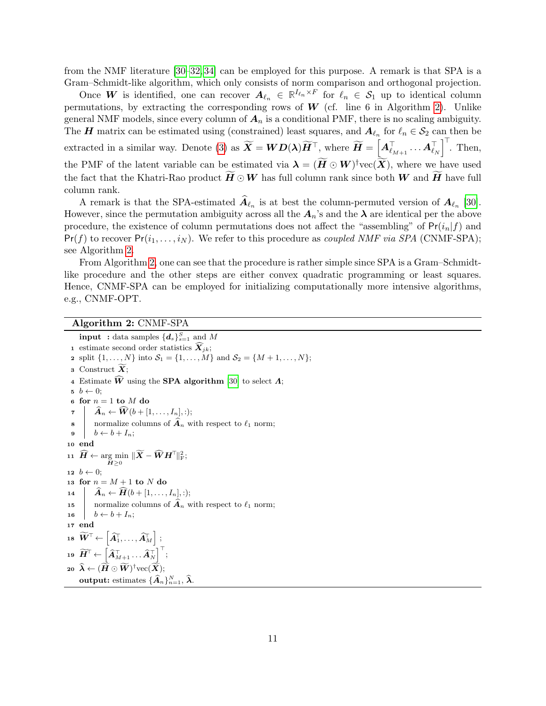from the NMF literature [\[30–](#page-21-14)[32,](#page-22-6) [34\]](#page-22-0) can be employed for this purpose. A remark is that SPA is a Gram–Schmidt-like algorithm, which only consists of norm comparison and orthogonal projection.

Once W is identified, one can recover  $A_{\ell_n} \in \mathbb{R}^{I_{\ell_n} \times F}$  for  $\ell_n \in \mathcal{S}_1$  up to identical column permutations, by extracting the corresponding rows of  $W$  (cf. line 6 in Algorithm [2\)](#page-10-0). Unlike general NMF models, since every column of  $A_n$  is a conditional PMF, there is no scaling ambiguity. The H matrix can be estimated using (constrained) least squares, and  $A_{\ell_n}$  for  $\ell_n \in S_2$  can then be extracted in a similar way. Denote [\(3\)](#page-7-3) as  $\widetilde{\bm{X}} = \bm{W}\bm{D}(\bm{\lambda})\widetilde{\bm{H}}^{\top}$ , where  $\widetilde{\bm{H}} = \left[\bm{A}_{\ell_{M+1}}^{\top} \cdots \bm{A}_{\ell_{N}}^{\top}\right]^{\top}$ . Then, the PMF of the latent variable can be estimated via  $\boldsymbol{\lambda} = (\tilde{\boldsymbol{H}} \odot \boldsymbol{W})^{\dagger} \text{vec}(\tilde{\boldsymbol{X}})$ , where we have used the fact that the Khatri-Rao product  $H \odot W$  has full column rank since both W and H have full column rank.

A remark is that the SPA-estimated  $A_{\ell_n}$  is at best the column-permuted version of  $A_{\ell_n}$  [\[30\]](#page-21-14). However, since the permutation ambiguity across all the  $A_n$ 's and the  $\lambda$  are identical per the above procedure, the existence of column permutations does not affect the "assembling" of  $Pr(i_n|f)$  and  $Pr(f)$  to recover  $Pr(i_1, \ldots, i_N)$ . We refer to this procedure as *coupled NMF via SPA* (CNMF-SPA); see Algorithm [2.](#page-10-0)

From Algorithm [2,](#page-10-0) one can see that the procedure is rather simple since SPA is a Gram–Schmidtlike procedure and the other steps are either convex quadratic programming or least squares. Hence, CNMF-SPA can be employed for initializing computationally more intensive algorithms, e.g., CNMF-OPT.

Algorithm 2: CNMF-SPA

<span id="page-10-0"></span> $\mathbf{input} \; : \text{data samples} \; \{\boldsymbol{d}_{s}\}_{s=1}^{S} \; \text{and} \; M$ 1 estimate second order statistics  $\widehat{X}_{ik}$ ; 2 split  $\{1, ..., N\}$  into  $S_1 = \{1, ..., M\}$  and  $S_2 = \{M + 1, ..., N\};$ 3 Construct  $\overline{X}$ ; 4 Estimate  $\widehat{W}$  using the **SPA** algorithm [\[30\]](#page-21-14) to select  $\Lambda$ ;  $b \leftarrow 0$ ; 6 for  $n = 1$  to  $M$  do  $\tau \mid \hat{A}_n \leftarrow \hat{W}(b + [1, \ldots, I_n], :);$ **8** normalize columns of  $\widehat{A}_n$  with respect to  $\ell_1$  norm;<br>**9**  $b \leftarrow b + I_n$ :  $b \leftarrow b + I_n;$ <sup>10</sup> end  $\begin{aligned} \textbf{11} \ \ \ \widetilde{\boldsymbol{H}} \leftarrow \argmin_{\boldsymbol{H} \geq 0} \ \|\widetilde{\boldsymbol{X}}-\widehat{\boldsymbol{W}}\boldsymbol{H}^{\top}\|_{\text{F}}^2; \end{aligned}$ 12  $b \leftarrow 0$ ; 13 for  $n = M + 1$  to N do 14  $\hat{A}_n \leftarrow \widehat{H}(b + [1, \ldots, I_n], :);$ <br>15 normalize columns of  $\widehat{A}_n$  w 15 normalize columns of  $\hat{A}_n$  with respect to  $\ell_1$  norm;<br>16  $b \leftarrow b + I_n$ ;  $b \leftarrow b + I_n;$ <sup>17</sup> end 18  $\widetilde W^\top\!\leftarrow\! \left[\widehat A_1^\top\!,\ldots,\widehat A_M^\top\right]$  ; 19  $\widetilde{\boldsymbol{H}}^\top {\leftarrow} \left[ \widehat{\boldsymbol{A}}_{M+1}^\top \ldots \widehat{\boldsymbol{A}}_N^\top \right]^\top;$  $\begin{aligned} \mathbf{20} \ \ \widehat{\boldsymbol{\lambda}} \leftarrow (\widetilde{\boldsymbol{H}} \odot \widetilde{\boldsymbol{W}})^\dagger {\rm vec}(\widetilde{\boldsymbol{X}}); \end{aligned}$ output: estimates  $\{\widehat{\boldsymbol{A}}_n\}_{n=1}^N, \widehat{\boldsymbol{\lambda}}.$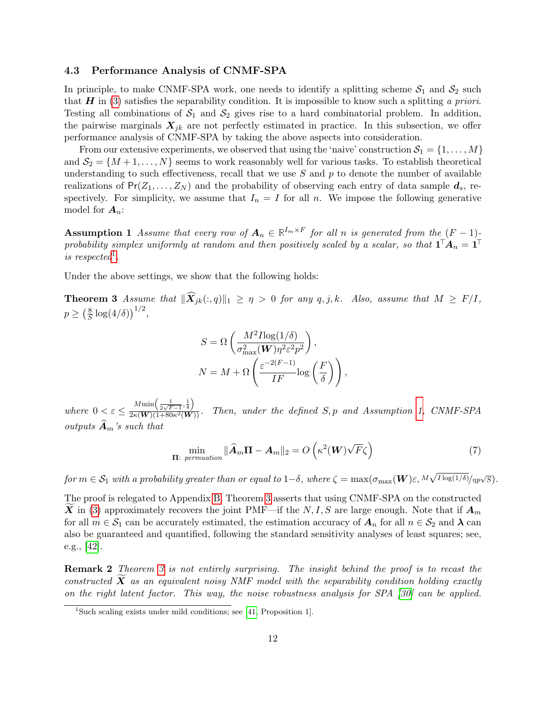#### <span id="page-11-3"></span>4.3 Performance Analysis of CNMF-SPA

In principle, to make CNMF-SPA work, one needs to identify a splitting scheme  $S_1$  and  $S_2$  such that  $H$  in [\(3\)](#page-7-3) satisfies the separability condition. It is impossible to know such a splitting a priori. Testing all combinations of  $S_1$  and  $S_2$  gives rise to a hard combinatorial problem. In addition, the pairwise marginals  $X_{jk}$  are not perfectly estimated in practice. In this subsection, we offer performance analysis of CNMF-SPA by taking the above aspects into consideration.

From our extensive experiments, we observed that using the 'naive' construction  $S_1 = \{1, \ldots, M\}$ and  $S_2 = \{M+1,\ldots,N\}$  seems to work reasonably well for various tasks. To establish theoretical understanding to such effectiveness, recall that we use  $S$  and  $p$  to denote the number of available realizations of  $Pr(Z_1, ..., Z_N)$  and the probability of observing each entry of data sample  $d_s$ , respectively. For simplicity, we assume that  $I_n = I$  for all n. We impose the following generative model for  $A_n$ :

<span id="page-11-1"></span>**Assumption 1** Assume that every row of  $A_n \in \mathbb{R}^{I_m \times F}$  for all n is generated from the  $(F-1)$ probability simplex uniformly at random and then positively scaled by a scalar, so that  $\mathbf{1}^\top \mathbf{A}_n = \mathbf{1}^\top$ is respected<sup>[1](#page-11-0)</sup>.

Under the above settings, we show that the following holds:

**Theorem 3** Assume that  $\|\widehat{\boldsymbol{X}}_{jk}(:, q)\|_1 \geq \eta > 0$  for any  $q, j, k$ . Also, assume that  $M \geq F/I$ ,  $p \geq \left(\frac{8}{5}\right)$  $\frac{8}{S} \log(4/\delta) \right)^{1/2},$ 

<span id="page-11-5"></span><span id="page-11-2"></span>
$$
S = \Omega \left( \frac{M^2 I \log(1/\delta)}{\sigma_{\max}^2(W) \eta^2 \varepsilon^2 p^2} \right),
$$
  

$$
N = M + \Omega \left( \frac{\varepsilon^{-2(F-1)}}{IF} \log \left( \frac{F}{\delta} \right) \right),
$$

where  $0 < \varepsilon \leq$  $M\min\left(\frac{1}{2\sqrt{F-1}},\frac{1}{4}\right)$  $\frac{(2\sqrt{F}-1)^24}{2\kappa(W)(1+80\kappa^2(W))}$ . Then, under the defined S, p and Assumption [1,](#page-11-1) CNMF-SPA outputs  $\mathbf{A}_m$ 's such that

$$
\min_{\Pi:\,\, permutation} \|\widehat{\mathbf{A}}_m \Pi - \mathbf{A}_m\|_2 = O\left(\kappa^2(\mathbf{W})\sqrt{F}\zeta\right) \tag{7}
$$

for  $m\in\mathcal{S}_1$  with a probability greater than or equal to  $1-\delta,$  where  $\zeta=\max(\sigma_{\max}(\bm{W})\varepsilon, M)$  $\sqrt{I\log(1/\delta)}/\eta p\sqrt{S}$ .

The proof is relegated to Appendix [B.](#page-24-0) Theorem [3](#page-11-2) asserts that using CNMF-SPA on the constructed X in [\(3\)](#page-7-3) approximately recovers the joint PMF—if the N, I, S are large enough. Note that if  $A_m$ for all  $m \in \mathcal{S}_1$  can be accurately estimated, the estimation accuracy of  $A_n$  for all  $n \in \mathcal{S}_2$  and  $\lambda$  can also be guaranteed and quantified, following the standard sensitivity analyses of least squares; see, e.g., [\[42\]](#page-22-7).

<span id="page-11-4"></span>Remark 2 Theorem [3](#page-11-2) is not entirely surprising. The insight behind the proof is to recast the constructed  $\boldsymbol{X}$  as an equivalent noisy NMF model with the separability condition holding exactly on the right latent factor. This way, the noise robustness analysis for SPA [\[30\]](#page-21-14) can be applied.

<span id="page-11-0"></span><sup>&</sup>lt;sup>1</sup>Such scaling exists under mild conditions; see [\[41,](#page-22-8) Proposition 1].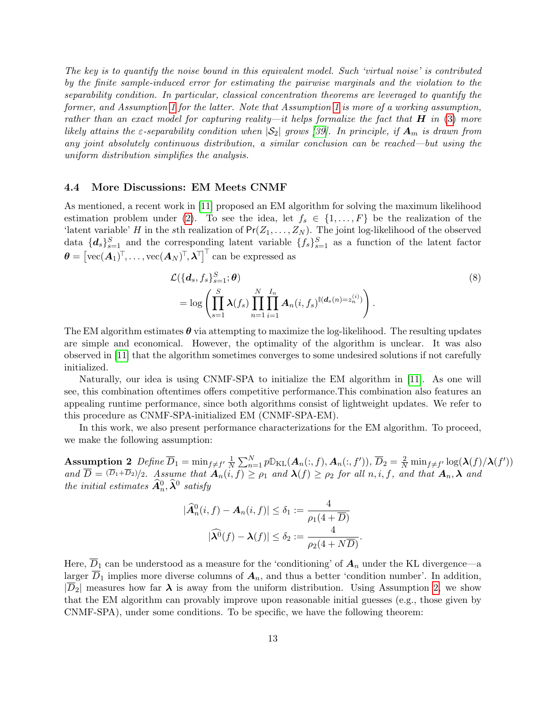The key is to quantify the noise bound in this equivalent model. Such 'virtual noise' is contributed by the finite sample-induced error for estimating the pairwise marginals and the violation to the separability condition. In particular, classical concentration theorems are leveraged to quantify the former, and Assumption [1](#page-11-1) for the latter. Note that Assumption [1](#page-11-1) is more of a working assumption, rather than an exact model for capturing reality—it helps formalize the fact that  $H$  in [\(3\)](#page-7-3) more likely attains the  $\varepsilon$ -separability condition when  $|S_2|$  grows [\[39\]](#page-22-4). In principle, if  $A_m$  is drawn from any joint absolutely continuous distribution, a similar conclusion can be reached—but using the uniform distribution simplifies the analysis.

#### 4.4 More Discussions: EM Meets CNMF

As mentioned, a recent work in [\[11\]](#page-20-8) proposed an EM algorithm for solving the maximum likelihood estimation problem under [\(2\)](#page-3-1). To see the idea, let  $f_s \in \{1, \ldots, F\}$  be the realization of the 'latent variable' H in the sth realization of  $Pr(Z_1, ..., Z_N)$ . The joint log-likelihood of the observed data  ${d_s}_{s=1}^S$  and the corresponding latent variable  ${f_s}_{s=1}^S$  as a function of the latent factor  $\boldsymbol{\theta} = \left[ \text{vec}(\boldsymbol{A}_1)^\top, \ldots, \text{vec}(\boldsymbol{A}_N)^\top, \boldsymbol{\lambda}^\top \right]^\top$  can be expressed as

<span id="page-12-2"></span>
$$
\mathcal{L}(\lbrace \mathbf{d}_s, f_s \rbrace_{s=1}^S; \boldsymbol{\theta})
$$
\n
$$
= \log \left( \prod_{s=1}^S \lambda(f_s) \prod_{n=1}^N \prod_{i=1}^{I_n} \boldsymbol{A}_n(i, f_s)^{\mathbb{I}(\mathbf{d}_s(n) = z_n^{(i)})} \right).
$$
\n(8)

The EM algorithm estimates  $\theta$  via attempting to maximize the log-likelihood. The resulting updates are simple and economical. However, the optimality of the algorithm is unclear. It was also observed in [\[11\]](#page-20-8) that the algorithm sometimes converges to some undesired solutions if not carefully initialized.

Naturally, our idea is using CNMF-SPA to initialize the EM algorithm in [\[11\]](#page-20-8). As one will see, this combination oftentimes offers competitive performance.This combination also features an appealing runtime performance, since both algorithms consist of lightweight updates. We refer to this procedure as CNMF-SPA-initialized EM (CNMF-SPA-EM).

In this work, we also present performance characterizations for the EM algorithm. To proceed, we make the following assumption:

<span id="page-12-0"></span>**Assumption 2** Define  $\overline{D}_1 = \min_{f \neq f'} \frac{1}{N}$  $\frac{1}{N}\sum_{n=1}^Np\mathbb{D}_{\mathrm{KL}}(\boldsymbol{A}_n(:,f),\boldsymbol{A}_n(:,f')), \overline{D}_2=\frac{2}{N}\min_{f\neq f'}\log(\boldsymbol{\lambda}(f)/\boldsymbol{\lambda}(f'))$ and  $\overline{D} = (\overline{D}_1 + \overline{D}_2)/2$ . Assume that  $A_n(i, f) \ge \rho_1$  and  $\lambda(f) \ge \rho_2$  for all  $n, i, f$ , and that  $A_n, \lambda$  and the initial estimates  $\widehat{A}_n^0, \widehat{\lambda}^0$  satisfy

<span id="page-12-1"></span>
$$
|\widehat{A}_n^0(i, f) - A_n(i, f)| \le \delta_1 := \frac{4}{\rho_1(4 + \overline{D})}
$$

$$
|\widehat{\lambda^0}(f) - \lambda(f)| \le \delta_2 := \frac{4}{\rho_2(4 + N\overline{D})}.
$$

Here,  $\overline{D}_1$  can be understood as a measure for the 'conditioning' of  $A_n$  under the KL divergence—a larger  $\overline{D}_1$  implies more diverse columns of  $A_n$ , and thus a better 'condition number'. In addition,  $|\overline{D}_2|$  measures how far  $\lambda$  is away from the uniform distribution. Using Assumption [2,](#page-12-0) we show that the EM algorithm can provably improve upon reasonable initial guesses (e.g., those given by CNMF-SPA), under some conditions. To be specific, we have the following theorem: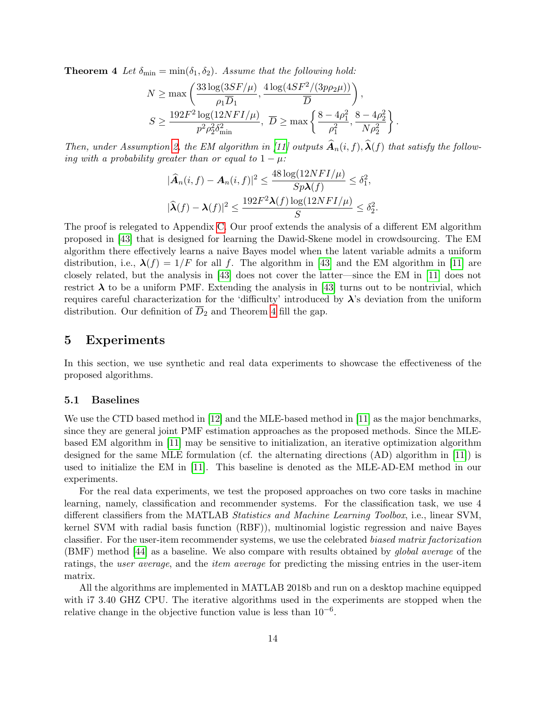**Theorem 4** Let  $\delta_{\min} = \min(\delta_1, \delta_2)$ . Assume that the following hold:

$$
N \ge \max\left(\frac{33\log(3SF/\mu)}{\rho_1 \overline{D}_1}, \frac{4\log(4SF^2/(3p\rho_2\mu))}{\overline{D}}\right),
$$
  

$$
S \ge \frac{192F^2\log(12NFI/\mu)}{p^2\rho_2^2\delta_{\min}^2}, \overline{D} \ge \max\left\{\frac{8-4\rho_1^2}{\rho_1^2}, \frac{8-4\rho_2^2}{N\rho_2^2}\right\}
$$

.

Then, under Assumption [2,](#page-12-0) the EM algorithm in [\[11\]](#page-20-8) outputs  $\widehat{A}_n(i, f), \widehat{\lambda}(f)$  that satisfy the following with a probability greater than or equal to  $1 - \mu$ :

$$
|\widehat{A}_n(i, f) - A_n(i, f)|^2 \le \frac{48 \log(12NFI/\mu)}{Sp\lambda(f)} \le \delta_1^2,
$$
  

$$
|\widehat{\lambda}(f) - \lambda(f)|^2 \le \frac{192F^2\lambda(f) \log(12NFI/\mu)}{S} \le \delta_2^2.
$$

The proof is relegated to Appendix [C.](#page-28-0) Our proof extends the analysis of a different EM algorithm proposed in [\[43\]](#page-22-9) that is designed for learning the Dawid-Skene model in crowdsourcing. The EM algorithm there effectively learns a naive Bayes model when the latent variable admits a uniform distribution, i.e.,  $\lambda(f) = 1/F$  for all f. The algorithm in [\[43\]](#page-22-9) and the EM algorithm in [\[11\]](#page-20-8) are closely related, but the analysis in [\[43\]](#page-22-9) does not cover the latter—since the EM in [\[11\]](#page-20-8) does not restrict  $\lambda$  to be a uniform PMF. Extending the analysis in [\[43\]](#page-22-9) turns out to be nontrivial, which requires careful characterization for the 'difficulty' introduced by  $\lambda$ 's deviation from the uniform distribution. Our definition of  $D_2$  and Theorem [4](#page-12-1) fill the gap.

### 5 Experiments

In this section, we use synthetic and real data experiments to showcase the effectiveness of the proposed algorithms.

#### <span id="page-13-0"></span>5.1 Baselines

We use the CTD based method in [\[12\]](#page-20-9) and the MLE-based method in [\[11\]](#page-20-8) as the major benchmarks, since they are general joint PMF estimation approaches as the proposed methods. Since the MLEbased EM algorithm in [\[11\]](#page-20-8) may be sensitive to initialization, an iterative optimization algorithm designed for the same MLE formulation (cf. the alternating directions (AD) algorithm in [\[11\]](#page-20-8)) is used to initialize the EM in [\[11\]](#page-20-8). This baseline is denoted as the MLE-AD-EM method in our experiments.

For the real data experiments, we test the proposed approaches on two core tasks in machine learning, namely, classification and recommender systems. For the classification task, we use 4 different classifiers from the MATLAB Statistics and Machine Learning Toolbox, i.e., linear SVM, kernel SVM with radial basis function (RBF)), multinomial logistic regression and naive Bayes classifier. For the user-item recommender systems, we use the celebrated biased matrix factorization (BMF) method [\[44\]](#page-22-10) as a baseline. We also compare with results obtained by global average of the ratings, the user average, and the *item average* for predicting the missing entries in the user-item matrix.

All the algorithms are implemented in MATLAB 2018b and run on a desktop machine equipped with i7 3.40 GHZ CPU. The iterative algorithms used in the experiments are stopped when the relative change in the objective function value is less than  $10^{-6}$ .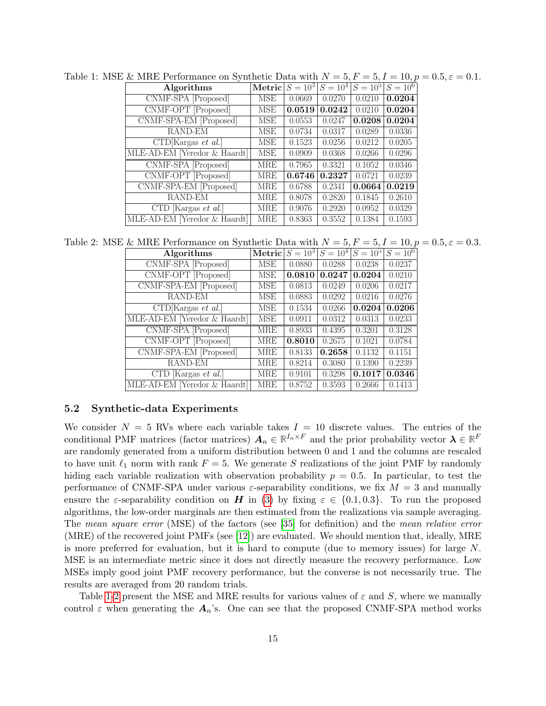<span id="page-14-0"></span>

| Algorithms               |            |                                                              |        |                                              |        |                                                                                                                                                                                                                |
|--------------------------|------------|--------------------------------------------------------------|--------|----------------------------------------------|--------|----------------------------------------------------------------------------------------------------------------------------------------------------------------------------------------------------------------|
| CNMF-SPA [Proposed]      | MSE        | 0.0669                                                       | 0.0270 | 0.0210                                       | 0.0204 |                                                                                                                                                                                                                |
| CNMF-OPT [Proposed]      | MSE        |                                                              |        | 0.0210                                       | 0.0204 |                                                                                                                                                                                                                |
| CNMF-SPA-EM [Proposed]   | MSE        | 0.0553                                                       | 0.0247 |                                              | 0.0204 |                                                                                                                                                                                                                |
| RAND-EM                  | MSE        | 0.0734                                                       | 0.0317 | 0.0289                                       | 0.0336 |                                                                                                                                                                                                                |
| CTD[Kargas et al.]       | MSE        | 0.1523                                                       | 0.0256 | 0.0212                                       | 0.0205 |                                                                                                                                                                                                                |
|                          | <b>MSE</b> | 0.0909                                                       | 0.0368 | 0.0266                                       | 0.0296 |                                                                                                                                                                                                                |
| CNMF-SPA [Proposed]      | <b>MRE</b> | 0.7965                                                       | 0.3321 | 0.1052                                       | 0.0346 |                                                                                                                                                                                                                |
| CNMF-OPT [Proposed]      | MRE        |                                                              |        | 0.0721                                       | 0.0239 |                                                                                                                                                                                                                |
| CNMF-SPA-EM [Proposed]   | MRE        | 0.6788                                                       | 0.2341 |                                              | 0.0219 |                                                                                                                                                                                                                |
| RAND-EM                  | MRE        | 0.8078                                                       | 0.2820 | 0.1845                                       | 0.2610 |                                                                                                                                                                                                                |
| CTD [Kargas $et \ al.$ ] | MRE        | 0.9076                                                       | 0.2920 | 0.0952                                       | 0.0329 |                                                                                                                                                                                                                |
|                          | MRE        | 0.8363                                                       | 0.3552 | 0.1384                                       | 0.1593 |                                                                                                                                                                                                                |
|                          |            | MLE-AD-EM [Yeredor & Haardt]<br>MLE-AD-EM [Yeredor & Haardt] |        | $0.0519 \mid 0.0242$<br>$0.6746 \mid 0.2327$ |        | Table 1: MSE & MRE Performance on Synthetic Data with $N = 5, F = 5, I = 10, p = 0.5, \varepsilon = 0.1$ .<br>$\text{Metric}\left S=10^3\right S=\overline{10^4\left S=10^5\right S=10^6}$<br>0.0208<br>0.0664 |

Table 2: MSE & MRE Performance on Synthetic Data with  $N = 5, F = 5, I = 10, p = 0.5, \varepsilon = 0.3$ .<br>Algorithms Metric  $S = 10^3 |S = 10^4 |S = 10^5 |S = 10^6$ 

<span id="page-14-1"></span>

| Algorithms                               | Metric     | $S = 10^3$ | $S = 10^4$ | $S = 10^{5}$ | $S = 10^{6}$ |
|------------------------------------------|------------|------------|------------|--------------|--------------|
| CNMF-SPA [Proposed]                      | <b>MSE</b> | 0.0880     | 0.0288     | 0.0238       | 0.0237       |
| CNMF-OPT [Proposed]                      | <b>MSE</b> | 0.0810     | 0.0247     | 0.0204       | 0.0210       |
| CNMF-SPA-EM [Proposed]                   | MSE        | 0.0813     | 0.0249     | 0.0206       | 0.0217       |
| RAND-EM                                  | MSE        | 0.0883     | 0.0292     | 0.0216       | 0.0276       |
| $\overline{CTD}$ [Kargas <i>et al.</i> ] | MSE        | 0.1534     | 0.0266     | 0.0204       | 0.0206       |
| MLE-AD-EM [Yeredor & Haardt]             | <b>MSE</b> | 0.0911     | 0.0312     | 0.0313       | 0.0233       |
| CNMF-SPA [Proposed]                      | <b>MRE</b> | 0.8933     | 0.4395     | 0.3201       | 0.3128       |
| $CNM\overline{F-OPT}$ [Proposed]         | MRE        | 0.8010     | 0.2675     | 0.1021       | 0.0784       |
| CNMF-SPA-EM [Proposed]                   | <b>MRE</b> | 0.8133     | 0.2658     | 0.1132       | 0.1151       |
| RAND-EM                                  | MRE        | 0.8214     | 0.3080     | 0.1390       | 0.2239       |
| [Kargas <i>et al.</i> ]<br>CTD.          | MRE        | 0.9101     | 0.3298     | 0.1017       | 0.0346       |
| MLE-AD-EM [Yeredor & Haardt]             | MRE        | 0.8752     | 0.3593     | 0.2666       | 0.1413       |

#### 5.2 Synthetic-data Experiments

We consider  $N = 5$  RVs where each variable takes  $I = 10$  discrete values. The entries of the conditional PMF matrices (factor matrices)  $A_n \in \mathbb{R}^{I_n \times F}$  and the prior probability vector  $\boldsymbol{\lambda} \in \mathbb{R}^F$ are randomly generated from a uniform distribution between 0 and 1 and the columns are rescaled to have unit  $\ell_1$  norm with rank  $F = 5$ . We generate S realizations of the joint PMF by randomly hiding each variable realization with observation probability  $p = 0.5$ . In particular, to test the performance of CNMF-SPA under various  $\varepsilon$ -separability conditions, we fix  $M = 3$  and manually ensure the  $\varepsilon$ -separability condition on H in [\(3\)](#page-7-3) by fixing  $\varepsilon \in \{0.1, 0.3\}$ . To run the proposed algorithms, the low-order marginals are then estimated from the realizations via sample averaging. The mean square error (MSE) of the factors (see [\[35\]](#page-22-1) for definition) and the mean relative error (MRE) of the recovered joint PMFs (see [\[12\]](#page-20-9)) are evaluated. We should mention that, ideally, MRE is more preferred for evaluation, but it is hard to compute (due to memory issues) for large N. MSE is an intermediate metric since it does not directly measure the recovery performance. Low MSEs imply good joint PMF recovery performance, but the converse is not necessarily true. The results are averaged from 20 random trials.

Table [1](#page-14-0)[-2](#page-14-1) present the MSE and MRE results for various values of  $\varepsilon$  and S, where we manually control  $\varepsilon$  when generating the  $A_n$ 's. One can see that the proposed CNMF-SPA method works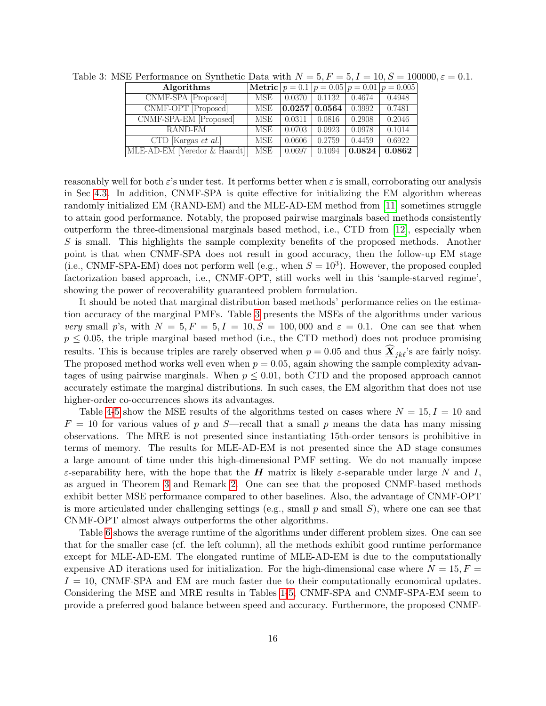| Table 3: MSE Performance on Synthetic Data with $N = 5, F = 5, I = 10, S = 100000, \varepsilon = 0.1$ . |     |        |                                                |                               |                                                           |  |
|---------------------------------------------------------------------------------------------------------|-----|--------|------------------------------------------------|-------------------------------|-----------------------------------------------------------|--|
| Algorithms                                                                                              |     |        |                                                |                               | <b>Metric</b> $p = 0.1$ $p = 0.05$ $p = 0.01$ $p = 0.005$ |  |
| CNMF-SPA [Proposed]                                                                                     | MSE |        | $\vert 0.0370 \vert 0.1132 \vert 0.4674$       |                               | 0.4948                                                    |  |
| CNMF-OPT [Proposed]                                                                                     | MSE |        | $\vert 0.0257 \vert 0.0564 \vert 0.3992 \vert$ |                               | 0.7481                                                    |  |
| CNMF-SPA-EM [Proposed]                                                                                  | MSE | 0.0311 | 0.0816                                         | 0.2908                        | 0.2046                                                    |  |
| RAND-EM                                                                                                 | MSE | 0.0703 | 0.0923                                         | 0.0978                        | 0.1014                                                    |  |
| CTD [Kargas $et \ al.$ ]                                                                                | MSE | 0.0606 | 0.2759                                         | 0.4459                        | 0.6922                                                    |  |
| MLE-AD-EM [Yeredor & Haardt]]                                                                           | MSE | 0.0697 |                                                | $\mid$ 0.1094   <b>0.0824</b> | 0.0862                                                    |  |
|                                                                                                         |     |        |                                                |                               |                                                           |  |

<span id="page-15-0"></span>

reasonably well for both  $\varepsilon$ 's under test. It performs better when  $\varepsilon$  is small, corroborating our analysis in Sec [4.3.](#page-11-3) In addition, CNMF-SPA is quite effective for initializing the EM algorithm whereas randomly initialized EM (RAND-EM) and the MLE-AD-EM method from [\[11\]](#page-20-8) sometimes struggle to attain good performance. Notably, the proposed pairwise marginals based methods consistently outperform the three-dimensional marginals based method, i.e., CTD from [\[12\]](#page-20-9), especially when S is small. This highlights the sample complexity benefits of the proposed methods. Another point is that when CNMF-SPA does not result in good accuracy, then the follow-up EM stage (i.e., CNMF-SPA-EM) does not perform well (e.g., when  $S = 10<sup>3</sup>$ ). However, the proposed coupled factorization based approach, i.e., CNMF-OPT, still works well in this 'sample-starved regime', showing the power of recoverability guaranteed problem formulation.

It should be noted that marginal distribution based methods' performance relies on the estimation accuracy of the marginal PMFs. Table [3](#page-15-0) presents the MSEs of the algorithms under various very small p's, with  $N = 5, F = 5, I = 10, S = 100,000$  and  $\varepsilon = 0.1$ . One can see that when  $p \leq 0.05$ , the triple marginal based method (i.e., the CTD method) does not produce promising results. This is because triples are rarely observed when  $p = 0.05$  and thus  $\hat{\mathbf{X}}_{jk\ell}$ 's are fairly noisy. The proposed method works well even when  $p = 0.05$ , again showing the sample complexity advantages of using pairwise marginals. When  $p \leq 0.01$ , both CTD and the proposed approach cannot accurately estimate the marginal distributions. In such cases, the EM algorithm that does not use higher-order co-occurrences shows its advantages.

Table [4-](#page-16-0)[5](#page-16-1) show the MSE results of the algorithms tested on cases where  $N = 15, I = 10$  and  $F = 10$  for various values of p and S—recall that a small p means the data has many missing observations. The MRE is not presented since instantiating 15th-order tensors is prohibitive in terms of memory. The results for MLE-AD-EM is not presented since the AD stage consumes a large amount of time under this high-dimensional PMF setting. We do not manually impose  $\varepsilon$ -separability here, with the hope that the **H** matrix is likely  $\varepsilon$ -separable under large N and I, as argued in Theorem [3](#page-11-2) and Remark [2.](#page-11-4) One can see that the proposed CNMF-based methods exhibit better MSE performance compared to other baselines. Also, the advantage of CNMF-OPT is more articulated under challenging settings (e.g., small  $p$  and small  $S$ ), where one can see that CNMF-OPT almost always outperforms the other algorithms.

Table [6](#page-16-2) shows the average runtime of the algorithms under different problem sizes. One can see that for the smaller case (cf. the left column), all the methods exhibit good runtime performance except for MLE-AD-EM. The elongated runtime of MLE-AD-EM is due to the computationally expensive AD iterations used for initialization. For the high-dimensional case where  $N = 15, F =$  $I = 10$ , CNMF-SPA and EM are much faster due to their computationally economical updates. Considering the MSE and MRE results in Tables [1-](#page-14-0)[5,](#page-16-1) CNMF-SPA and CNMF-SPA-EM seem to provide a preferred good balance between speed and accuracy. Furthermore, the proposed CNMF-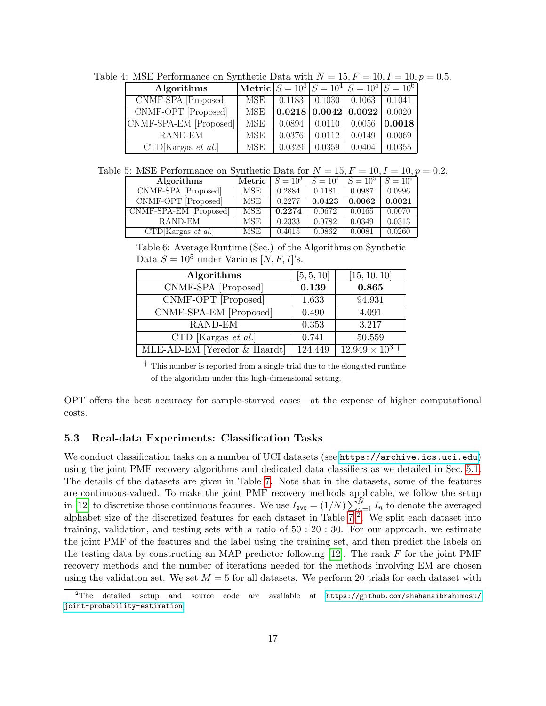<span id="page-16-0"></span>

| Table 4: MSE Performance on Synthetic Data with $N = 15, F = 10, I = 10, p = 0.5$ . |                                                             |        |                                                       |        |        |  |
|-------------------------------------------------------------------------------------|-------------------------------------------------------------|--------|-------------------------------------------------------|--------|--------|--|
| Algorithms                                                                          | $\text{[Metric]} S = 10^3   S = 10^4   S = 10^5   S = 10^6$ |        |                                                       |        |        |  |
| CNMF-SPA [Proposed]                                                                 |                                                             |        | MSE   $0.1183$   $0.1030$   $0.1063$   $0.1041$       |        |        |  |
| $\overline{\text{CNMF-OPT [Proposed]}}$                                             | MSE                                                         |        | $\vert 0.0218 \vert 0.0042 \vert 0.0022 \vert 0.0020$ |        |        |  |
| CNMF-SPA-EM [Proposed]                                                              | MSE                                                         |        | $0.0894 \mid 0.0110 \mid 0.0056 \mid 0.0018$          |        |        |  |
| RAND-EM                                                                             | MSE                                                         | 0.0376 | $0.0112$                                              | 0.0149 | 0.0069 |  |
| CTD[Kargas et al.]                                                                  | MSE                                                         | 0.0329 | 0.0359                                                | 0.0404 | 0.0355 |  |

Table 5: MSE Performance on Synthetic Data for  $N = 15, F = 10, I = 10, p = 0.2$ .

<span id="page-16-1"></span>

| Algorithms             | Metric     | $S = 10^3$ | $S = 10^4$ | $S = 10^5$ | $S = 10^6$ |
|------------------------|------------|------------|------------|------------|------------|
| CNMF-SPA [Proposed]    | <b>MSE</b> | 0.2884     | 0.1181     | 0.0987     | 0.0996     |
| CNMF-OPT [Proposed]    | MSE        | 0.2277     | 0.0423     | 0.0062     | 0.0021     |
| CNMF-SPA-EM [Proposed] | <b>MSE</b> | 0.2274     | 0.0672     | 0.0165     | 0.0070     |
| RAND-EM                | MSE        | 0.2333     | 0.0782     | 0.0349     | 0.0313     |
| CTD[Kargas et al.]     | MSE        | 0.4015     | 0.0862     | 0.0081     | 0.0260     |

<span id="page-16-2"></span>Table 6: Average Runtime (Sec.) of the Algorithms on Synthetic Data  $S = 10^5$  under Various  $[N, F, I]$ 's.

| Algorithms                   | [5, 5, 10] | [15, 10, 10]           |
|------------------------------|------------|------------------------|
| CNMF-SPA [Proposed]          | 0.139      | 0.865                  |
| CNMF-OPT [Proposed]          | 1.633      | 94.931                 |
| CNMF-SPA-EM [Proposed]       | 0.490      | 4.091                  |
| RAND-EM                      | 0.353      | 3.217                  |
| CTD [Kargas et al.]          | 0.741      | 50.559                 |
| MLE-AD-EM [Yeredor & Haardt] | 124.449    | $12.949 \times 10^{3}$ |

† This number is reported from a single trial due to the elongated runtime of the algorithm under this high-dimensional setting.

OPT offers the best accuracy for sample-starved cases—at the expense of higher computational costs.

#### 5.3 Real-data Experiments: Classification Tasks

We conduct classification tasks on a number of UCI datasets (see <https://archive.ics.uci.edu>) using the joint PMF recovery algorithms and dedicated data classifiers as we detailed in Sec. [5.1.](#page-13-0) The details of the datasets are given in Table [7.](#page-17-0) Note that in the datasets, some of the features are continuous-valued. To make the joint PMF recovery methods applicable, we follow the setup in [\[12\]](#page-20-9) to discretize those continuous features. We use  $I_{ave} = (1/N) \sum_{n=1}^{N} I_n$  to denote the averaged alphabet size of the discretized features for each dataset in Table  $7<sup>2</sup>$  $7<sup>2</sup>$  $7<sup>2</sup>$ . We split each dataset into training, validation, and testing sets with a ratio of 50 : 20 : 30. For our approach, we estimate the joint PMF of the features and the label using the training set, and then predict the labels on the testing data by constructing an MAP predictor following  $[12]$ . The rank F for the joint PMF recovery methods and the number of iterations needed for the methods involving EM are chosen using the validation set. We set  $M = 5$  for all datasets. We perform 20 trials for each dataset with

<span id="page-16-3"></span><sup>2</sup>The detailed setup and source code are available at [https://github.com/shahanaibrahimosu/](https://github.com/shahanaibrahimosu/joint-probability-estimation) [joint-probability-estimation](https://github.com/shahanaibrahimosu/joint-probability-estimation).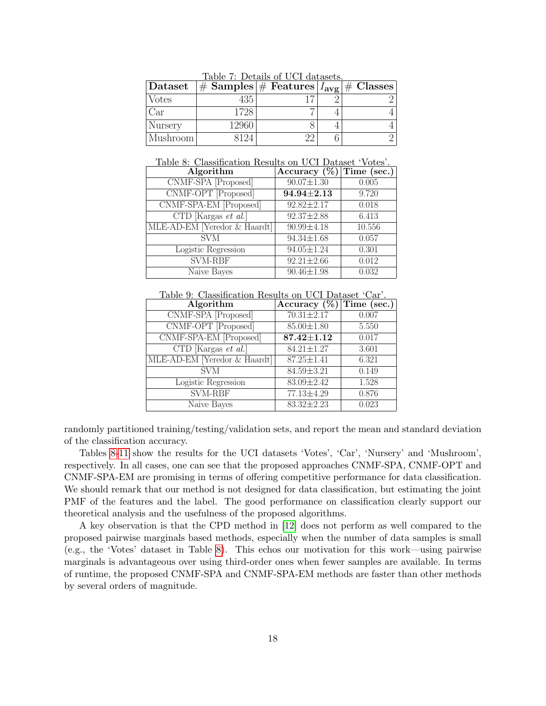| $ \mathrm{Dataset} $ |       | $ \#\text{ Samples} $ Features $ I_{avg} $ $\#$ Classes |  |
|----------------------|-------|---------------------------------------------------------|--|
| Votes                |       |                                                         |  |
| 'ar                  | 1728  |                                                         |  |
| Nursery              | -2960 |                                                         |  |
| Mushroom             |       |                                                         |  |

<span id="page-17-0"></span>Table 7: Details of UCI datasets.

<span id="page-17-1"></span>

| Table 8: Classification Results on UCI Dataset 'Votes'. |                             |        |  |  |  |
|---------------------------------------------------------|-----------------------------|--------|--|--|--|
| Algorithm                                               | Accuracy $(\%)$ Time (sec.) |        |  |  |  |
| CNMF-SPA [Proposed]                                     | $90.07 \pm 1.30$            | 0.005  |  |  |  |
| CNMF-OPT [Proposed]                                     | $94.94 \pm 2.13$            | 9.720  |  |  |  |
| CNMF-SPA-EM [Proposed]                                  | $92.82 \pm 2.17$            | 0.018  |  |  |  |
| CTD [Kargas $et \ al.$ ]                                | 92.37±2.88                  | 6.413  |  |  |  |
| MLE-AD-EM [Yeredor & Haardt]                            | $90.99 \pm 4.18$            | 10.556 |  |  |  |
| <b>SVM</b>                                              | $94.34 \pm 1.68$            | 0.057  |  |  |  |
| Logistic Regression                                     | $94.05 \pm 1.24$            | 0.301  |  |  |  |
| SVM-RBF                                                 | $92.21 \pm 2.66$            | 0.012  |  |  |  |
| Naive Bayes                                             | $90.46 \pm 1.98$            | 0.032  |  |  |  |

| Table 9: Classification Results on UCI Dataset 'Car'. |                             |       |  |  |  |
|-------------------------------------------------------|-----------------------------|-------|--|--|--|
| Algorithm                                             | Accuracy $(\%)$ Time (sec.) |       |  |  |  |
| CNMF-SPA [Proposed]                                   | $70.31 \pm 2.17$            | 0.007 |  |  |  |
| CNMF-OPT [Proposed]                                   | $85.00 \pm 1.80$            | 5.550 |  |  |  |
| CNMF-SPA-EM [Proposed]                                | $87.42 {\pm} 1.12$          | 0.017 |  |  |  |
| $\overline{\text{CTD}}$ [Kargas <i>et al.</i> ]       | $84.21 \pm 1.27$            | 3.601 |  |  |  |
| MLE-AD-EM [Yeredor & Haardt]                          | $87.25 \pm 1.41$            | 6.321 |  |  |  |
| <b>SVM</b>                                            | 84.59±3.21                  | 0.149 |  |  |  |
| Logistic Regression                                   | 83.09±2.42                  | 1.528 |  |  |  |
| SVM-RBF                                               | 77.13±4.29                  | 0.876 |  |  |  |
| Naive Bayes                                           | $83.32 \pm 2.23$            | 0.023 |  |  |  |

randomly partitioned training/testing/validation sets, and report the mean and standard deviation of the classification accuracy.

Tables [8-](#page-17-1)[11](#page-18-0) show the results for the UCI datasets 'Votes', 'Car', 'Nursery' and 'Mushroom', respectively. In all cases, one can see that the proposed approaches CNMF-SPA, CNMF-OPT and CNMF-SPA-EM are promising in terms of offering competitive performance for data classification. We should remark that our method is not designed for data classification, but estimating the joint PMF of the features and the label. The good performance on classification clearly support our theoretical analysis and the usefulness of the proposed algorithms.

A key observation is that the CPD method in [\[12\]](#page-20-9) does not perform as well compared to the proposed pairwise marginals based methods, especially when the number of data samples is small (e.g., the 'Votes' dataset in Table [8\)](#page-17-1). This echos our motivation for this work—using pairwise marginals is advantageous over using third-order ones when fewer samples are available. In terms of runtime, the proposed CNMF-SPA and CNMF-SPA-EM methods are faster than other methods by several orders of magnitude.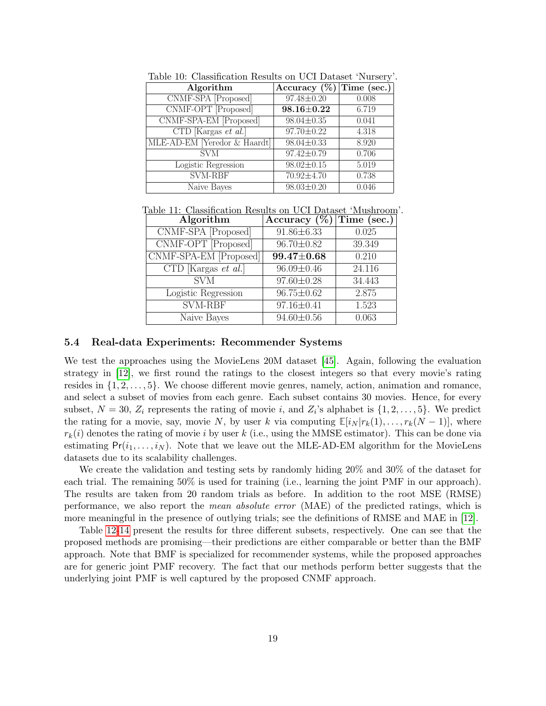| Table 10: Classification Results on UCI Dataset 'Nursery'. |                             |       |  |  |  |
|------------------------------------------------------------|-----------------------------|-------|--|--|--|
| Algorithm                                                  | Accuracy $(\%)$ Time (sec.) |       |  |  |  |
| CNMF-SPA [Proposed]                                        | 97.48±0.20                  | 0.008 |  |  |  |
| CNMF-OPT [Proposed]                                        | $98.16 \pm 0.22$            | 6.719 |  |  |  |
| CNMF-SPA-EM [Proposed]                                     | $98.04 \pm 0.35$            | 0.041 |  |  |  |
| $\overline{\text{CTD}}$ [Kargas <i>et al.</i> ]            | 97.70±0.22                  | 4.318 |  |  |  |
| MLE-AD-EM [Yeredor & Haardt]                               | 98.04±0.33                  | 8.920 |  |  |  |
| <b>SVM</b>                                                 | 97.42±0.79                  | 0.706 |  |  |  |
| Logistic Regression                                        | $98.02 \pm 0.15$            | 5.019 |  |  |  |
| <b>SVM-RBF</b>                                             | 70.92±4.70                  | 0.738 |  |  |  |
| Naive Bayes                                                | $98.03 \pm 0.20$            | 0.046 |  |  |  |

<span id="page-18-0"></span>

| Table 11: Classification Results on UCI Dataset 'Mushroom'. |                             |        |
|-------------------------------------------------------------|-----------------------------|--------|
| Algorithm                                                   | Accuracy $(\%)$ Time (sec.) |        |
| CNMF-SPA [Proposed]                                         | $91.86 \pm 6.33$            | 0.025  |
| CNMF-OPT [Proposed]                                         | $96.70 \pm 0.82$            | 39.349 |
| CNMF-SPA-EM [Proposed]                                      | $99.47 \pm 0.68$            | 0.210  |
| $CTD$ [Kargas <i>et al.</i> ]                               | $96.09 \pm 0.46$            | 24.116 |
| <b>SVM</b>                                                  | $97.60 \pm 0.28$            | 34.443 |
| Logistic Regression                                         | $96.75 \pm 0.62$            | 2.875  |
| <b>SVM-RBF</b>                                              | $97.16 \pm 0.41$            | 1.523  |
| Naive Bayes                                                 | $94.60 \pm 0.56$            | 0.063  |

#### 5.4 Real-data Experiments: Recommender Systems

We test the approaches using the MovieLens 20M dataset [\[45\]](#page-23-1). Again, following the evaluation strategy in [\[12\]](#page-20-9), we first round the ratings to the closest integers so that every movie's rating resides in  $\{1, 2, \ldots, 5\}$ . We choose different movie genres, namely, action, animation and romance, and select a subset of movies from each genre. Each subset contains 30 movies. Hence, for every subset,  $N = 30$ ,  $Z_i$  represents the rating of movie i, and  $Z_i$ 's alphabet is  $\{1, 2, \ldots, 5\}$ . We predict the rating for a movie, say, movie N, by user k via computing  $\mathbb{E}[i_N | r_k(1), \ldots, r_k(N-1)]$ , where  $r_k(i)$  denotes the rating of movie i by user k (i.e., using the MMSE estimator). This can be done via estimating  $Pr(i_1, \ldots, i_N)$ . Note that we leave out the MLE-AD-EM algorithm for the MovieLens datasets due to its scalability challenges.

We create the validation and testing sets by randomly hiding 20% and 30% of the dataset for each trial. The remaining 50% is used for training (i.e., learning the joint PMF in our approach). The results are taken from 20 random trials as before. In addition to the root MSE (RMSE) performance, we also report the mean absolute error (MAE) of the predicted ratings, which is more meaningful in the presence of outlying trials; see the definitions of RMSE and MAE in [\[12\]](#page-20-9).

Table [12](#page-19-0)[-14](#page-19-1) present the results for three different subsets, respectively. One can see that the proposed methods are promising—their predictions are either comparable or better than the BMF approach. Note that BMF is specialized for recommender systems, while the proposed approaches are for generic joint PMF recovery. The fact that our methods perform better suggests that the underlying joint PMF is well captured by the proposed CNMF approach.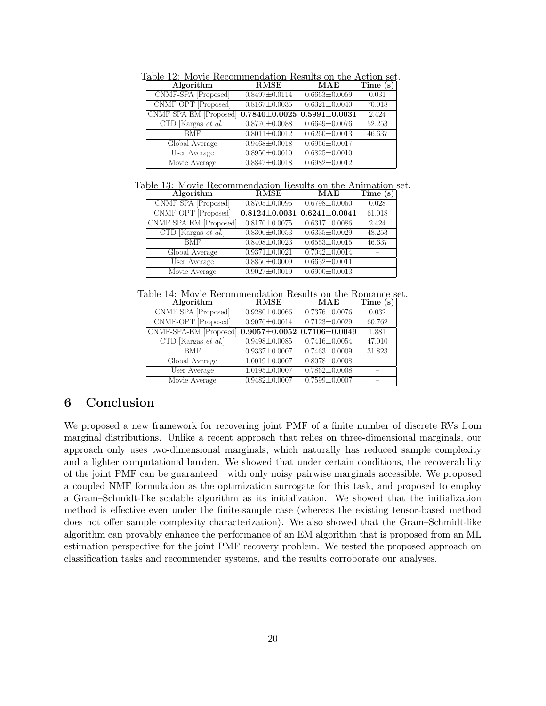<span id="page-19-0"></span>

| Table 12: Movie Recommendation Results on the Action set. |                     |                     |          |  |
|-----------------------------------------------------------|---------------------|---------------------|----------|--|
| Algorithm                                                 | RMSE                | MAE                 | Time (s) |  |
| CNMF-SPA [Proposed]                                       | $0.8497 \pm 0.0114$ | $0.6663 \pm 0.0059$ | 0.031    |  |
| CNMF-OPT [Proposed]                                       | $0.8167 \pm 0.0035$ | $0.6321 \pm 0.0040$ | 70.018   |  |
| CNMF-SPA-EM [Proposed]                                    | $0.7840\pm0.0025$   | $0.5991 \pm 0.0031$ | 2.424    |  |
| CTD [Kargas $et \ al.$ ]                                  | $0.8770 \pm 0.0088$ | $0.6649 \pm 0.0076$ | 52.253   |  |
| <b>BMF</b>                                                | $0.8011 \pm 0.0012$ | $0.6260 \pm 0.0013$ | 46.637   |  |
| Global Average                                            | $0.9468 \pm 0.0018$ | $0.6956 \pm 0.0017$ |          |  |
| User Average                                              | $0.8950 \pm 0.0010$ | $0.6825 \pm 0.0010$ |          |  |
| Movie Average                                             | $0.8847 \pm 0.0018$ | $0.6982 \pm 0.0012$ |          |  |

| Table 13: Movie Recommendation Results on the Animation set. |                          |                     |                     |          |  |  |  |
|--------------------------------------------------------------|--------------------------|---------------------|---------------------|----------|--|--|--|
|                                                              | Algorithm                | <b>RMSE</b>         | MAE                 | Time (s) |  |  |  |
|                                                              | CNMF-SPA [Proposed]      | $0.8705 \pm 0.0095$ | $0.6798 \pm 0.0060$ | 0.028    |  |  |  |
|                                                              | CNMF-OPT [Proposed]      | $0.8124 \pm 0.0031$ | $0.6241 \pm 0.0041$ | 61.018   |  |  |  |
|                                                              | CNMF-SPA-EM [Proposed]   | $0.8170 \pm 0.0075$ | $0.6317 \pm 0.0086$ | 2.424    |  |  |  |
|                                                              | CTD [Kargas $et \ al.$ ] | $0.8300 \pm 0.0053$ | $0.6335 \pm 0.0029$ | 48.253   |  |  |  |
|                                                              | <b>BMF</b>               | $0.8408 \pm 0.0023$ | $0.6553 \pm 0.0015$ | 46.637   |  |  |  |
|                                                              | Global Average           | $0.9371 \pm 0.0021$ | $0.7042 \pm 0.0014$ |          |  |  |  |
|                                                              | User Average             | $0.8850 \pm 0.0009$ | $0.6632 \pm 0.0011$ |          |  |  |  |
|                                                              | Movie Average            | $0.9027 \pm 0.0019$ | $0.6900 \pm 0.0013$ |          |  |  |  |

<span id="page-19-1"></span>

| Table 14: Movie Recommendation Results on the Romance set.     |                     |                     |          |
|----------------------------------------------------------------|---------------------|---------------------|----------|
| Algorithm                                                      | <b>RMSE</b>         | MAE                 | Time (s) |
| CNMF-SPA [Proposed]                                            | $0.9280 \pm 0.0066$ | $0.7376 \pm 0.0076$ | 0.032    |
| CNMF-OPT [Proposed]                                            | $0.9076 \pm 0.0014$ | $0.7123 \pm 0.0029$ | 60.762   |
| CNMF-SPA-EM [Proposed] $0.9057 \pm 0.0052$ 0.7106 $\pm 0.0049$ |                     |                     | 1.881    |
| CTD [Kargas $et \ al.$ ]                                       | $0.9498 \pm 0.0085$ | $0.7416 \pm 0.0054$ | 47.010   |
| <b>BMF</b>                                                     | $0.9337 \pm 0.0007$ | $0.7463 \pm 0.0009$ | 31.823   |
| Global Average                                                 | $1.0019 \pm 0.0007$ | $0.8078 \pm 0.0008$ |          |
| User Average                                                   | $1.0195 \pm 0.0007$ | $0.7862 \pm 0.0008$ |          |
| Movie Average                                                  | $0.9482 \pm 0.0007$ | $0.7599 \pm 0.0007$ |          |

# 6 Conclusion

We proposed a new framework for recovering joint PMF of a finite number of discrete RVs from marginal distributions. Unlike a recent approach that relies on three-dimensional marginals, our approach only uses two-dimensional marginals, which naturally has reduced sample complexity and a lighter computational burden. We showed that under certain conditions, the recoverability of the joint PMF can be guaranteed—with only noisy pairwise marginals accessible. We proposed a coupled NMF formulation as the optimization surrogate for this task, and proposed to employ a Gram–Schmidt-like scalable algorithm as its initialization. We showed that the initialization method is effective even under the finite-sample case (whereas the existing tensor-based method does not offer sample complexity characterization). We also showed that the Gram–Schmidt-like algorithm can provably enhance the performance of an EM algorithm that is proposed from an ML estimation perspective for the joint PMF recovery problem. We tested the proposed approach on classification tasks and recommender systems, and the results corroborate our analyses.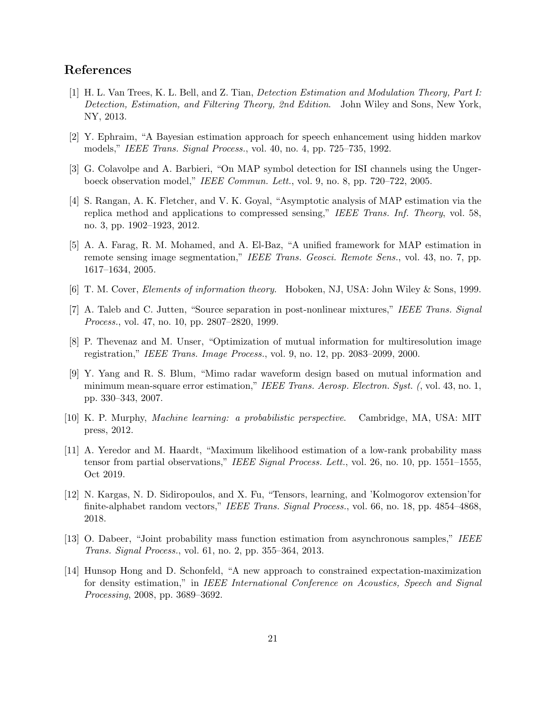# References

- <span id="page-20-0"></span>[1] H. L. Van Trees, K. L. Bell, and Z. Tian, Detection Estimation and Modulation Theory, Part I: Detection, Estimation, and Filtering Theory, 2nd Edition. John Wiley and Sons, New York, NY, 2013.
- <span id="page-20-1"></span>[2] Y. Ephraim, "A Bayesian estimation approach for speech enhancement using hidden markov models," IEEE Trans. Signal Process., vol. 40, no. 4, pp. 725–735, 1992.
- [3] G. Colavolpe and A. Barbieri, "On MAP symbol detection for ISI channels using the Ungerboeck observation model," IEEE Commun. Lett., vol. 9, no. 8, pp. 720–722, 2005.
- [4] S. Rangan, A. K. Fletcher, and V. K. Goyal, "Asymptotic analysis of MAP estimation via the replica method and applications to compressed sensing," IEEE Trans. Inf. Theory, vol. 58, no. 3, pp. 1902–1923, 2012.
- <span id="page-20-2"></span>[5] A. A. Farag, R. M. Mohamed, and A. El-Baz, "A unified framework for MAP estimation in remote sensing image segmentation," IEEE Trans. Geosci. Remote Sens., vol. 43, no. 7, pp. 1617–1634, 2005.
- <span id="page-20-3"></span>[6] T. M. Cover, Elements of information theory. Hoboken, NJ, USA: John Wiley & Sons, 1999.
- <span id="page-20-4"></span>[7] A. Taleb and C. Jutten, "Source separation in post-nonlinear mixtures," IEEE Trans. Signal Process., vol. 47, no. 10, pp. 2807–2820, 1999.
- <span id="page-20-5"></span>[8] P. Thevenaz and M. Unser, "Optimization of mutual information for multiresolution image registration," IEEE Trans. Image Process., vol. 9, no. 12, pp. 2083–2099, 2000.
- <span id="page-20-6"></span>[9] Y. Yang and R. S. Blum, "Mimo radar waveform design based on mutual information and minimum mean-square error estimation," IEEE Trans. Aerosp. Electron. Syst. (, vol. 43, no. 1, pp. 330–343, 2007.
- <span id="page-20-7"></span>[10] K. P. Murphy, Machine learning: a probabilistic perspective. Cambridge, MA, USA: MIT press, 2012.
- <span id="page-20-8"></span>[11] A. Yeredor and M. Haardt, "Maximum likelihood estimation of a low-rank probability mass tensor from partial observations," IEEE Signal Process. Lett., vol. 26, no. 10, pp. 1551–1555, Oct 2019.
- <span id="page-20-9"></span>[12] N. Kargas, N. D. Sidiropoulos, and X. Fu, "Tensors, learning, and 'Kolmogorov extension'for finite-alphabet random vectors," IEEE Trans. Signal Process., vol. 66, no. 18, pp. 4854–4868, 2018.
- [13] O. Dabeer, "Joint probability mass function estimation from asynchronous samples," IEEE Trans. Signal Process., vol. 61, no. 2, pp. 355–364, 2013.
- [14] Hunsop Hong and D. Schonfeld, "A new approach to constrained expectation-maximization for density estimation," in IEEE International Conference on Acoustics, Speech and Signal Processing, 2008, pp. 3689–3692.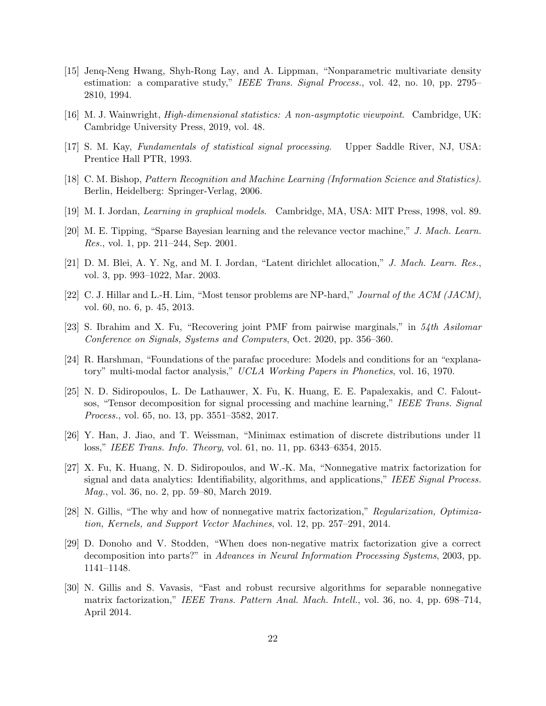- <span id="page-21-0"></span>[15] Jenq-Neng Hwang, Shyh-Rong Lay, and A. Lippman, "Nonparametric multivariate density estimation: a comparative study," IEEE Trans. Signal Process., vol. 42, no. 10, pp. 2795– 2810, 1994.
- <span id="page-21-1"></span>[16] M. J. Wainwright, High-dimensional statistics: A non-asymptotic viewpoint. Cambridge, UK: Cambridge University Press, 2019, vol. 48.
- <span id="page-21-2"></span>[17] S. M. Kay, Fundamentals of statistical signal processing. Upper Saddle River, NJ, USA: Prentice Hall PTR, 1993.
- <span id="page-21-3"></span>[18] C. M. Bishop, Pattern Recognition and Machine Learning (Information Science and Statistics). Berlin, Heidelberg: Springer-Verlag, 2006.
- <span id="page-21-4"></span>[19] M. I. Jordan, Learning in graphical models. Cambridge, MA, USA: MIT Press, 1998, vol. 89.
- [20] M. E. Tipping, "Sparse Bayesian learning and the relevance vector machine," J. Mach. Learn. Res., vol. 1, pp. 211–244, Sep. 2001.
- <span id="page-21-5"></span>[21] D. M. Blei, A. Y. Ng, and M. I. Jordan, "Latent dirichlet allocation," J. Mach. Learn. Res., vol. 3, pp. 993–1022, Mar. 2003.
- <span id="page-21-6"></span>[22] C. J. Hillar and L.-H. Lim, "Most tensor problems are NP-hard," Journal of the ACM (JACM), vol. 60, no. 6, p. 45, 2013.
- <span id="page-21-7"></span>[23] S. Ibrahim and X. Fu, "Recovering joint PMF from pairwise marginals," in 54th Asilomar Conference on Signals, Systems and Computers, Oct. 2020, pp. 356–360.
- <span id="page-21-8"></span>[24] R. Harshman, "Foundations of the parafac procedure: Models and conditions for an "explanatory" multi-modal factor analysis," UCLA Working Papers in Phonetics, vol. 16, 1970.
- <span id="page-21-9"></span>[25] N. D. Sidiropoulos, L. De Lathauwer, X. Fu, K. Huang, E. E. Papalexakis, and C. Faloutsos, "Tensor decomposition for signal processing and machine learning," IEEE Trans. Signal Process., vol. 65, no. 13, pp. 3551–3582, 2017.
- <span id="page-21-10"></span>[26] Y. Han, J. Jiao, and T. Weissman, "Minimax estimation of discrete distributions under l1 loss," IEEE Trans. Info. Theory, vol. 61, no. 11, pp. 6343–6354, 2015.
- <span id="page-21-11"></span>[27] X. Fu, K. Huang, N. D. Sidiropoulos, and W.-K. Ma, "Nonnegative matrix factorization for signal and data analytics: Identifiability, algorithms, and applications," IEEE Signal Process. Mag., vol. 36, no. 2, pp. 59–80, March 2019.
- <span id="page-21-12"></span>[28] N. Gillis, "The why and how of nonnegative matrix factorization," Regularization, Optimization, Kernels, and Support Vector Machines, vol. 12, pp. 257–291, 2014.
- <span id="page-21-13"></span>[29] D. Donoho and V. Stodden, "When does non-negative matrix factorization give a correct decomposition into parts?" in Advances in Neural Information Processing Systems, 2003, pp. 1141–1148.
- <span id="page-21-14"></span>[30] N. Gillis and S. Vavasis, "Fast and robust recursive algorithms for separable nonnegative matrix factorization," IEEE Trans. Pattern Anal. Mach. Intell., vol. 36, no. 4, pp. 698–714, April 2014.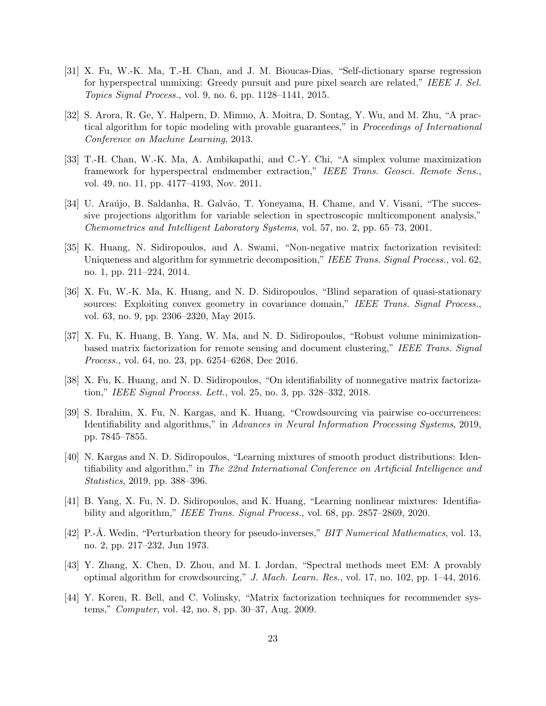- [31] X. Fu, W.-K. Ma, T.-H. Chan, and J. M. Bioucas-Dias, "Self-dictionary sparse regression for hyperspectral unmixing: Greedy pursuit and pure pixel search are related," IEEE J. Sel. Topics Signal Process., vol. 9, no. 6, pp. 1128–1141, 2015.
- <span id="page-22-6"></span>[32] S. Arora, R. Ge, Y. Halpern, D. Mimno, A. Moitra, D. Sontag, Y. Wu, and M. Zhu, "A practical algorithm for topic modeling with provable guarantees," in Proceedings of International Conference on Machine Learning, 2013.
- [33] T.-H. Chan, W.-K. Ma, A. Ambikapathi, and C.-Y. Chi, "A simplex volume maximization framework for hyperspectral endmember extraction," IEEE Trans. Geosci. Remote Sens., vol. 49, no. 11, pp. 4177–4193, Nov. 2011.
- <span id="page-22-0"></span>[34] U. Araújo, B. Saldanha, R. Galvão, T. Yoneyama, H. Chame, and V. Visani, "The successive projections algorithm for variable selection in spectroscopic multicomponent analysis," Chemometrics and Intelligent Laboratory Systems, vol. 57, no. 2, pp. 65–73, 2001.
- <span id="page-22-1"></span>[35] K. Huang, N. Sidiropoulos, and A. Swami, "Non-negative matrix factorization revisited: Uniqueness and algorithm for symmetric decomposition," IEEE Trans. Signal Process., vol. 62, no. 1, pp. 211–224, 2014.
- [36] X. Fu, W.-K. Ma, K. Huang, and N. D. Sidiropoulos, "Blind separation of quasi-stationary sources: Exploiting convex geometry in covariance domain," IEEE Trans. Signal Process., vol. 63, no. 9, pp. 2306–2320, May 2015.
- <span id="page-22-2"></span>[37] X. Fu, K. Huang, B. Yang, W. Ma, and N. D. Sidiropoulos, "Robust volume minimizationbased matrix factorization for remote sensing and document clustering," IEEE Trans. Signal Process., vol. 64, no. 23, pp. 6254–6268, Dec 2016.
- <span id="page-22-3"></span>[38] X. Fu, K. Huang, and N. D. Sidiropoulos, "On identifiability of nonnegative matrix factorization," IEEE Signal Process. Lett., vol. 25, no. 3, pp. 328–332, 2018.
- <span id="page-22-4"></span>[39] S. Ibrahim, X. Fu, N. Kargas, and K. Huang, "Crowdsourcing via pairwise co-occurrences: Identifiability and algorithms," in Advances in Neural Information Processing Systems, 2019, pp. 7845–7855.
- <span id="page-22-5"></span>[40] N. Kargas and N. D. Sidiropoulos, "Learning mixtures of smooth product distributions: Identifiability and algorithm," in The 22nd International Conference on Artificial Intelligence and Statistics, 2019, pp. 388–396.
- <span id="page-22-8"></span>[41] B. Yang, X. Fu, N. D. Sidiropoulos, and K. Huang, "Learning nonlinear mixtures: Identifiability and algorithm," IEEE Trans. Signal Process., vol. 68, pp. 2857–2869, 2020.
- <span id="page-22-7"></span>[42] P.-Å. Wedin, "Perturbation theory for pseudo-inverses," *BIT Numerical Mathematics*, vol. 13, no. 2, pp. 217–232, Jun 1973.
- <span id="page-22-9"></span>[43] Y. Zhang, X. Chen, D. Zhou, and M. I. Jordan, "Spectral methods meet EM: A provably optimal algorithm for crowdsourcing," J. Mach. Learn. Res., vol. 17, no. 102, pp. 1–44, 2016.
- <span id="page-22-10"></span>[44] Y. Koren, R. Bell, and C. Volinsky, "Matrix factorization techniques for recommender systems," Computer, vol. 42, no. 8, pp. 30–37, Aug. 2009.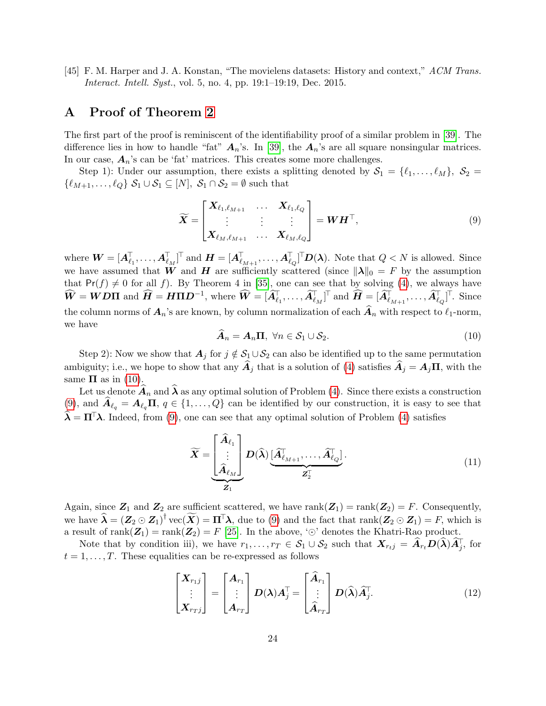<span id="page-23-1"></span>[45] F. M. Harper and J. A. Konstan, "The movielens datasets: History and context," ACM Trans. Interact. Intell. Syst., vol. 5, no. 4, pp. 19:1–19:19, Dec. 2015.

## <span id="page-23-0"></span>A Proof of Theorem [2](#page-7-2)

The first part of the proof is reminiscent of the identifiability proof of a similar problem in [\[39\]](#page-22-4). The difference lies in how to handle "fat"  $A_n$ 's. In [\[39\]](#page-22-4), the  $A_n$ 's are all square nonsingular matrices. In our case,  $A_n$ 's can be 'fat' matrices. This creates some more challenges.

Step 1): Under our assumption, there exists a splitting denoted by  $S_1 = \{\ell_1, \ldots, \ell_M\}, S_2 =$  $\{\ell_{M+1}, \ldots, \ell_Q\}$   $S_1 \cup S_1 \subseteq [N], S_1 \cap S_2 = \emptyset$  such that

<span id="page-23-3"></span>
$$
\widetilde{\boldsymbol{X}} = \begin{bmatrix} \boldsymbol{X}_{\ell_1,\ell_{M+1}} & \cdots & \boldsymbol{X}_{\ell_1,\ell_Q} \\ \vdots & \vdots & \vdots \\ \boldsymbol{X}_{\ell_M,\ell_{M+1}} & \cdots & \boldsymbol{X}_{\ell_M,\ell_Q} \end{bmatrix} = \boldsymbol{W}\boldsymbol{H}^\top,
$$
\n(9)

where  $\boldsymbol{W} = [\boldsymbol{A}_{\ell_1}^{\top}, \dots, \boldsymbol{A}_{\ell_M}^{\top}]^{\top}$  and  $\boldsymbol{H} = [\boldsymbol{A}_{\ell_{M+1}}^{\top}, \dots, \boldsymbol{A}_{\ell_Q}^{\top}]^{\top} \boldsymbol{D}(\boldsymbol{\lambda})$ . Note that  $Q < N$  is allowed. Since we have assumed that W and H are sufficiently scattered (since  $\|\lambda\|_0 = F$  by the assumption that  $Pr(f) \neq 0$  for all f). By Theorem 4 in [\[35\]](#page-22-1), one can see that by solving [\(4\)](#page-7-1), we always have  $\widehat{\bm{W}} = \bm{W}\bm{D}\bm{\Pi} \text{ and } \widehat{\bm{H}} = \bm{H}\bm{\Pi}\bm{D}^{-1}, \text{ where } \widehat{\bm{W}} = [\widehat{\bm{A}}_{\ell_1}^{\mathsf{T}}, \ldots, \widehat{\bm{A}}_{\ell_M}^{\mathsf{T}}]^{\mathsf{T}} \text{ and } \widehat{\bm{H}} = [\widehat{\bm{A}}_{\ell_{M+1}}^{\mathsf{T}}, \ldots, \widehat{\bm{A}}_{\ell_Q}^{\mathsf{T}}]^{\mathsf{T}}. \text{ Since }$ the column norms of  $A_n$ 's are known, by column normalization of each  $\hat{A}_n$  with respect to  $\ell_1$ -norm, we have

<span id="page-23-2"></span>
$$
\widehat{A}_n = A_n \Pi, \ \forall n \in \mathcal{S}_1 \cup \mathcal{S}_2. \tag{10}
$$

Step 2): Now we show that  $A_j$  for  $j \notin S_1 \cup S_2$  can also be identified up to the same permutation ambiguity; i.e., we hope to show that any  $\hat{A}_j$  that is a solution of [\(4\)](#page-7-1) satisfies  $\hat{A}_j = A_j \Pi$ , with the same  $\Pi$  as in [\(10\)](#page-23-2).

Let us denote  $A_n$  and  $\lambda$  as any optimal solution of Problem [\(4\)](#page-7-1). Since there exists a construction [\(9\)](#page-23-3), and  $\mathbf{A}_{\ell_q} = \mathbf{A}_{\ell_q} \mathbf{\Pi}, q \in \{1, \ldots, Q\}$  can be identified by our construction, it is easy to see that  $\mathbf{\hat{\lambda}} = \mathbf{\Pi}^{\top} \mathbf{\lambda}$ . Indeed, from [\(9\)](#page-23-3), one can see that any optimal solution of Problem [\(4\)](#page-7-1) satisfies

$$
\widetilde{\boldsymbol{X}} = \underbrace{\begin{bmatrix} \widehat{\boldsymbol{A}}_{\ell_1} \\ \vdots \\ \widehat{\boldsymbol{A}}_{\ell_M} \end{bmatrix}}_{\boldsymbol{Z}_1} \boldsymbol{D}(\widehat{\boldsymbol{\lambda}}) \underbrace{\begin{bmatrix} \widehat{\boldsymbol{A}}_{\ell_{M+1}}^{\top}, \dots, \widehat{\boldsymbol{A}}_{\ell_Q}^{\top} \end{bmatrix}}_{\boldsymbol{Z}_2^{\top}}.
$$
\n(11)

Again, since  $\mathbb{Z}_1$  and  $\mathbb{Z}_2$  are sufficient scattered, we have rank $(\mathbb{Z}_1)$  = rank $(\mathbb{Z}_2)$  = F. Consequently, we have  $\widehat{\lambda} = (Z_2 \odot Z_1)^{\dagger}$  vec $(\widetilde{X}) = \Pi^{\dagger} \lambda$ , due to [\(9\)](#page-23-3) and the fact that  $\text{rank}(Z_2 \odot Z_1) = F$ , which is a result of rank $(\mathbb{Z}_1)$  = rank $(\mathbb{Z}_2) = F$  [\[25\]](#page-21-9). In the above, ' $\odot$ ' denotes the Khatri-Rao product.

Note that by condition iii), we have  $r_1, \ldots, r_T \in S_1 \cup S_2$  such that  $\mathbf{X}_{r_tj} = \hat{\mathbf{A}}_{r_t} \mathbf{D}(\hat{\lambda}) \hat{\mathbf{A}}_j^{\mathsf{T}}$ , for  $t = 1, \ldots, T$ . These equalities can be re-expressed as follows

$$
\begin{bmatrix} X_{r_1j} \\ \vdots \\ X_{r_Tj} \end{bmatrix} = \begin{bmatrix} A_{r_1} \\ \vdots \\ A_{r_T} \end{bmatrix} D(\lambda) A_j^{\mathsf{T}} = \begin{bmatrix} \widehat{A}_{r_1} \\ \vdots \\ \widehat{A}_{r_T} \end{bmatrix} D(\widehat{\lambda}) \widehat{A}_j^{\mathsf{T}}.
$$
 (12)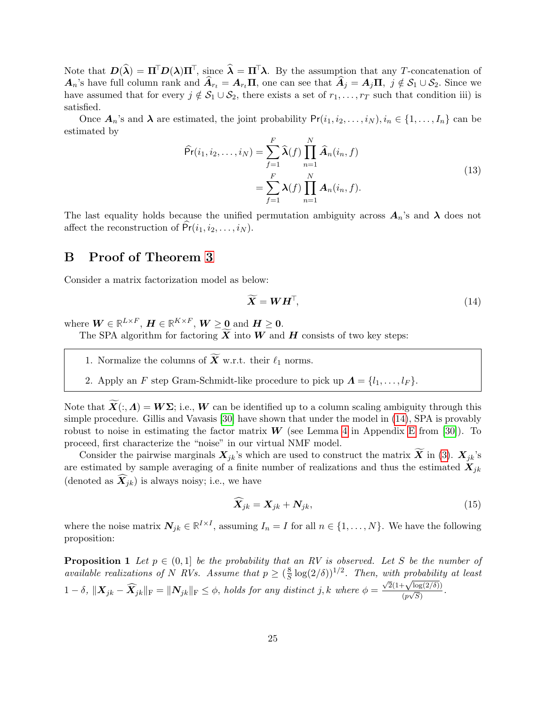Note that  $\mathbf{D}(\widehat{\boldsymbol{\lambda}}) = \Pi^{\top} \mathbf{D}(\boldsymbol{\lambda}) \Pi^{\top}$ , since  $\widehat{\boldsymbol{\lambda}} = \Pi^{\top} \boldsymbol{\lambda}$ . By the assumption that any T-concatenation of  $A_n$ 's have full column rank and  $\widehat{A}_{r_t} = A_{r_t} \Pi$ , one can see that  $\widehat{A}_j = A_j \Pi$ ,  $j \notin S_1 \cup S_2$ . Since we have assumed that for every  $j \notin S_1 \cup S_2$ , there exists a set of  $r_1, \ldots, r_T$  such that condition iii) is satisfied.

Once  $\mathbf{A}_n$ 's and  $\boldsymbol{\lambda}$  are estimated, the joint probability  $Pr(i_1, i_2, \ldots, i_N), i_n \in \{1, \ldots, I_n\}$  can be estimated by

$$
\widehat{\Pr}(i_1, i_2, \dots, i_N) = \sum_{f=1}^F \widehat{\lambda}(f) \prod_{n=1}^N \widehat{A}_n(i_n, f)
$$
\n
$$
= \sum_{f=1}^F \lambda(f) \prod_{n=1}^N A_n(i_n, f).
$$
\n(13)

The last equality holds because the unified permutation ambiguity across  $A_n$ 's and  $\lambda$  does not affect the reconstruction of  $Pr(i_1, i_2, \ldots, i_N)$ .

## <span id="page-24-0"></span>B Proof of Theorem [3](#page-11-2)

Consider a matrix factorization model as below:

<span id="page-24-1"></span>
$$
\widetilde{\boldsymbol{X}} = \boldsymbol{W}\boldsymbol{H}^{\top},\tag{14}
$$

where  $\boldsymbol{W} \in \mathbb{R}^{L \times F}$ ,  $\boldsymbol{H} \in \mathbb{R}^{K \times F}$ ,  $\boldsymbol{W} \geq \boldsymbol{0}$  and  $\boldsymbol{H} \geq \boldsymbol{0}$ .

The SPA algorithm for factoring  $\widetilde{X}$  into W and H consists of two key steps:

1. Normalize the columns of  $\widetilde{\mathbf{X}}$  w.r.t. their  $\ell_1$  norms.

2. Apply an F step Gram-Schmidt-like procedure to pick up  $\Lambda = \{l_1, \ldots, l_F\}.$ 

Note that  $\widetilde{\mathbf{X}}(:, \Lambda) = \mathbf{W\Sigma}$ ; i.e., W can be identified up to a column scaling ambiguity through this simple procedure. Gillis and Vavasis [\[30\]](#page-21-14) have shown that under the model in [\(14\)](#page-24-1), SPA is provably robust to noise in estimating the factor matrix  $W$  (see Lemma [4](#page-37-2) in Appendix [E](#page-37-1) from [\[30\]](#page-21-14)). To proceed, first characterize the "noise" in our virtual NMF model.

Consider the pairwise marginals  $X_{jk}$ 's which are used to construct the matrix X in [\(3\)](#page-7-3).  $X_{jk}$ 's are estimated by sample averaging of a finite number of realizations and thus the estimated  $X_{jk}$ (denoted as  $\widehat{X}_{ik}$ ) is always noisy; i.e., we have

$$
\widetilde{\boldsymbol{X}}_{jk} = \boldsymbol{X}_{jk} + \boldsymbol{N}_{jk},\tag{15}
$$

<span id="page-24-2"></span>where the noise matrix  $\mathbf{N}_{jk} \in \mathbb{R}^{I \times I}$ , assuming  $I_n = I$  for all  $n \in \{1, ..., N\}$ . We have the following proposition:

**Proposition 1** Let  $p \in (0,1]$  be the probability that an RV is observed. Let S be the number of available realizations of N RVs. Assume that  $p \geq (\frac{8}{5})$  $\frac{8}{\mathcal{S}}\log(2/\delta))^{1/2}$ . Then, with probability at least  $1 - \delta$ ,  $||\mathbf{X}_{jk} - \mathbf{X}_{jk}||_{\text{F}} = ||\mathbf{N}_{jk}||_{\text{F}} \leq \phi$ , holds for any distinct j, k where  $\phi =$  $\sqrt{2}(1+\sqrt{\log(2/\delta)})$  $\frac{\Gamma \sqrt{\log(2/\theta)}}{(p\sqrt{S})}$ .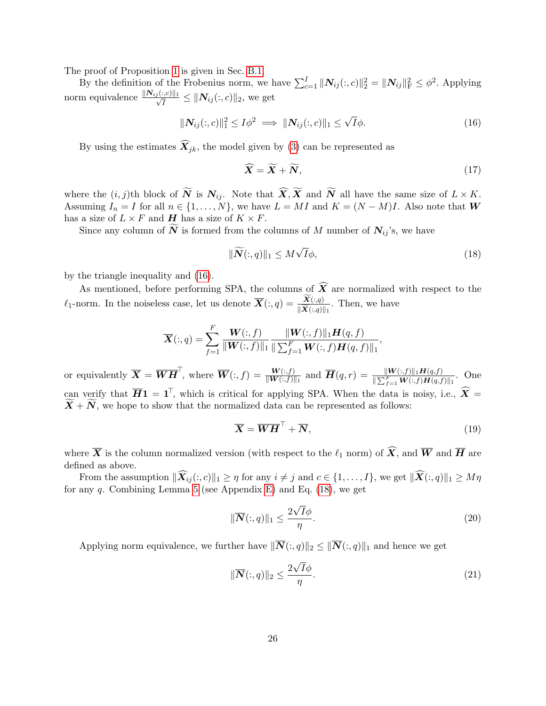The proof of Proposition [1](#page-24-2) is given in Sec. [B.1.](#page-27-0)

By the definition of the Frobenius norm, we have  $\sum_{c=1}^{I} ||N_{ij}(:,c)||_2^2 = ||N_{ij}||_F^2 \leq \phi^2$ . Applying norm equivalence  $\frac{\|N_{ij}(:,c)\|_1}{\sqrt{t}}$  $\frac{[C_i, C] \| 1}{\overline{I}} \leq \| N_{ij}(:, c) \|_2$ , we get

$$
\|\mathbf{N}_{ij}(:,c)\|_{1}^{2} \leq I\phi^{2} \implies \|\mathbf{N}_{ij}(:,c)\|_{1} \leq \sqrt{I}\phi.
$$
 (16)

By using the estimates  $\widehat{X}_{jk}$ , the model given by [\(3\)](#page-7-3) can be represented as

<span id="page-25-1"></span><span id="page-25-0"></span>
$$
\widehat{\boldsymbol{X}} = \widetilde{\boldsymbol{X}} + \widetilde{\boldsymbol{N}},\tag{17}
$$

where the  $(i, j)$ th block of  $\widetilde{N}$  is  $N_{ij}$ . Note that  $\widehat{X}, \widetilde{X}$  and  $\widetilde{N}$  all have the same size of  $L \times K$ . Assuming  $I_n = I$  for all  $n \in \{1, ..., N\}$ , we have  $L = MI$  and  $K = (N - M)I$ . Also note that W has a size of  $L \times F$  and **H** has a size of  $K \times F$ .

Since any column of  $\widetilde{N}$  is formed from the columns of M number of  $N_{ij}$ 's, we have

$$
\|\widetilde{\mathbf{N}}(:,q)\|_{1} \leq M\sqrt{I}\phi,\tag{18}
$$

by the triangle inequality and [\(16\)](#page-25-0).

As mentioned, before performing SPA, the columns of  $\widehat{X}$  are normalized with respect to the  $\ell_1$ -norm. In the noiseless case, let us denote  $\overline{\mathbf{X}}(:,q) = \frac{\mathbf{X}(:,q)}{\|\widetilde{\mathbf{X}}(:,q)\|_1}$ . Then, we have

$$
\overline{\bm{X}}(:,q) = \sum_{f=1}^{F} \frac{\bm{W}(:,f)}{\|\bm{W}(:,f)\|_1} \frac{\|\bm{W}(:,f)\|_1 \bm{H}(q,f)}{\|\sum_{f=1}^{F} \bm{W}(:,f) \bm{H}(q,f)\|_1},
$$

or equivalently  $\overline{\bm{X}} = \overline{\bm{W}} \overline{\bm{H}}^{\top}$ , where  $\overline{\bm{W}}(:,f) = \frac{\bm{W}(:,f)}{\|\bm{W}(:,f)\|_1}$  and  $\overline{\bm{H}}(q,r) = \frac{\|\bm{W}(:,f)\|_1 \bm{H}(q,f)}{\|\sum_{f=1}^F \bm{W}(:,f) \bm{H}(q,f)\|_1}$ . One can verify that  $\overline{H}1 = 1^{\top}$ , which is critical for applying SPA. When the data is noisy, i.e.,  $\widehat{X} = \widetilde{X}$  $X + N$ , we hope to show that the normalized data can be represented as follows:

<span id="page-25-2"></span>
$$
\overline{X} = \overline{WH}^\top + \overline{N},\tag{19}
$$

where  $\overline{X}$  is the column normalized version (with respect to the  $\ell_1$  norm) of  $\widehat{X}$ , and  $\overline{W}$  and  $\overline{H}$  are defined as above.

From the assumption  $\|\widehat{\mathbf{X}}_{ij}(:, c)\|_1 \geq \eta$  for any  $i \neq j$  and  $c \in \{1, \ldots, I\}$ , we get  $\|\widehat{\mathbf{X}}(:, q)\|_1 \geq M\eta$ for any  $q$ . Combining Lemma [5](#page-37-3) (see Appendix [E\)](#page-37-1) and Eq.  $(18)$ , we get

$$
\|\overline{\mathbf{N}}(:,q)\|_{1} \le \frac{2\sqrt{I}\phi}{\eta}.\tag{20}
$$

<span id="page-25-4"></span>Applying norm equivalence, we further have  $\|\overline{\mathbf{N}}(:, q)\|_2 \leq \|\overline{\mathbf{N}}(:, q)\|_1$  and hence we get

<span id="page-25-3"></span>
$$
\|\overline{\mathbf{N}}(:,q)\|_2 \le \frac{2\sqrt{I}\phi}{\eta}.\tag{21}
$$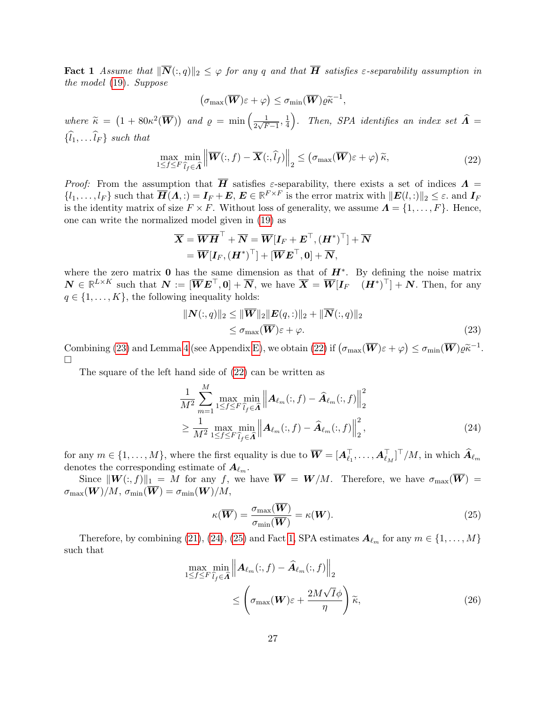**Fact 1** Assume that  $\|\overline{\mathbf{N}}(:, q)\|_2 \leq \varphi$  for any q and that  $\overline{\mathbf{H}}$  satisfies  $\varepsilon$ -separability assumption in the model [\(19\)](#page-25-2). Suppose

$$
(\sigma_{\max}(\overline{\boldsymbol{W}})\varepsilon+\varphi)\leq \sigma_{\min}(\overline{\boldsymbol{W}})\varrho \widetilde{\kappa}^{-1},
$$

where  $\widetilde{\kappa} = (1 + 80\kappa^2(\overline{\mathbf{W}}))$  and  $\varrho = \min\left(\frac{1}{2\sqrt{F}}\right)$  $\frac{1}{2\sqrt{F-1}}, \frac{1}{4}$  $\frac{1}{4}$ ). Then, SPA identifies an index set  $\widehat{A} =$  $\{\widehat{l}_1, \ldots \widehat{l}_F\}$  such that

<span id="page-26-1"></span>
$$
\max_{1 \leq f \leq F} \min_{\hat{l}_f \in \hat{\Lambda}} \left\| \overline{\boldsymbol{W}}(:,f) - \overline{\boldsymbol{X}}(:,\hat{l}_f) \right\|_2 \leq \left( \sigma_{\max}(\overline{\boldsymbol{W}})\varepsilon + \varphi \right) \tilde{\kappa},\tag{22}
$$

Proof: From the assumption that H satisfies  $\varepsilon$ -separability, there exists a set of indices  $\Lambda$  =  $\{l_1,\ldots,l_F\}$  such that  $\overline{H}(\Lambda,.) = I_F + E, E \in \mathbb{R}^{F \times F}$  is the error matrix with  $||E(l,.)||_2 \leq \varepsilon$ . and  $I_F$ is the identity matrix of size  $F \times F$ . Without loss of generality, we assume  $\mathbf{\Lambda} = \{1, \ldots, F\}$ . Hence, one can write the normalized model given in [\(19\)](#page-25-2) as

$$
\begin{aligned} \overline{\bm{X}} &= \overline{\bm{W}} \overline{\bm{H}}^\top + \overline{\bm{N}} = \overline{\bm{W}} [\bm{I}_F + \bm{E}^\top, (\bm{H}^*)^\top] + \overline{\bm{N}} \\ &= \overline{\bm{W}} [\bm{I}_F, {(\bm{H}^*)}^\top] + [\overline{\bm{W}} \bm{E}^\top, \bm{0}] + \overline{\bm{N}}, \end{aligned}
$$

where the zero matrix 0 has the same dimension as that of  $H^*$ . By defining the noise matrix  $\mathbf{N} \in \mathbb{R}^{L \times K}$  such that  $\mathbf{N} := [\overline{\mathbf{W}} \mathbf{E}^\top, \mathbf{0}] + \overline{\mathbf{N}},$  we have  $\overline{\mathbf{X}} = \overline{\mathbf{W}} [\mathbf{I}_F \quad (\mathbf{H}^*)^\top] + \mathbf{N}$ . Then, for any  $q \in \{1, \ldots, K\}$ , the following inequality holds:

<span id="page-26-0"></span>
$$
\|\mathbf{N}(:,q)\|_2 \le \|\overline{\mathbf{W}}\|_2 \|\mathbf{E}(q,:)\|_2 + \|\overline{\mathbf{N}}(:,q)\|_2
$$
  
\n
$$
\le \sigma_{\max}(\overline{\mathbf{W}})\varepsilon + \varphi.
$$
\n(23)

Combining [\(23\)](#page-26-0) and Lemma [4](#page-37-2) (see Appendix [E\)](#page-37-1), we obtain [\(22\)](#page-26-1) if  $(\sigma_{\max}(\overline{\boldsymbol{W}})\varepsilon + \varphi) \leq \sigma_{\min}(\overline{\boldsymbol{W}})\varrho \tilde{\kappa}^{-1}$ .  $\Box$ 

The square of the left hand side of [\(22\)](#page-26-1) can be written as

$$
\frac{1}{M^2} \sum_{m=1}^{M} \max_{1 \le f \le F} \min_{\hat{l}_f \in \hat{\mathbf{\Lambda}}} \left\| \mathbf{A}_{\ell_m}(:,f) - \hat{\mathbf{A}}_{\ell_m}(:,f) \right\|_2^2
$$
\n
$$
\ge \frac{1}{M^2} \max_{1 \le f \le F} \min_{\hat{l}_f \in \hat{\mathbf{\Lambda}}} \left\| \mathbf{A}_{\ell_m}(:,f) - \hat{\mathbf{A}}_{\ell_m}(:,f) \right\|_2^2, \tag{24}
$$

for any  $m \in \{1, \ldots, M\}$ , where the first equality is due to  $\overline{\boldsymbol{W}} = [\boldsymbol{A}_{\ell_1}^{\top}, \ldots, \boldsymbol{A}_{\ell_M}^{\top}]^{\top}/M$ , in which  $\widehat{\boldsymbol{A}}_{\ell_m}$ denotes the corresponding estimate of  $A_{\ell_m}$ .

Since  $\|\mathbf{W}(:, f)\|_1 = M$  for any f, we have  $\overline{\mathbf{W}} = \mathbf{W}/M$ . Therefore, we have  $\sigma_{\max}(\overline{\mathbf{W}}) =$  $\sigma_{\max}(\boldsymbol{W})/M$ ,  $\sigma_{\min}(\boldsymbol{\overline{W}}) = \sigma_{\min}(\boldsymbol{W})/M$ ,

<span id="page-26-4"></span><span id="page-26-3"></span><span id="page-26-2"></span>
$$
\kappa(\overline{\boldsymbol{W}}) = \frac{\sigma_{\max}(\overline{\boldsymbol{W}})}{\sigma_{\min}(\overline{\boldsymbol{W}})} = \kappa(\boldsymbol{W}).
$$
\n(25)

Therefore, by combining [\(21\)](#page-25-3), [\(24\)](#page-26-2), [\(25\)](#page-26-3) and Fact [1,](#page-25-4) SPA estimates  $\mathbf{A}_{\ell_m}$  for any  $m \in \{1, \ldots, M\}$ such that

$$
\max_{1 \le f \le F} \min_{\hat{l}_f \in \hat{\Lambda}} \left\| A_{\ell_m}(:, f) - \hat{A}_{\ell_m}(:, f) \right\|_2
$$
\n
$$
\le \left( \sigma_{\max}(\boldsymbol{W}) \varepsilon + \frac{2M\sqrt{I}\phi}{\eta} \right) \tilde{\kappa}, \tag{26}
$$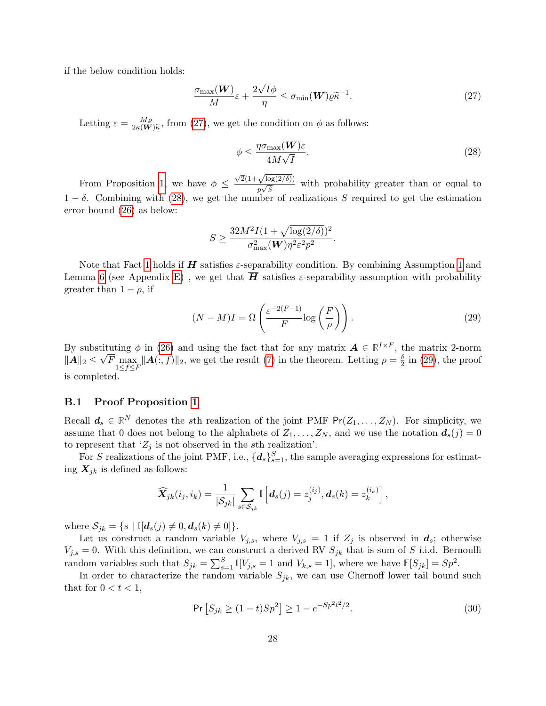if the below condition holds:

$$
\frac{\sigma_{\max}(\boldsymbol{W})}{M}\varepsilon + \frac{2\sqrt{I}\phi}{\eta} \le \sigma_{\min}(\boldsymbol{W})\varrho \tilde{\kappa}^{-1}.
$$
\n(27)

Letting  $\varepsilon = \frac{M\varrho}{2\varepsilon \sqrt{W}}$  $\frac{M\varrho}{2\kappa(\mathbf{W})\widetilde{\kappa}}$ , from [\(27\)](#page-27-1), we get the condition on  $\phi$  as follows:

<span id="page-27-2"></span><span id="page-27-1"></span>
$$
\phi \le \frac{\eta \sigma_{\text{max}}(\boldsymbol{W}) \varepsilon}{4M\sqrt{I}}.\tag{28}
$$

From Proposition [1,](#page-24-2) we have  $\phi \leq$  $\sqrt{2}(1+\sqrt{\log(2/\delta)})$  $\frac{\sqrt{\log(2/\theta)}}{p\sqrt{S}}$  with probability greater than or equal to  $1 - \delta$ . Combining with [\(28\)](#page-27-2), we get the number of realizations S required to get the estimation error bound [\(26\)](#page-26-4) as below:

<span id="page-27-3"></span>
$$
S \ge \frac{32M^2I(1+\sqrt{\log(2/\delta)})^2}{\sigma_{\max}^2(\mathbf{W})\eta^2\varepsilon^2p^2}.
$$

Note that Fact [1](#page-11-1) holds if  $\overline{H}$  satisfies  $\varepsilon$ -separability condition. By combining Assumption 1 and Lemma [6](#page-37-0) (see Appendix [E\)](#page-37-1), we get that  $\overline{H}$  satisfies  $\varepsilon$ -separability assumption with probability greater than  $1 - \rho$ , if

$$
(N-M)I = \Omega\left(\frac{\varepsilon^{-2(F-1)}}{F}\log\left(\frac{F}{\rho}\right)\right). \tag{29}
$$

By substituting  $\phi$  in [\(26\)](#page-26-4) and using the fact that for any matrix  $\mathbf{A} \in \mathbb{R}^{I \times F}$ , the matrix 2-norm  $\|\bm{A}\|_2 \leq$ √  $\overline{F} \max_{1 \leq f \leq F} ||\mathbf{A}(:, f)||_2$ , we get the result [\(7\)](#page-11-5) in the theorem. Letting  $\rho = \frac{\delta}{2}$  $\frac{0}{2}$  in [\(29\)](#page-27-3), the proof is completed.

#### <span id="page-27-0"></span>B.1 Proof Proposition [1](#page-24-2)

Recall  $d_s \in \mathbb{R}^N$  denotes the sth realization of the joint PMF  $Pr(Z_1, ..., Z_N)$ . For simplicity, we assume that 0 does not belong to the alphabets of  $Z_1, \ldots, Z_N$ , and we use the notation  $d_s(j) = 0$ to represent that ' $Z_j$  is not observed in the sth realization'.

For S realizations of the joint PMF, i.e.,  $\{d_s\}_{s=1}^S$ , the sample averaging expressions for estimating  $X_{jk}$  is defined as follows:

$$
\widehat{\boldsymbol{X}}_{jk}(i_j,i_k) = \frac{1}{|\mathcal{S}_{jk}|} \sum_{s \in \mathcal{S}_{jk}} \mathbb{I}\left[\boldsymbol{d}_s(j) = z_j^{(i_j)}, \boldsymbol{d}_s(k) = z_k^{(i_k)}\right],
$$

where  $S_{jk} = \{s \mid \mathbb{I}[\mathbf{d}_s(j) \neq 0, \mathbf{d}_s(k) \neq 0]\}.$ 

Let us construct a random variable  $V_{j,s}$ , where  $V_{j,s} = 1$  if  $Z_j$  is observed in  $d_s$ ; otherwise  $V_{j,s} = 0$ . With this definition, we can construct a derived RV  $S_{jk}$  that is sum of S i.i.d. Bernoulli random variables such that  $S_{jk} = \sum_{s=1}^{S} \mathbb{I}[V_{j,s} = 1 \text{ and } V_{k,s} = 1]$ , where we have  $\mathbb{E}[S_{jk}] = Sp^2$ .

In order to characterize the random variable  $S_{jk}$ , we can use Chernoff lower tail bound such that for  $0 < t < 1$ ,

<span id="page-27-4"></span>
$$
\Pr\left[S_{jk} \ge (1-t)Sp^2\right] \ge 1 - e^{-Sp^2t^2/2}.\tag{30}
$$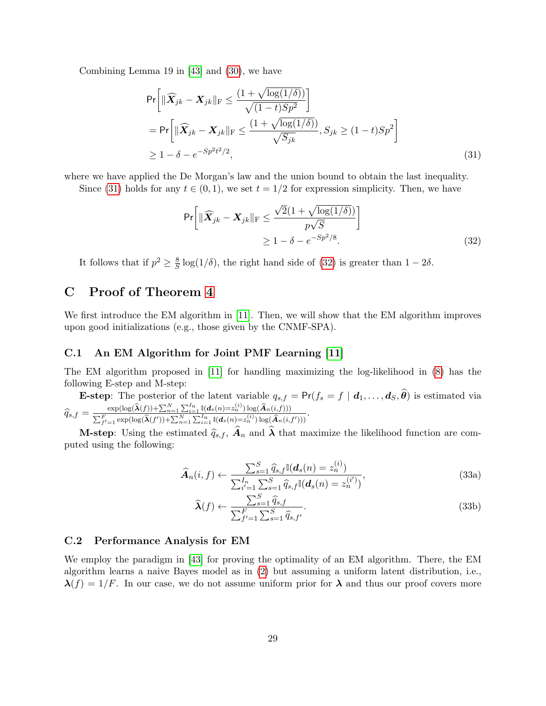Combining Lemma 19 in [\[43\]](#page-22-9) and [\(30\)](#page-27-4), we have

$$
\Pr\left[\|\widehat{\mathbf{X}}_{jk} - \mathbf{X}_{jk}\|_{\mathrm{F}} \le \frac{(1 + \sqrt{\log(1/\delta)})}{\sqrt{(1 - t)Sp^2}}\right]
$$
\n
$$
= \Pr\left[\|\widehat{\mathbf{X}}_{jk} - \mathbf{X}_{jk}\|_{\mathrm{F}} \le \frac{(1 + \sqrt{\log(1/\delta)})}{\sqrt{S_{jk}}}, S_{jk} \ge (1 - t)Sp^2\right]
$$
\n
$$
\ge 1 - \delta - e^{-Sp^2t^2/2},
$$
\n(31)

where we have applied the De Morgan's law and the union bound to obtain the last inequality.

Since [\(31\)](#page-28-1) holds for any  $t \in (0, 1)$ , we set  $t = 1/2$  for expression simplicity. Then, we have

<span id="page-28-2"></span><span id="page-28-1"></span>
$$
\Pr\left[\|\widehat{\mathbf{X}}_{jk} - \mathbf{X}_{jk}\|_{\mathrm{F}} \le \frac{\sqrt{2}(1 + \sqrt{\log(1/\delta)})}{p\sqrt{S}}\right] \ge 1 - \delta - e^{-Sp^2/8}.\tag{32}
$$

It follows that if  $p^2 \geq \frac{8}{5}$  $\frac{8}{5}$  log(1/ $\delta$ ), the right hand side of [\(32\)](#page-28-2) is greater than 1 – 2 $\delta$ .

# <span id="page-28-0"></span>C Proof of Theorem [4](#page-12-1)

We first introduce the EM algorithm in [\[11\]](#page-20-8). Then, we will show that the EM algorithm improves upon good initializations (e.g., those given by the CNMF-SPA).

#### C.1 An EM Algorithm for Joint PMF Learning [\[11\]](#page-20-8)

The EM algorithm proposed in [\[11\]](#page-20-8) for handling maximizing the log-likelihood in [\(8\)](#page-12-2) has the following E-step and M-step:

**E-step:** The posterior of the latent variable  $q_{s,f} = Pr(f_s = f | d_1, \ldots, d_S, \theta)$  is estimated via  $\widehat{q}_{s,f} = \frac{\exp(\log(\widehat{\bm{\lambda}}(f)) + \sum_{n=1}^N\sum_{i=1}^{I_n}\mathbb{I}(\bm{d}_s(n)=z_n^{(i)})\log(\widehat{\bm{A}}_n(i,f)))}{\sum_{f'=1}^F\exp(\log(\widehat{\bm{\lambda}}(f')) + \sum_{n=1}^N\sum_{i=1}^{I_n}\mathbb{I}(\bm{d}_s(n)=z_n^{(i)})\log(\widehat{\bm{A}}_n(i,$ .

$$
q_{s,f} = \frac{\sum_{f'=1}^{F} \exp(\log(\widehat{\lambda}(f')) + \sum_{n=1}^{N} \sum_{i=1}^{I_n} \mathbb{I}(d_s(n) = z_n^{(i)}) \log(\widehat{A}_n(i,f')))}{\sum_{f'=1}^{N} \sum_{i=1}^{I_n} \sum_{i=1}^{I_n} \mathbb{I}(d_s(n) = z_n^{(i)}) \log(\widehat{A}_n(i,f')))}
$$

**M-step:** Using the estimated  $\hat{q}_{s,f}$ ,  $A_n$  and  $\lambda$  that maximize the likelihood function are computed using the following:

<span id="page-28-3"></span>
$$
\widehat{A}_n(i, f) \leftarrow \frac{\sum_{s=1}^S \widehat{q}_{s,f} \mathbb{I}(d_s(n) = z_n^{(i)})}{\sum_{i'=1}^{I_n} \sum_{s=1}^S \widehat{q}_{s,f} \mathbb{I}(d_s(n) = z_n^{(i')})},\tag{33a}
$$

$$
\widehat{\boldsymbol{\lambda}}(f) \leftarrow \frac{\sum_{s=1}^{S} \widehat{q}_{s,f}}{\sum_{f'=1}^{F} \sum_{s=1}^{S} \widehat{q}_{s,f'}}.
$$
\n(33b)

#### C.2 Performance Analysis for EM

We employ the paradigm in [\[43\]](#page-22-9) for proving the optimality of an EM algorithm. There, the EM algorithm learns a naive Bayes model as in [\(2\)](#page-3-1) but assuming a uniform latent distribution, i.e.,  $\lambda(f) = 1/F$ . In our case, we do not assume uniform prior for  $\lambda$  and thus our proof covers more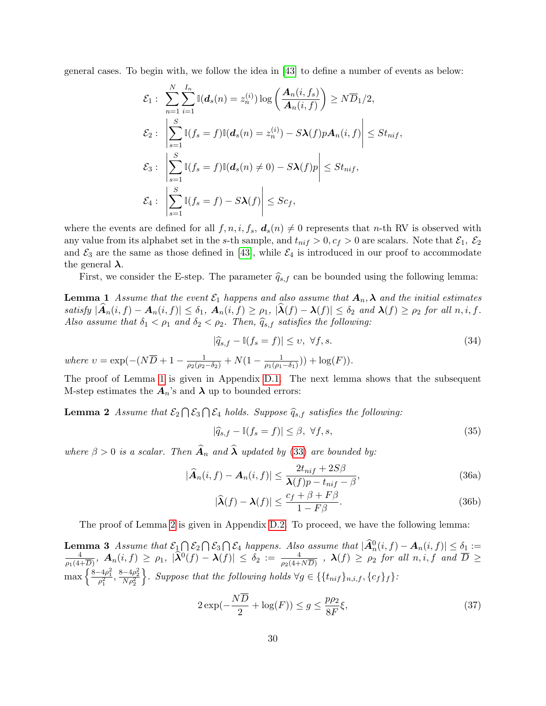general cases. To begin with, we follow the idea in [\[43\]](#page-22-9) to define a number of events as below:

$$
\mathcal{E}_1: \sum_{n=1}^N \sum_{i=1}^{I_n} \mathbb{I}(\boldsymbol{d}_s(n) = z_n^{(i)}) \log \left( \frac{\boldsymbol{A}_n(i, f_s)}{\boldsymbol{A}_n(i, f)} \right) \ge N \overline{D}_1/2,
$$
\n
$$
\mathcal{E}_2: \left| \sum_{s=1}^S \mathbb{I}(f_s = f) \mathbb{I}(\boldsymbol{d}_s(n) = z_n^{(i)}) - S\boldsymbol{\lambda}(f) p \boldsymbol{A}_n(i, f) \right| \le St_{nif},
$$
\n
$$
\mathcal{E}_3: \left| \sum_{s=1}^S \mathbb{I}(f_s = f) \mathbb{I}(\boldsymbol{d}_s(n) \neq 0) - S\boldsymbol{\lambda}(f) p \right| \le St_{nif},
$$
\n
$$
\mathcal{E}_4: \left| \sum_{s=1}^S \mathbb{I}(f_s = f) - S\boldsymbol{\lambda}(f) \right| \le Sc_f,
$$

where the events are defined for all  $f, n, i, f_s, d_s(n) \neq 0$  represents that n-th RV is observed with any value from its alphabet set in the s-th sample, and  $t_{nif} > 0, c_f > 0$  are scalars. Note that  $\mathcal{E}_1, \mathcal{E}_2$ and  $\mathcal{E}_3$  are the same as those defined in [\[43\]](#page-22-9), while  $\mathcal{E}_4$  is introduced in our proof to accommodate the general  $\lambda$ .

First, we consider the E-step. The parameter  $\hat{q}_{s,f}$  can be bounded using the following lemma:

<span id="page-29-0"></span>**Lemma 1** Assume that the event  $\mathcal{E}_1$  happens and also assume that  $A_n, \lambda$  and the initial estimates satisfy  $|\widehat{A}_n(i, f) - A_n(i, f)| \leq \delta_1$ ,  $A_n(i, f) \geq \rho_1$ ,  $|\widehat{\lambda}(f) - \lambda(f)| \leq \delta_2$  and  $\lambda(f) \geq \rho_2$  for all  $n, i, f$ . Also assume that  $\delta_1 < \rho_1$  and  $\delta_2 < \rho_2$ . Then,  $\hat{q}_{s,f}$  satisfies the following:

<span id="page-29-5"></span>
$$
|\widehat{q}_{s,f} - \mathbb{I}(f_s = f)| \le v, \ \forall f, s. \tag{34}
$$

where  $v = \exp(-(N\overline{D} + 1 - \frac{1}{\rho_2(\rho_2 - \delta_2)} + N(1 - \frac{1}{\rho_1(\rho_1$  $\frac{1}{\rho_1(\rho_1-\delta_1)})) + \log(F)).$ 

The proof of Lemma [1](#page-29-0) is given in Appendix [D.1.](#page-32-0) The next lemma shows that the subsequent M-step estimates the  $A_n$ 's and  $\lambda$  up to bounded errors:

**Lemma 2** Assume that  $\mathcal{E}_2 \cap \mathcal{E}_3 \cap \mathcal{E}_4$  holds. Suppose  $\widehat{q}_{s,f}$  satisfies the following:

<span id="page-29-4"></span><span id="page-29-1"></span>
$$
|\hat{q}_{s,f} - \mathbb{I}(f_s = f)| \le \beta, \ \forall f, s,
$$
\n(35)

where  $\beta > 0$  is a scalar. Then  $\widehat{A}_n$  and  $\widehat{\lambda}$  updated by [\(33\)](#page-28-3) are bounded by:

$$
|\widehat{A}_n(i,f) - A_n(i,f)| \le \frac{2t_{nif} + 2S\beta}{\lambda(f)p - t_{nif} - \beta},
$$
\n(36a)

$$
|\widehat{\lambda}(f) - \lambda(f)| \le \frac{c_f + \beta + F\beta}{1 - F\beta}.
$$
 (36b)

The proof of Lemma [2](#page-29-1) is given in Appendix [D.2.](#page-33-0) To proceed, we have the following lemma:

<span id="page-29-2"></span>**Lemma 3** Assume that  $\mathcal{E}_1 \cap \mathcal{E}_2 \cap \mathcal{E}_3 \cap \mathcal{E}_4$  happens. Also assume that  $|\widehat{A}_n^0(i, f) - A_n(i, f)| \leq \delta_1 :=$ <br>  $\frac{4}{\epsilon_1} \left( \begin{array}{cc} i, f \end{array} \right) \geq \alpha_1 \left| \widehat{\lambda}_1^0(i, f) - A_n(i, f) \right| \leq \delta_1 \leq \frac{4}{\epsilon_1} \left| \widehat{\lambda}_1^0(i, f) - A_n$  $\frac{4}{\rho_1(4+\overline{D})},$   $\bm{A}_n(i,f)\,\geq\,\rho_1,\;|\widehat{\bm{\lambda}}^0(f)-\bm{\lambda}(f)|\,\leq\,\delta_2\,:=\,\frac{4}{\rho_2(4+N\overline{D})}$  ,  $\bm{\lambda}(f)\,\geq\,\rho_2$  for all  $n,i,f$  and  $\overline{D}\,\geq\,$ max  $\left\{\frac{8-4\rho_1^2}{\rho_1^2}, \frac{8-4\rho_2^2}{N\rho_2^2}\right\}$ }. Suppose that the following holds  $\forall g \in \{\{t_{nif}\}_{n,i,f},\{c_f\}_f\}$ :

<span id="page-29-3"></span>
$$
2\exp(-\frac{N\overline{D}}{2} + \log(F)) \le g \le \frac{p\rho_2}{8F}\xi,\tag{37}
$$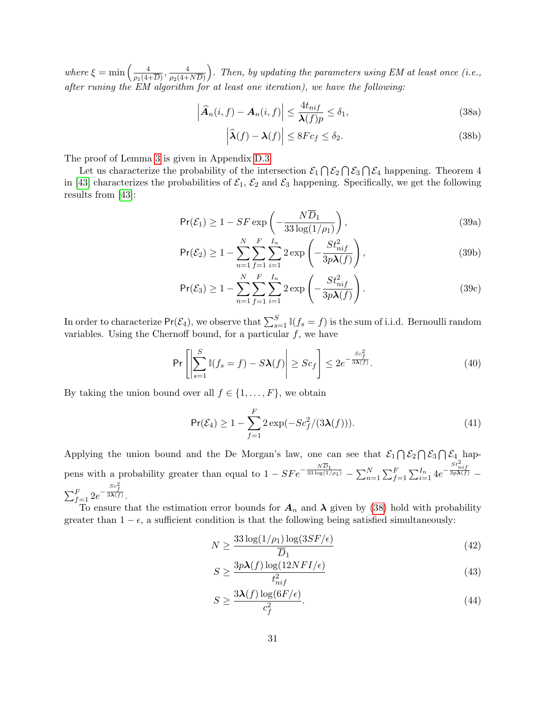where  $\xi = \min \left( \frac{4}{\epsilon_0} \right)$  $\frac{4}{\rho_1(4+\overline{D})}, \frac{4}{\rho_2(4+\overline{D})}$  $\rho_2(4+ND)$ ). Then, by updating the parameters using EM at least once (i.e., after runing the EM algorithm for at least one iteration), we have the following:

$$
\left|\widehat{A}_n(i,f) - A_n(i,f)\right| \le \frac{4t_{nif}}{\lambda(f)p} \le \delta_1,\tag{38a}
$$

<span id="page-30-5"></span><span id="page-30-4"></span><span id="page-30-0"></span>
$$
\left|\widehat{\lambda}(f) - \lambda(f)\right| \le 8Fc_f \le \delta_2.
$$
\n(38b)

The proof of Lemma [3](#page-29-2) is given in Appendix [D.3.](#page-35-0)

Let us characterize the probability of the intersection  $\mathcal{E}_1 \cap \mathcal{E}_2 \cap \mathcal{E}_3 \cap \mathcal{E}_4$  happening. Theorem 4 in [\[43\]](#page-22-9) characterizes the probabilities of  $\mathcal{E}_1$ ,  $\mathcal{E}_2$  and  $\mathcal{E}_3$  happening. Specifically, we get the following results from [\[43\]](#page-22-9):

$$
\Pr(\mathcal{E}_1) \ge 1 - SF \exp\left(-\frac{N\overline{D}_1}{33\log(1/\rho_1)}\right),\tag{39a}
$$

$$
\Pr(\mathcal{E}_2) \ge 1 - \sum_{n=1}^N \sum_{f=1}^F \sum_{i=1}^{I_n} 2 \exp\left(-\frac{St_{nif}^2}{3p\lambda(f)}\right),\tag{39b}
$$

$$
\Pr(\mathcal{E}_3) \ge 1 - \sum_{n=1}^N \sum_{f=1}^F \sum_{i=1}^{I_n} 2 \exp\left(-\frac{St_{nif}^2}{3p\lambda(f)}\right). \tag{39c}
$$

In order to characterize  $Pr(\mathcal{E}_4)$ , we observe that  $\sum_{s=1}^{S} \mathbb{I}(f_s = f)$  is the sum of i.i.d. Bernoulli random variables. Using the Chernoff bound, for a particular  $f$ , we have

$$
\Pr\left[\left|\sum_{s=1}^{S} \mathbb{I}(f_s = f) - S\boldsymbol{\lambda}(f)\right| \ge Sc_f\right] \le 2e^{-\frac{Sc_f^2}{3\boldsymbol{\lambda}(f)}}.\tag{40}
$$

By taking the union bound over all  $f \in \{1, \ldots, F\}$ , we obtain

$$
\Pr(\mathcal{E}_4) \ge 1 - \sum_{f=1}^F 2 \exp(-Sc_f^2/(3\lambda(f))). \tag{41}
$$

Applying the union bound and the De Morgan's law, one can see that  $\mathcal{E}_1 \cap \mathcal{E}_2 \cap \mathcal{E}_3 \cap \mathcal{E}_4$  happens with a probability greater than equal to  $1 - SFe^{-\frac{N\overline{D}_1}{33\log(1/\rho_1)}} - \sum_{n=1}^N \sum_{f=1}^F \sum_{i=1}^{I_n} 4e^{-\frac{St_{nif}^2}{3p\lambda(f)}}$  $\sum_{f=1}^{F} 2e^{-\frac{Sc_f^2}{3\bm{\lambda}(f)}}.$ 

To ensure that the estimation error bounds for  $A_n$  and  $\lambda$  given by [\(38\)](#page-30-0) hold with probability greater than  $1 - \epsilon$ , a sufficient condition is that the following being satisfied simultaneously:

$$
N \ge \frac{33\log(1/\rho_1)\log(3SF/\epsilon)}{\overline{D}_1} \tag{42}
$$

<span id="page-30-3"></span>
$$
S \ge \frac{3p\lambda(f)\log(12NFI/\epsilon)}{t_{nif}^2} \tag{43}
$$

<span id="page-30-2"></span><span id="page-30-1"></span>
$$
S \ge \frac{3\lambda(f)\log(6F/\epsilon)}{c_f^2}.\tag{44}
$$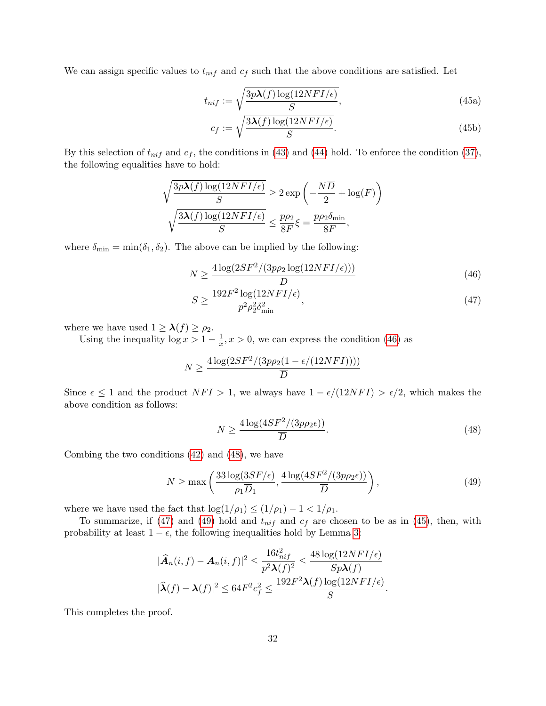We can assign specific values to  $t_{nif}$  and  $c_f$  such that the above conditions are satisfied. Let

$$
t_{nif} := \sqrt{\frac{3p\lambda(f)\log(12NFI/\epsilon)}{S}},\tag{45a}
$$

<span id="page-31-4"></span>
$$
c_f := \sqrt{\frac{3\lambda(f)\log(12NFI/\epsilon)}{S}}.\tag{45b}
$$

By this selection of  $t_{nif}$  and  $c_f$ , the conditions in [\(43\)](#page-30-1) and [\(44\)](#page-30-2) hold. To enforce the condition [\(37\)](#page-29-3), the following equalities have to hold:

$$
\sqrt{\frac{3p\lambda(f)\log(12NFI/\epsilon)}{S}} \ge 2\exp\left(-\frac{N\overline{D}}{2} + \log(F)\right)
$$

$$
\sqrt{\frac{3\lambda(f)\log(12NFI/\epsilon)}{S}} \le \frac{p\rho_2}{8F}\xi = \frac{p\rho_2\delta_{\min}}{8F},
$$

where  $\delta_{\min} = \min(\delta_1, \delta_2)$ . The above can be implied by the following:

$$
N \ge \frac{4\log(2SF^2/(3p\rho_2\log(12NFI/\epsilon)))}{\overline{D}}\tag{46}
$$

<span id="page-31-2"></span><span id="page-31-0"></span>
$$
S \ge \frac{192F^2 \log(12NFI/\epsilon)}{p^2 \rho_2^2 \delta_{\min}^2},\tag{47}
$$

where we have used  $1 \geq \lambda(f) \geq \rho_2$ .

Using the inequality  $\log x > 1 - \frac{1}{x}$  $\frac{1}{x}$ ,  $x > 0$ , we can express the condition [\(46\)](#page-31-0) as

$$
N \ge \frac{4 \log(2SF^2/(3p\rho_2(1 - \epsilon/(12NFI))))}{\overline{D}}
$$

Since  $\epsilon \leq 1$  and the product  $NFI > 1$ , we always have  $1 - \epsilon/(12NFI) > \epsilon/2$ , which makes the above condition as follows:

<span id="page-31-3"></span><span id="page-31-1"></span>
$$
N \ge \frac{4\log(4SF^2/(3p\rho_2\epsilon))}{\overline{D}}.\tag{48}
$$

Combing the two conditions [\(42\)](#page-30-3) and [\(48\)](#page-31-1), we have

$$
N \ge \max\left(\frac{33\log(3SF/\epsilon)}{\rho_1 \overline{D}_1}, \frac{4\log(4SF^2/(3p\rho_2\epsilon))}{\overline{D}}\right),\tag{49}
$$

where we have used the fact that  $\log(1/\rho_1) \leq (1/\rho_1) - 1 < 1/\rho_1$ .

To summarize, if [\(47\)](#page-31-2) and [\(49\)](#page-31-3) hold and  $t_{nif}$  and  $c_f$  are chosen to be as in [\(45\)](#page-31-4), then, with probability at least  $1 - \epsilon$ , the following inequalities hold by Lemma [3:](#page-29-2)

$$
|\widehat{A}_n(i,f)-A_n(i,f)|^2 \le \frac{16t_{nif}^2}{p^2\lambda(f)^2} \le \frac{48\log(12NFI/\epsilon)}{Sp\lambda(f)}
$$
  

$$
|\widehat{\lambda}(f)-\lambda(f)|^2 \le 64F^2c_f^2 \le \frac{192F^2\lambda(f)\log(12NFI/\epsilon)}{S}.
$$

This completes the proof.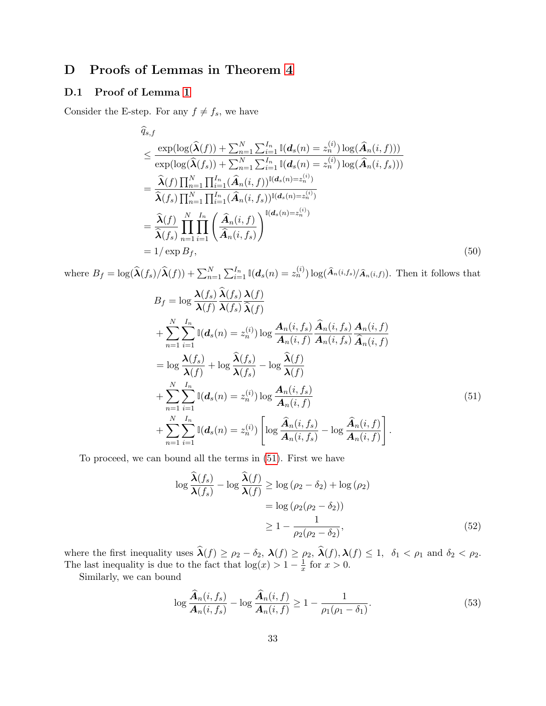# D Proofs of Lemmas in Theorem [4](#page-12-1)

### <span id="page-32-0"></span>D.1 Proof of Lemma [1](#page-29-0)

Consider the E-step. For any  $f \neq f_s$ , we have

<span id="page-32-4"></span>
$$
\begin{split}\n\widehat{q}_{s,f} \\
&\leq \frac{\exp(\log(\widehat{\lambda}(f)) + \sum_{n=1}^{N} \sum_{i=1}^{I_n} \mathbb{I}(\boldsymbol{d}_s(n) = z_n^{(i)}) \log(\widehat{\boldsymbol{A}}_n(i, f)))}{\exp(\log(\widehat{\lambda}(f_s)) + \sum_{n=1}^{N} \sum_{i=1}^{I_n} \mathbb{I}(\boldsymbol{d}_s(n) = z_n^{(i)}) \log(\widehat{\boldsymbol{A}}_n(i, f_s)))} \\
&= \frac{\widehat{\lambda}(f) \prod_{n=1}^{N} \prod_{i=1}^{I_n} (\widehat{\boldsymbol{A}}_n(i, f))^{\mathbb{I}(\boldsymbol{d}_s(n) = z_n^{(i)})}}{\widehat{\lambda}(f_s) \prod_{n=1}^{N} \prod_{i=1}^{I_n} (\widehat{\boldsymbol{A}}_n(i, f_s))^{\mathbb{I}(\boldsymbol{d}_s(n) = z_n^{(i)})}} \\
&= \frac{\widehat{\lambda}(f)}{\widehat{\lambda}(f_s)} \prod_{n=1}^{N} \prod_{i=1}^{I_n} \left( \frac{\widehat{\boldsymbol{A}}_n(i, f)}{\widehat{\boldsymbol{A}}_n(i, f_s)} \right)^{\mathbb{I}(\boldsymbol{d}_s(n) = z_n^{(i)})} \\
&= 1/\exp B_f,\n\end{split} \tag{50}
$$

where  $B_f = \log(\widehat{\lambda}(f_s)/\widehat{\lambda}(f)) + \sum_{n=1}^N \sum_{i=1}^{I_n} \mathbb{I}(d_s(n) = z_n^{(i)}) \log(\widehat{A}_n(i,f_s)/\widehat{A}_n(i,f)).$  Then it follows that

$$
B_{f} = \log \frac{\lambda(f_{s})}{\lambda(f)} \frac{\lambda(f_{s})}{\lambda(f_{s})} \frac{\lambda(f)}{\lambda(f)}
$$
  
+ 
$$
\sum_{n=1}^{N} \sum_{i=1}^{I_{n}} \mathbb{I}(\boldsymbol{d}_{s}(n) = z_{n}^{(i)}) \log \frac{\boldsymbol{A}_{n}(i, f_{s})}{\boldsymbol{A}_{n}(i, f)} \frac{\boldsymbol{\hat{A}}_{n}(i, f_{s})}{\boldsymbol{A}_{n}(i, f_{s})} \frac{\boldsymbol{A}_{n}(i, f)}{\boldsymbol{\hat{A}}_{n}(i, f)}
$$
  
= 
$$
\log \frac{\lambda(f_{s})}{\lambda(f)} + \log \frac{\hat{\lambda}(f_{s})}{\lambda(f_{s})} - \log \frac{\hat{\lambda}(f)}{\lambda(f)}
$$
  
+ 
$$
\sum_{n=1}^{N} \sum_{i=1}^{I_{n}} \mathbb{I}(\boldsymbol{d}_{s}(n) = z_{n}^{(i)}) \log \frac{\boldsymbol{A}_{n}(i, f_{s})}{\boldsymbol{A}_{n}(i, f)}
$$
  
+ 
$$
\sum_{n=1}^{N} \sum_{i=1}^{I_{n}} \mathbb{I}(\boldsymbol{d}_{s}(n) = z_{n}^{(i)}) \left[ \log \frac{\hat{\boldsymbol{A}}_{n}(i, f_{s})}{\boldsymbol{A}_{n}(i, f_{s})} - \log \frac{\hat{\boldsymbol{A}}_{n}(i, f)}{\boldsymbol{A}_{n}(i, f)} \right].
$$
  
(51)

To proceed, we can bound all the terms in [\(51\)](#page-32-1). First we have

<span id="page-32-2"></span><span id="page-32-1"></span>
$$
\log \frac{\widehat{\lambda}(f_s)}{\lambda(f_s)} - \log \frac{\widehat{\lambda}(f)}{\lambda(f)} \ge \log (\rho_2 - \delta_2) + \log (\rho_2)
$$
  
= 
$$
\log (\rho_2(\rho_2 - \delta_2))
$$
  

$$
\ge 1 - \frac{1}{\rho_2(\rho_2 - \delta_2)},
$$
 (52)

where the first inequality uses  $\lambda(f) \ge \rho_2 - \delta_2$ ,  $\lambda(f) \ge \rho_2$ ,  $\lambda(f)$ ,  $\lambda(f) \le 1$ ,  $\delta_1 < \rho_1$  and  $\delta_2 < \rho_2$ . The last inequality is due to the fact that  $\log(x) > 1 - \frac{1}{x}$  $\frac{1}{x}$  for  $x > 0$ .

Similarly, we can bound

<span id="page-32-3"></span>
$$
\log \frac{\widehat{A}_n(i, f_s)}{A_n(i, f_s)} - \log \frac{\widehat{A}_n(i, f)}{A_n(i, f)} \ge 1 - \frac{1}{\rho_1(\rho_1 - \delta_1)}.\tag{53}
$$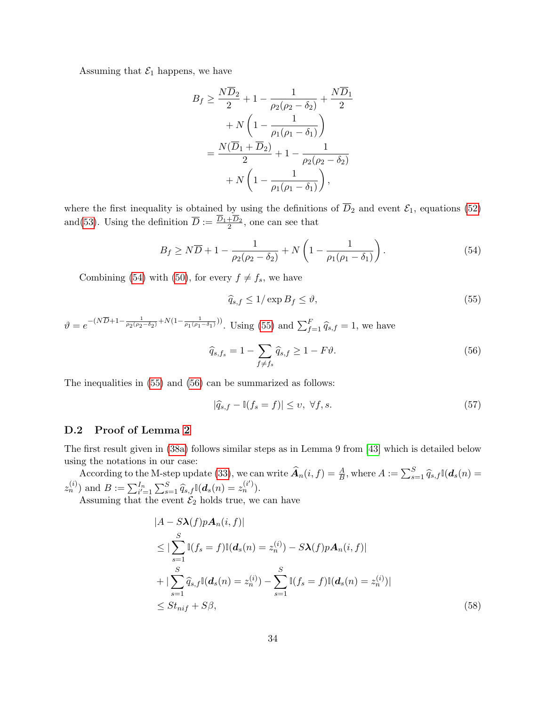Assuming that  $\mathcal{E}_1$  happens, we have

$$
B_f \ge \frac{N\overline{D}_2}{2} + 1 - \frac{1}{\rho_2(\rho_2 - \delta_2)} + \frac{N\overline{D}_1}{2} + N\left(1 - \frac{1}{\rho_1(\rho_1 - \delta_1)}\right) = \frac{N(\overline{D}_1 + \overline{D}_2)}{2} + 1 - \frac{1}{\rho_2(\rho_2 - \delta_2)} + N\left(1 - \frac{1}{\rho_1(\rho_1 - \delta_1)}\right),
$$

where the first inequality is obtained by using the definitions of  $\overline{D}_2$  and event  $\mathcal{E}_1$ , equations [\(52\)](#page-32-2) and[\(53\)](#page-32-3). Using the definition  $\overline{D} := \frac{D_1 + D_2}{2}$ , one can see that

$$
B_f \ge N\overline{D} + 1 - \frac{1}{\rho_2(\rho_2 - \delta_2)} + N\left(1 - \frac{1}{\rho_1(\rho_1 - \delta_1)}\right). \tag{54}
$$

Combining [\(54\)](#page-33-1) with [\(50\)](#page-32-4), for every  $f \neq f_s$ , we have

<span id="page-33-3"></span><span id="page-33-2"></span><span id="page-33-1"></span>
$$
\widehat{q}_{s,f} \le 1/\exp B_f \le \vartheta,\tag{55}
$$

 $\vartheta = e^{-(N\overline{D}+1-\frac{1}{\rho_2(\rho_2-\delta_2)}+N(1-\frac{1}{\rho_1(\rho_1-\delta_1)}))}$ . Using [\(55\)](#page-33-2) and  $\sum_{f=1}^F \widehat{q}_{s,f} = 1$ , we have

$$
\widehat{q}_{s,f_s} = 1 - \sum_{f \neq f_s} \widehat{q}_{s,f} \ge 1 - F\vartheta. \tag{56}
$$

The inequalities in [\(55\)](#page-33-2) and [\(56\)](#page-33-3) can be summarized as follows:

<span id="page-33-4"></span>
$$
|\widehat{q}_{s,f} - \mathbb{I}(f_s = f)| \le v, \ \forall f, s. \tag{57}
$$

#### <span id="page-33-0"></span>D.2 Proof of Lemma [2](#page-29-1)

The first result given in [\(38a\)](#page-30-4) follows similar steps as in Lemma 9 from [\[43\]](#page-22-9) which is detailed below using the notations in our case:

According to the M-step update [\(33\)](#page-28-3), we can write  $\widehat{A}_n(i, f) = \frac{A}{B}$ , where  $A := \sum_{s=1}^S \widehat{q}_{s,f} \mathbb{I}(d_s(n))$  $z_n^{(i)}$  and  $B := \sum_{i'=1}^{I_n} \sum_{s=1}^{S} \hat{q}_{s,f} \mathbb{I}(d_s(n) = z_n^{(i')})$ .

Assuming that the event  $\mathcal{E}_2$  holds true, we can have

$$
|A - S\lambda(f)pA_n(i, f)|
$$
  
\n
$$
\leq |\sum_{s=1}^{S} \mathbb{I}(f_s = f)\mathbb{I}(d_s(n) = z_n^{(i)}) - S\lambda(f)pA_n(i, f)|
$$
  
\n
$$
+ |\sum_{s=1}^{S} \hat{q}_{s,f}\mathbb{I}(d_s(n) = z_n^{(i)}) - \sum_{s=1}^{S} \mathbb{I}(f_s = f)\mathbb{I}(d_s(n) = z_n^{(i)})|
$$
  
\n
$$
\leq St_{nif} + S\beta,
$$
\n(58)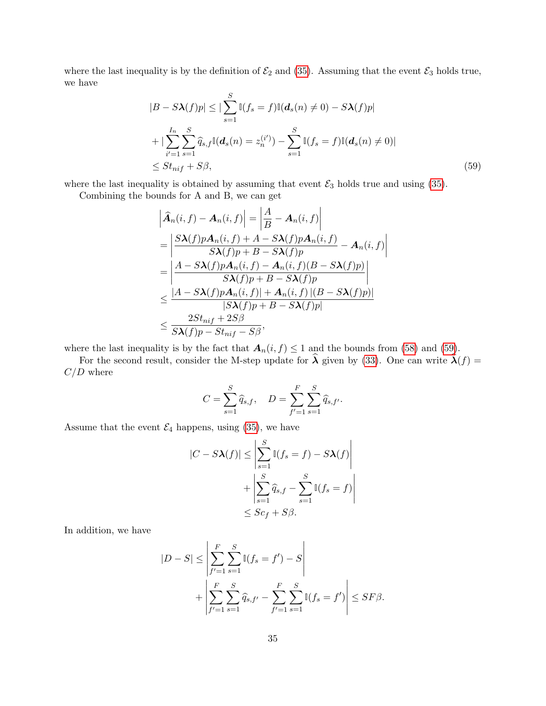where the last inequality is by the definition of  $\mathcal{E}_2$  and [\(35\)](#page-29-4). Assuming that the event  $\mathcal{E}_3$  holds true, we have

$$
|B - S\lambda(f)p| \le |\sum_{s=1}^{S} \mathbb{I}(f_s = f)\mathbb{I}(d_s(n) \ne 0) - S\lambda(f)p|
$$
  
+ 
$$
|\sum_{i'=1}^{I_n} \sum_{s=1}^{S} \widehat{q}_{s,f} \mathbb{I}(d_s(n) = z_n^{(i')}) - \sum_{s=1}^{S} \mathbb{I}(f_s = f)\mathbb{I}(d_s(n) \ne 0)|
$$
  

$$
\le St_{nif} + S\beta,
$$
 (59)

where the last inequality is obtained by assuming that event  $\mathcal{E}_3$  holds true and using [\(35\)](#page-29-4).

Combining the bounds for A and B, we can get

<span id="page-34-0"></span>
$$
\begin{aligned}\n\left|\widehat{A}_{n}(i,f) - A_{n}(i,f)\right| &= \left|\frac{A}{B} - A_{n}(i,f)\right| \\
&= \left|\frac{S\lambda(f)pA_{n}(i,f) + A - S\lambda(f)pA_{n}(i,f)}{S\lambda(f)p + B - S\lambda(f)p} - A_{n}(i,f)\right| \\
&= \left|\frac{A - S\lambda(f)pA_{n}(i,f) - A_{n}(i,f)(B - S\lambda(f)p)}{S\lambda(f)p + B - S\lambda(f)p}\right| \\
&\leq \frac{|A - S\lambda(f)pA_{n}(i,f)| + A_{n}(i,f)|(B - S\lambda(f)p)|}{|S\lambda(f)p + B - S\lambda(f)p|} \\
&\leq \frac{2St_{nif} + 2S\beta}{S\lambda(f)p - St_{nif} - S\beta},\n\end{aligned}
$$

where the last inequality is by the fact that  $A_n(i, f) \leq 1$  and the bounds from [\(58\)](#page-33-4) and [\(59\)](#page-34-0).

For the second result, consider the M-step update for  $\hat{\lambda}$  given by [\(33\)](#page-28-3). One can write  $\hat{\lambda}(f)$  =  $C/D$  where

$$
C = \sum_{s=1}^{S} \hat{q}_{s,f}, \quad D = \sum_{f'=1}^{F} \sum_{s=1}^{S} \hat{q}_{s,f'}.
$$

Assume that the event  $\mathcal{E}_4$  happens, using [\(35\)](#page-29-4), we have

$$
|C - S\lambda(f)| \le \left| \sum_{s=1}^{S} \mathbb{I}(f_s = f) - S\lambda(f) \right|
$$
  
+ 
$$
\left| \sum_{s=1}^{S} \widehat{q}_{s,f} - \sum_{s=1}^{S} \mathbb{I}(f_s = f) \right|
$$
  

$$
\le Sc_f + S\beta.
$$

In addition, we have

$$
|D - S| \le \left| \sum_{f'=1}^{F} \sum_{s=1}^{S} \mathbb{I}(f_s = f') - S \right|
$$
  
+ 
$$
\left| \sum_{f'=1}^{F} \sum_{s=1}^{S} \widehat{q}_{s,f'} - \sum_{f'=1}^{F} \sum_{s=1}^{S} \mathbb{I}(f_s = f') \right| \le SF\beta.
$$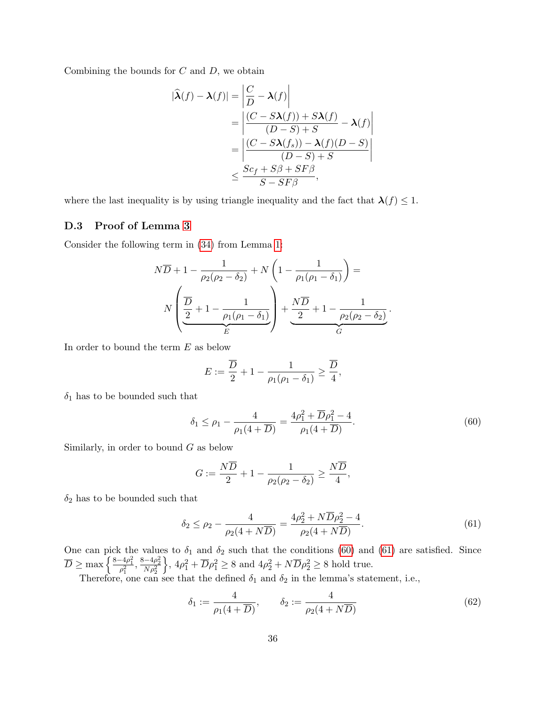Combining the bounds for  $C$  and  $D$ , we obtain

$$
|\hat{\lambda}(f) - \lambda(f)| = \left| \frac{C}{D} - \lambda(f) \right|
$$
  
= 
$$
\left| \frac{(C - S\lambda(f)) + S\lambda(f)}{(D - S) + S} - \lambda(f) \right|
$$
  
= 
$$
\left| \frac{(C - S\lambda(f_s)) - \lambda(f)(D - S)}{(D - S) + S} \right|
$$
  

$$
\leq \frac{Sc_f + S\beta + SF\beta}{S - SF\beta},
$$

where the last inequality is by using triangle inequality and the fact that  $\lambda(f) \leq 1$ .

#### <span id="page-35-0"></span>D.3 Proof of Lemma [3](#page-29-2)

Consider the following term in [\(34\)](#page-29-5) from Lemma [1:](#page-29-0)

$$
N\overline{D} + 1 - \frac{1}{\rho_2(\rho_2 - \delta_2)} + N\left(1 - \frac{1}{\rho_1(\rho_1 - \delta_1)}\right) =
$$
  

$$
N\left(\frac{\overline{D}}{2} + 1 - \frac{1}{\rho_1(\rho_1 - \delta_1)}\right) + \frac{N\overline{D}}{2} + 1 - \frac{1}{\rho_2(\rho_2 - \delta_2)}.
$$

In order to bound the term  $E$  as below

<span id="page-35-1"></span>
$$
E := \frac{\overline{D}}{2} + 1 - \frac{1}{\rho_1(\rho_1 - \delta_1)} \ge \frac{\overline{D}}{4},
$$

 $\delta_1$  has to be bounded such that

$$
\delta_1 \le \rho_1 - \frac{4}{\rho_1(4+\overline{D})} = \frac{4\rho_1^2 + \overline{D}\rho_1^2 - 4}{\rho_1(4+\overline{D})}.
$$
\n(60)

Similarly, in order to bound  $G$  as below

<span id="page-35-2"></span>
$$
G:=\frac{N\overline{D}}{2}+1-\frac{1}{\rho_2(\rho_2-\delta_2)}\geq \frac{N\overline{D}}{4},
$$

 $\delta_2$  has to be bounded such that

$$
\delta_2 \le \rho_2 - \frac{4}{\rho_2(4+N\overline{D})} = \frac{4\rho_2^2 + N\overline{D}\rho_2^2 - 4}{\rho_2(4+N\overline{D})}.
$$
\n(61)

One can pick the values to  $\delta_1$  and  $\delta_2$  such that the conditions [\(60\)](#page-35-1) and [\(61\)](#page-35-2) are satisfied. Since  $\overline{D} \ge \max \left\{ \frac{8 - 4\rho_1^2}{\rho_1^2}, \frac{8 - 4\rho_2^2}{N\rho_2^2} \right\}$  $\left\{ \frac{1}{2}, \frac{4\rho_1^2 + \overline{D}\rho_1^2 \geq 8 \text{ and } 4\rho_2^2 + N\overline{D}\rho_2^2 \geq 8 \text{ hold true.} \right\}$ 

Therefore, one can see that the defined  $\delta_1$  and  $\delta_2$  in the lemma's statement, i.e.,

$$
\delta_1 := \frac{4}{\rho_1(4+\overline{D})}, \qquad \delta_2 := \frac{4}{\rho_2(4+N\overline{D})}
$$
\n(62)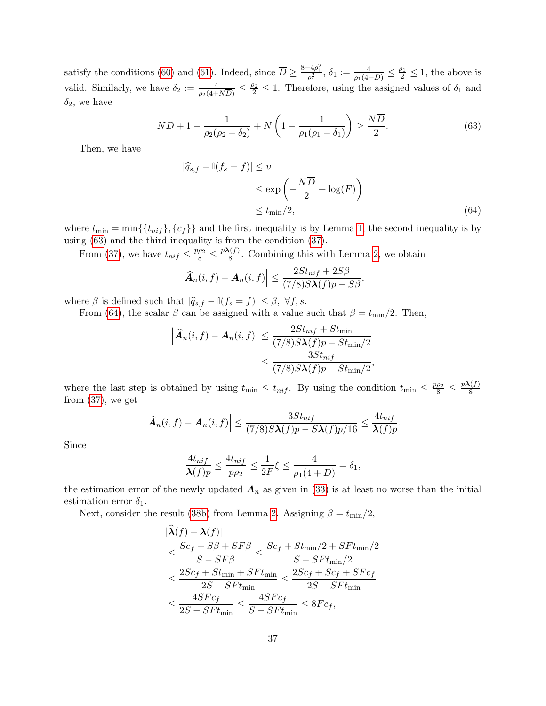satisfy the conditions [\(60\)](#page-35-1) and [\(61\)](#page-35-2). Indeed, since  $\overline{D} \ge \frac{8-4\rho_1^2}{\rho_1^2}$ ,  $\delta_1 := \frac{4}{\rho_1(4+\overline{D})} \le \frac{\rho_1}{2} \le 1$ , the above is valid. Similarly, we have  $\delta_2 := \frac{4}{\rho_2(4+N\overline{D})} \leq \frac{\rho_2}{2} \leq 1$ . Therefore, using the assigned values of  $\delta_1$  and  $\delta_2$ , we have

$$
N\overline{D} + 1 - \frac{1}{\rho_2(\rho_2 - \delta_2)} + N\left(1 - \frac{1}{\rho_1(\rho_1 - \delta_1)}\right) \ge \frac{N\overline{D}}{2}.\tag{63}
$$

Then, we have

<span id="page-36-1"></span><span id="page-36-0"></span>
$$
|\widehat{q}_{s,f} - \mathbb{I}(f_s = f)| \le v
$$
  
\n
$$
\le \exp\left(-\frac{N\overline{D}}{2} + \log(F)\right)
$$
  
\n
$$
\le t_{\min}/2,
$$
\n(64)

where  $t_{\min} = \min\{\{t_{nif}\}, \{c_f\}\}\$ and the first inequality is by Lemma [1,](#page-29-0) the second inequality is by using [\(63\)](#page-36-0) and the third inequality is from the condition [\(37\)](#page-29-3).

From [\(37\)](#page-29-3), we have  $t_{nif} \leq \frac{p\rho_2}{8} \leq \frac{p\lambda(f)}{8}$  $\frac{N(I)}{8}$ . Combining this with Lemma [2,](#page-29-1) we obtain

$$
\left|\widehat{\boldsymbol{A}}_n(i,f)-\boldsymbol{A}_n(i,f)\right|\leq \frac{2St_{nif}+2S\beta}{(7/8)S\boldsymbol{\lambda}(f)p-S\beta},
$$

where  $\beta$  is defined such that  $|\hat{q}_{s,f} - \mathbb{I}(f_s = f)| \leq \beta, \forall f, s$ .

From [\(64\)](#page-36-1), the scalar  $\beta$  can be assigned with a value such that  $\beta = t_{\text{min}}/2$ . Then,

$$
\left| \widehat{A}_n(i, f) - A_n(i, f) \right| \le \frac{2St_{nif} + St_{\min}}{(7/8)S\lambda(f)p - St_{\min}/2}
$$

$$
\le \frac{3St_{nif}}{(7/8)S\lambda(f)p - St_{\min}/2},
$$

where the last step is obtained by using  $t_{\min} \leq t_{nif}$ . By using the condition  $t_{\min} \leq \frac{p\rho_2}{8} \leq \frac{p\lambda(f)}{8}$ 8 from  $(37)$ , we get

$$
\left|\widehat{\mathbf{A}}_n(i,f)-\mathbf{A}_n(i,f)\right|\leq \frac{3St_{nif}}{(7/8)S\lambda(f)p-S\lambda(f)p/16}\leq \frac{4t_{nif}}{\lambda(f)p}.
$$

Since

$$
\frac{4t_{nif}}{\lambda(f)p} \le \frac{4t_{nif}}{p\rho_2} \le \frac{1}{2F}\xi \le \frac{4}{\rho_1(4+\overline{D})} = \delta_1,
$$

the estimation error of the newly updated  $A_n$  as given in [\(33\)](#page-28-3) is at least no worse than the initial estimation error  $\delta_1$ .

Next, consider the result [\(38b\)](#page-30-5) from Lemma [2.](#page-29-1) Assigning  $\beta = t_{\text{min}}/2$ ,

$$
|\widehat{\lambda}(f) - \lambda(f)|
$$
  
\n
$$
\leq \frac{Sc_f + S\beta + SF\beta}{S - SF\beta} \leq \frac{Sc_f + St_{\min}/2 + SFt_{\min}/2}{S - SFt_{\min}/2}
$$
  
\n
$$
\leq \frac{2Sc_f + St_{\min} + SFt_{\min}}{2S - SFt_{\min}} \leq \frac{2Sc_f + Sc_f + SFc_f}{2S - SFt_{\min}}
$$
  
\n
$$
\leq \frac{4SFc_f}{2S - SFt_{\min}} \leq \frac{4SFc_f}{S - SFt_{\min}} \leq 8Fc_f,
$$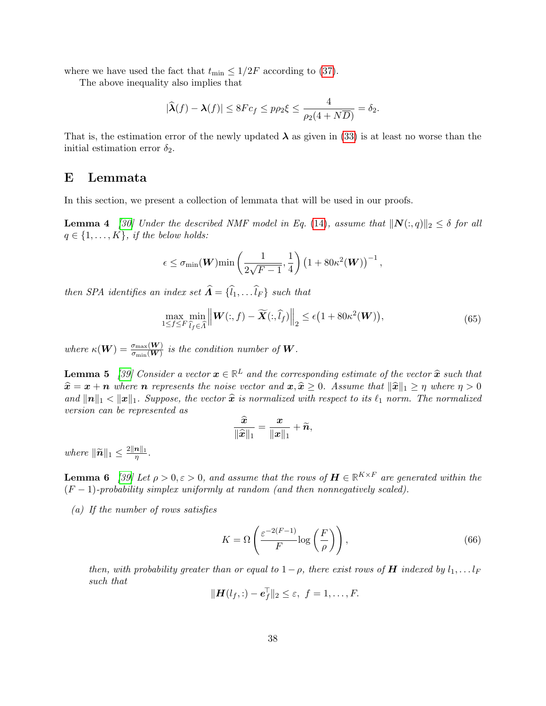where we have used the fact that  $t_{\min} \leq 1/2F$  according to [\(37\)](#page-29-3).

The above inequality also implies that

$$
|\widehat{\lambda}(f) - \lambda(f)| \le 8Fc_f \le p\rho_2\xi \le \frac{4}{\rho_2(4+N\overline{D})} = \delta_2.
$$

That is, the estimation error of the newly updated  $\lambda$  as given in [\(33\)](#page-28-3) is at least no worse than the initial estimation error  $\delta_2$ .

## <span id="page-37-1"></span>E Lemmata

<span id="page-37-2"></span>In this section, we present a collection of lemmata that will be used in our proofs.

**Lemma 4** [\[30\]](#page-21-14) Under the described NMF model in Eq. [\(14\)](#page-24-1), assume that  $||N(:, q)||_2 \leq \delta$  for all  $q \in \{1, \ldots, K\}$ , if the below holds:

$$
\epsilon \leq \sigma_{\min}(\boldsymbol{W}) \min \left( \frac{1}{2\sqrt{F-1}}, \frac{1}{4} \right) \left( 1 + 80 \kappa^2(\boldsymbol{W}) \right)^{-1},
$$

then SPA identifies an index set  $\widehat{A} = {\widehat{l_1}, \ldots \widehat{l_F}}$  such that

$$
\max_{1 \le f \le F} \min_{\hat{l}_f \in \hat{\Lambda}} \left\| \mathbf{W}(:,f) - \widetilde{\mathbf{X}}(:,\hat{l}_f) \right\|_2 \le \epsilon \big( 1 + 80\kappa^2(\mathbf{W}) \big),\tag{65}
$$

where  $\kappa(W) = \frac{\sigma_{\max}(W)}{\sigma_{\min}(W)}$  is the condition number of W.

<span id="page-37-3"></span>**Lemma 5** [\[39\]](#page-22-4) Consider a vector  $x \in \mathbb{R}^L$  and the corresponding estimate of the vector  $\hat{x}$  such that  $\hat{x} = x + y$  subcase  $x$  such and  $y \in \hat{x} > 0$ . Assume that  $\|\hat{x}\| > x$  subcase  $x > 0$ .  $\hat{x} = x + n$  where n represents the noise vector and  $x, \hat{x} \geq 0$ . Assume that  $\|\hat{x}\|_1 \geq \eta$  where  $\eta > 0$ and  $\|\mathbf{n}\|_1 < \|\mathbf{x}\|_1$ . Suppose, the vector  $\hat{\mathbf{x}}$  is normalized with respect to its  $\ell_1$  norm. The normalized version can be represented as

$$
\frac{\widehat{x}}{\|\widehat{x}\|_1} = \frac{x}{\|x\|_1} + \widetilde{n},
$$

where  $\|\widetilde{\boldsymbol{n}}\|_1 \leq \frac{2\|\boldsymbol{n}\|_1}{\eta}$  $\frac{\bm{n}_{||1}}{\eta}$  .

<span id="page-37-0"></span>**Lemma 6** [\[39\]](#page-22-4) Let  $\rho > 0, \varepsilon > 0$ , and assume that the rows of  $\boldsymbol{H} \in \mathbb{R}^{K \times F}$  are generated within the  $(F-1)$ -probability simplex uniformly at random (and then nonnegatively scaled).

(a) If the number of rows satisfies

$$
K = \Omega\left(\frac{\varepsilon^{-2(F-1)}}{F}\log\left(\frac{F}{\rho}\right)\right),\tag{66}
$$

then, with probability greater than or equal to  $1-\rho$ , there exist rows of **H** indexed by  $l_1, \ldots, l_F$ such that

$$
\|\boldsymbol{H}(l_f,:)-\boldsymbol{e}_f^\top\|_2\leq \varepsilon, \ \ f=1,\ldots,F.
$$